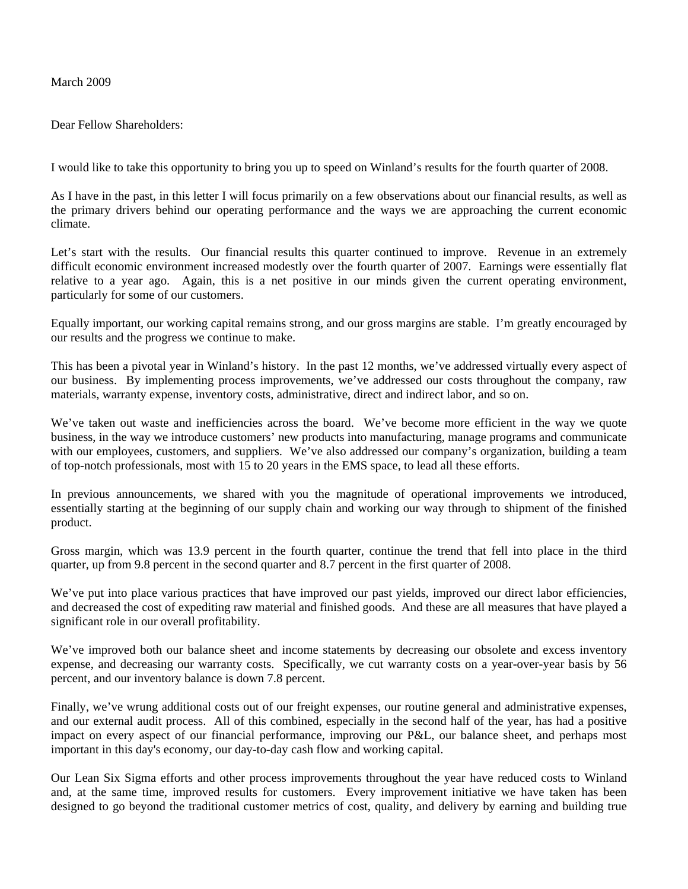March 2009

Dear Fellow Shareholders:

I would like to take this opportunity to bring you up to speed on Winland's results for the fourth quarter of 2008.

As I have in the past, in this letter I will focus primarily on a few observations about our financial results, as well as the primary drivers behind our operating performance and the ways we are approaching the current economic climate.

Let's start with the results. Our financial results this quarter continued to improve. Revenue in an extremely difficult economic environment increased modestly over the fourth quarter of 2007. Earnings were essentially flat relative to a year ago. Again, this is a net positive in our minds given the current operating environment, particularly for some of our customers.

Equally important, our working capital remains strong, and our gross margins are stable. I'm greatly encouraged by our results and the progress we continue to make.

This has been a pivotal year in Winland's history. In the past 12 months, we've addressed virtually every aspect of our business. By implementing process improvements, we've addressed our costs throughout the company, raw materials, warranty expense, inventory costs, administrative, direct and indirect labor, and so on.

We've taken out waste and inefficiencies across the board. We've become more efficient in the way we quote business, in the way we introduce customers' new products into manufacturing, manage programs and communicate with our employees, customers, and suppliers. We've also addressed our company's organization, building a team of top-notch professionals, most with 15 to 20 years in the EMS space, to lead all these efforts.

In previous announcements, we shared with you the magnitude of operational improvements we introduced, essentially starting at the beginning of our supply chain and working our way through to shipment of the finished product.

Gross margin, which was 13.9 percent in the fourth quarter, continue the trend that fell into place in the third quarter, up from 9.8 percent in the second quarter and 8.7 percent in the first quarter of 2008.

We've put into place various practices that have improved our past yields, improved our direct labor efficiencies, and decreased the cost of expediting raw material and finished goods. And these are all measures that have played a significant role in our overall profitability.

We've improved both our balance sheet and income statements by decreasing our obsolete and excess inventory expense, and decreasing our warranty costs. Specifically, we cut warranty costs on a year-over-year basis by 56 percent, and our inventory balance is down 7.8 percent.

Finally, we've wrung additional costs out of our freight expenses, our routine general and administrative expenses, and our external audit process. All of this combined, especially in the second half of the year, has had a positive impact on every aspect of our financial performance, improving our P&L, our balance sheet, and perhaps most important in this day's economy, our day-to-day cash flow and working capital.

Our Lean Six Sigma efforts and other process improvements throughout the year have reduced costs to Winland and, at the same time, improved results for customers. Every improvement initiative we have taken has been designed to go beyond the traditional customer metrics of cost, quality, and delivery by earning and building true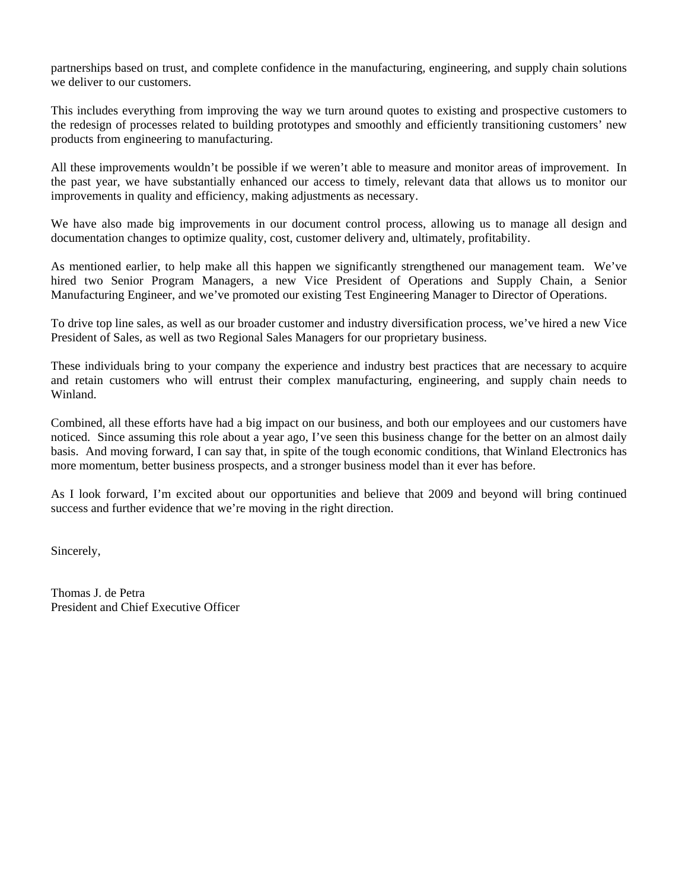partnerships based on trust, and complete confidence in the manufacturing, engineering, and supply chain solutions we deliver to our customers.

This includes everything from improving the way we turn around quotes to existing and prospective customers to the redesign of processes related to building prototypes and smoothly and efficiently transitioning customers' new products from engineering to manufacturing.

All these improvements wouldn't be possible if we weren't able to measure and monitor areas of improvement. In the past year, we have substantially enhanced our access to timely, relevant data that allows us to monitor our improvements in quality and efficiency, making adjustments as necessary.

We have also made big improvements in our document control process, allowing us to manage all design and documentation changes to optimize quality, cost, customer delivery and, ultimately, profitability.

As mentioned earlier, to help make all this happen we significantly strengthened our management team. We've hired two Senior Program Managers, a new Vice President of Operations and Supply Chain, a Senior Manufacturing Engineer, and we've promoted our existing Test Engineering Manager to Director of Operations.

To drive top line sales, as well as our broader customer and industry diversification process, we've hired a new Vice President of Sales, as well as two Regional Sales Managers for our proprietary business.

These individuals bring to your company the experience and industry best practices that are necessary to acquire and retain customers who will entrust their complex manufacturing, engineering, and supply chain needs to Winland.

Combined, all these efforts have had a big impact on our business, and both our employees and our customers have noticed. Since assuming this role about a year ago, I've seen this business change for the better on an almost daily basis. And moving forward, I can say that, in spite of the tough economic conditions, that Winland Electronics has more momentum, better business prospects, and a stronger business model than it ever has before.

As I look forward, I'm excited about our opportunities and believe that 2009 and beyond will bring continued success and further evidence that we're moving in the right direction.

Sincerely,

Thomas J. de Petra President and Chief Executive Officer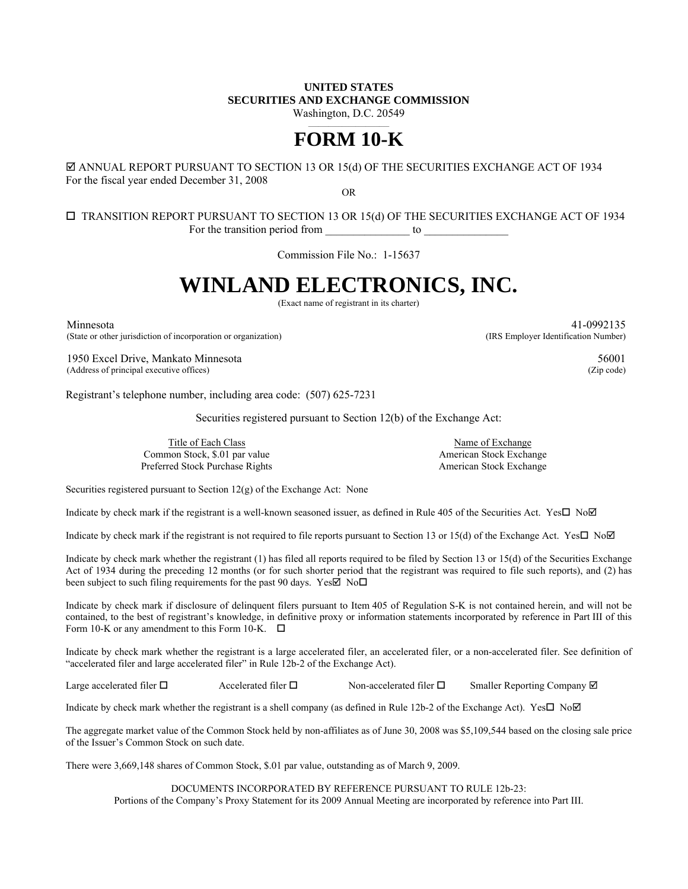## **UNITED STATES SECURITIES AND EXCHANGE COMMISSION**

Washington, D.C. 20549

# **FORM 10-K**

## ANNUAL REPORT PURSUANT TO SECTION 13 OR 15(d) OF THE SECURITIES EXCHANGE ACT OF 1934 For the fiscal year ended December 31, 2008

OR

## $\square$  TRANSITION REPORT PURSUANT TO SECTION 13 OR 15(d) OF THE SECURITIES EXCHANGE ACT OF 1934 For the transition period from  $\frac{1}{\sqrt{1-\frac{1}{n}}}\$  to  $\frac{1}{\sqrt{1-\frac{1}{n}}}\$

Commission File No.: 1-15637

# **WINLAND ELECTRONICS, INC.**

(Exact name of registrant in its charter)

Minnesota 41-0992135 (State or other jurisdiction of incorporation or organization) (IRS Employer Identification Number)

1950 Excel Drive, Mankato Minnesota 56001 (Address of principal executive offices) (Zip code)

Registrant's telephone number, including area code: (507) 625-7231

Securities registered pursuant to Section 12(b) of the Exchange Act:

Title of Each Class Name of Exchange Common Stock, \$.01 par value American Stock Exchange Preferred Stock Purchase Rights American Stock Exchange

Securities registered pursuant to Section 12(g) of the Exchange Act: None

Indicate by check mark if the registrant is a well-known seasoned issuer, as defined in Rule 405 of the Securities Act. Yes $\square$  No $\square$ 

Indicate by check mark if the registrant is not required to file reports pursuant to Section 13 or 15(d) of the Exchange Act. Yes $\Box$  No $\Box$ 

Indicate by check mark whether the registrant (1) has filed all reports required to be filed by Section 13 or 15(d) of the Securities Exchange Act of 1934 during the preceding 12 months (or for such shorter period that the registrant was required to file such reports), and (2) has been subject to such filing requirements for the past 90 days. Yes  $\overline{\boxtimes}$  No $\Box$ 

Indicate by check mark if disclosure of delinquent filers pursuant to Item 405 of Regulation S-K is not contained herein, and will not be contained, to the best of registrant's knowledge, in definitive proxy or information statements incorporated by reference in Part III of this Form 10-K or any amendment to this Form 10-K.  $\Box$ 

Indicate by check mark whether the registrant is a large accelerated filer, an accelerated filer, or a non-accelerated filer. See definition of "accelerated filer and large accelerated filer" in Rule 12b-2 of the Exchange Act).

Large accelerated filer  $\square$  Accelerated filer  $\square$  Non-accelerated filer  $\square$  Smaller Reporting Company  $\square$ 

Indicate by check mark whether the registrant is a shell company (as defined in Rule 12b-2 of the Exchange Act). Yes $\Box$  No $\Box$ 

The aggregate market value of the Common Stock held by non-affiliates as of June 30, 2008 was \$5,109,544 based on the closing sale price of the Issuer's Common Stock on such date.

There were 3,669,148 shares of Common Stock, \$.01 par value, outstanding as of March 9, 2009.

DOCUMENTS INCORPORATED BY REFERENCE PURSUANT TO RULE 12b-23: Portions of the Company's Proxy Statement for its 2009 Annual Meeting are incorporated by reference into Part III.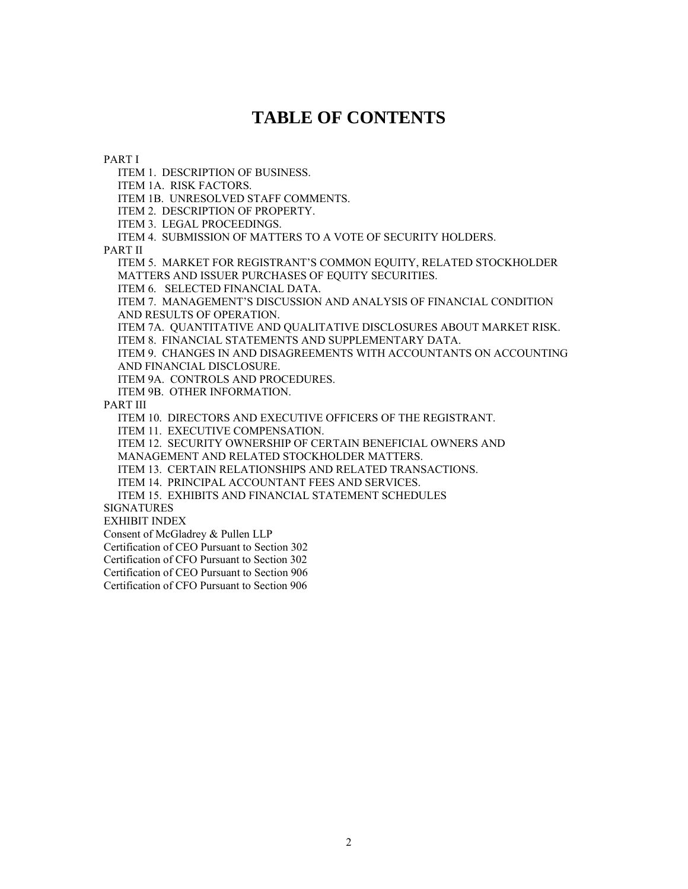## **TABLE OF CONTENTS**

PART I

ITEM 1. DESCRIPTION OF BUSINESS.

ITEM 1A. RISK FACTORS.

ITEM 1B. UNRESOLVED STAFF COMMENTS.

ITEM 2. DESCRIPTION OF PROPERTY.

ITEM 3. LEGAL PROCEEDINGS.

ITEM 4. SUBMISSION OF MATTERS TO A VOTE OF SECURITY HOLDERS.

PART II

 ITEM 5. MARKET FOR REGISTRANT'S COMMON EQUITY, RELATED STOCKHOLDER MATTERS AND ISSUER PURCHASES OF EQUITY SECURITIES.

ITEM 6. SELECTED FINANCIAL DATA.

 ITEM 7. MANAGEMENT'S DISCUSSION AND ANALYSIS OF FINANCIAL CONDITION AND RESULTS OF OPERATION.

 ITEM 7A. QUANTITATIVE AND QUALITATIVE DISCLOSURES ABOUT MARKET RISK. ITEM 8. FINANCIAL STATEMENTS AND SUPPLEMENTARY DATA.

 ITEM 9. CHANGES IN AND DISAGREEMENTS WITH ACCOUNTANTS ON ACCOUNTING AND FINANCIAL DISCLOSURE.

ITEM 9A. CONTROLS AND PROCEDURES.

ITEM 9B. OTHER INFORMATION.

PART III

ITEM 10. DIRECTORS AND EXECUTIVE OFFICERS OF THE REGISTRANT.

ITEM 11. EXECUTIVE COMPENSATION.

ITEM 12. SECURITY OWNERSHIP OF CERTAIN BENEFICIAL OWNERS AND

MANAGEMENT AND RELATED STOCKHOLDER MATTERS.

ITEM 13. CERTAIN RELATIONSHIPS AND RELATED TRANSACTIONS.

ITEM 14. PRINCIPAL ACCOUNTANT FEES AND SERVICES.

ITEM 15. EXHIBITS AND FINANCIAL STATEMENT SCHEDULES

SIGNATURES

EXHIBIT INDEX

Consent of McGladrey & Pullen LLP

Certification of CEO Pursuant to Section 302

Certification of CFO Pursuant to Section 302

Certification of CEO Pursuant to Section 906

Certification of CFO Pursuant to Section 906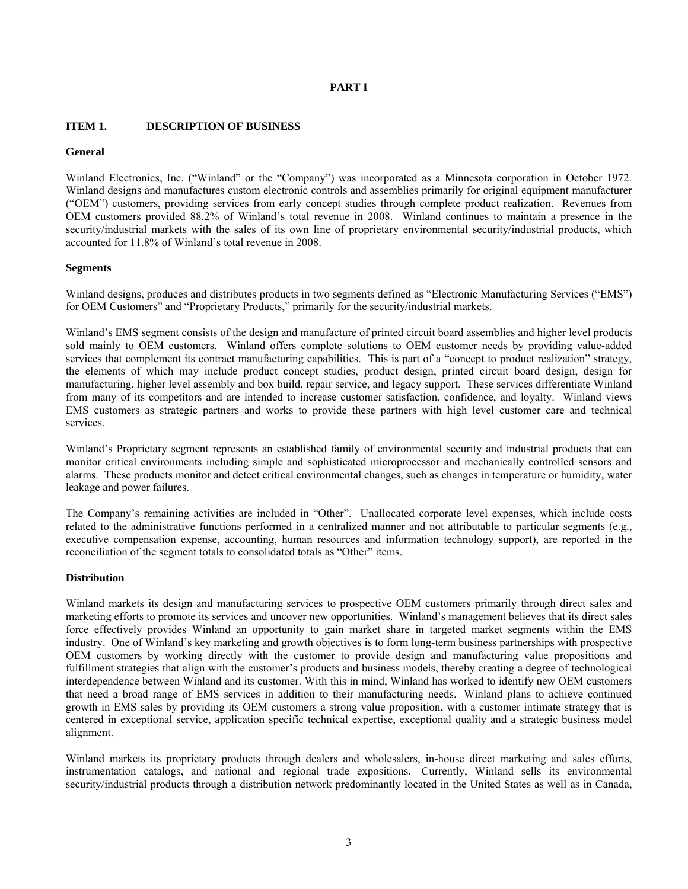## **PART I**

## **ITEM 1. DESCRIPTION OF BUSINESS**

#### **General**

Winland Electronics, Inc. ("Winland" or the "Company") was incorporated as a Minnesota corporation in October 1972. Winland designs and manufactures custom electronic controls and assemblies primarily for original equipment manufacturer ("OEM") customers, providing services from early concept studies through complete product realization. Revenues from OEM customers provided 88.2% of Winland's total revenue in 2008. Winland continues to maintain a presence in the security/industrial markets with the sales of its own line of proprietary environmental security/industrial products, which accounted for 11.8% of Winland's total revenue in 2008.

#### **Segments**

Winland designs, produces and distributes products in two segments defined as "Electronic Manufacturing Services ("EMS") for OEM Customers" and "Proprietary Products," primarily for the security/industrial markets.

Winland's EMS segment consists of the design and manufacture of printed circuit board assemblies and higher level products sold mainly to OEM customers. Winland offers complete solutions to OEM customer needs by providing value-added services that complement its contract manufacturing capabilities. This is part of a "concept to product realization" strategy, the elements of which may include product concept studies, product design, printed circuit board design, design for manufacturing, higher level assembly and box build, repair service, and legacy support. These services differentiate Winland from many of its competitors and are intended to increase customer satisfaction, confidence, and loyalty. Winland views EMS customers as strategic partners and works to provide these partners with high level customer care and technical services.

Winland's Proprietary segment represents an established family of environmental security and industrial products that can monitor critical environments including simple and sophisticated microprocessor and mechanically controlled sensors and alarms. These products monitor and detect critical environmental changes, such as changes in temperature or humidity, water leakage and power failures.

The Company's remaining activities are included in "Other". Unallocated corporate level expenses, which include costs related to the administrative functions performed in a centralized manner and not attributable to particular segments (e.g., executive compensation expense, accounting, human resources and information technology support), are reported in the reconciliation of the segment totals to consolidated totals as "Other" items.

#### **Distribution**

Winland markets its design and manufacturing services to prospective OEM customers primarily through direct sales and marketing efforts to promote its services and uncover new opportunities. Winland's management believes that its direct sales force effectively provides Winland an opportunity to gain market share in targeted market segments within the EMS industry. One of Winland's key marketing and growth objectives is to form long-term business partnerships with prospective OEM customers by working directly with the customer to provide design and manufacturing value propositions and fulfillment strategies that align with the customer's products and business models, thereby creating a degree of technological interdependence between Winland and its customer. With this in mind, Winland has worked to identify new OEM customers that need a broad range of EMS services in addition to their manufacturing needs. Winland plans to achieve continued growth in EMS sales by providing its OEM customers a strong value proposition, with a customer intimate strategy that is centered in exceptional service, application specific technical expertise, exceptional quality and a strategic business model alignment.

Winland markets its proprietary products through dealers and wholesalers, in-house direct marketing and sales efforts, instrumentation catalogs, and national and regional trade expositions. Currently, Winland sells its environmental security/industrial products through a distribution network predominantly located in the United States as well as in Canada,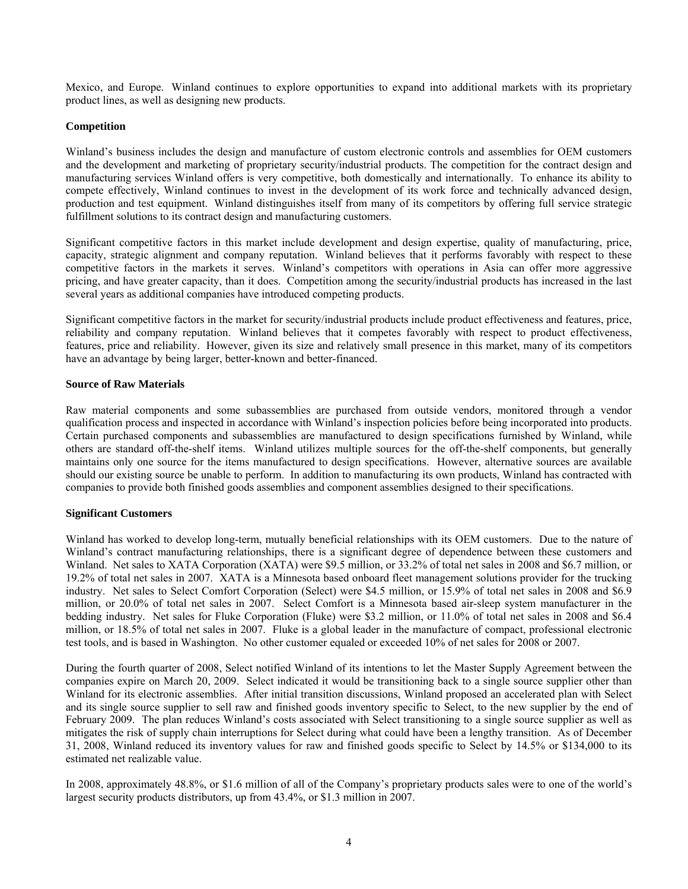Mexico, and Europe. Winland continues to explore opportunities to expand into additional markets with its proprietary product lines, as well as designing new products.

#### **Competition**

Winland's business includes the design and manufacture of custom electronic controls and assemblies for OEM customers and the development and marketing of proprietary security/industrial products. The competition for the contract design and manufacturing services Winland offers is very competitive, both domestically and internationally. To enhance its ability to compete effectively, Winland continues to invest in the development of its work force and technically advanced design, production and test equipment. Winland distinguishes itself from many of its competitors by offering full service strategic fulfillment solutions to its contract design and manufacturing customers.

Significant competitive factors in this market include development and design expertise, quality of manufacturing, price, capacity, strategic alignment and company reputation. Winland believes that it performs favorably with respect to these competitive factors in the markets it serves. Winland's competitors with operations in Asia can offer more aggressive pricing, and have greater capacity, than it does. Competition among the security/industrial products has increased in the last several years as additional companies have introduced competing products.

Significant competitive factors in the market for security/industrial products include product effectiveness and features, price, reliability and company reputation. Winland believes that it competes favorably with respect to product effectiveness, features, price and reliability. However, given its size and relatively small presence in this market, many of its competitors have an advantage by being larger, better-known and better-financed.

#### **Source of Raw Materials**

Raw material components and some subassemblies are purchased from outside vendors, monitored through a vendor qualification process and inspected in accordance with Winland's inspection policies before being incorporated into products. Certain purchased components and subassemblies are manufactured to design specifications furnished by Winland, while others are standard off-the-shelf items. Winland utilizes multiple sources for the off-the-shelf components, but generally maintains only one source for the items manufactured to design specifications. However, alternative sources are available should our existing source be unable to perform. In addition to manufacturing its own products, Winland has contracted with companies to provide both finished goods assemblies and component assemblies designed to their specifications.

#### **Significant Customers**

Winland has worked to develop long-term, mutually beneficial relationships with its OEM customers. Due to the nature of Winland's contract manufacturing relationships, there is a significant degree of dependence between these customers and Winland. Net sales to XATA Corporation (XATA) were \$9.5 million, or 33.2% of total net sales in 2008 and \$6.7 million, or 19.2% of total net sales in 2007. XATA is a Minnesota based onboard fleet management solutions provider for the trucking industry. Net sales to Select Comfort Corporation (Select) were \$4.5 million, or 15.9% of total net sales in 2008 and \$6.9 million, or 20.0% of total net sales in 2007. Select Comfort is a Minnesota based air-sleep system manufacturer in the bedding industry. Net sales for Fluke Corporation (Fluke) were \$3.2 million, or 11.0% of total net sales in 2008 and \$6.4 million, or 18.5% of total net sales in 2007. Fluke is a global leader in the manufacture of compact, professional electronic test tools, and is based in Washington. No other customer equaled or exceeded 10% of net sales for 2008 or 2007.

During the fourth quarter of 2008, Select notified Winland of its intentions to let the Master Supply Agreement between the companies expire on March 20, 2009. Select indicated it would be transitioning back to a single source supplier other than Winland for its electronic assemblies. After initial transition discussions, Winland proposed an accelerated plan with Select and its single source supplier to sell raw and finished goods inventory specific to Select, to the new supplier by the end of February 2009. The plan reduces Winland's costs associated with Select transitioning to a single source supplier as well as mitigates the risk of supply chain interruptions for Select during what could have been a lengthy transition. As of December 31, 2008, Winland reduced its inventory values for raw and finished goods specific to Select by 14.5% or \$134,000 to its estimated net realizable value.

In 2008, approximately 48.8%, or \$1.6 million of all of the Company's proprietary products sales were to one of the world's largest security products distributors, up from 43.4%, or \$1.3 million in 2007.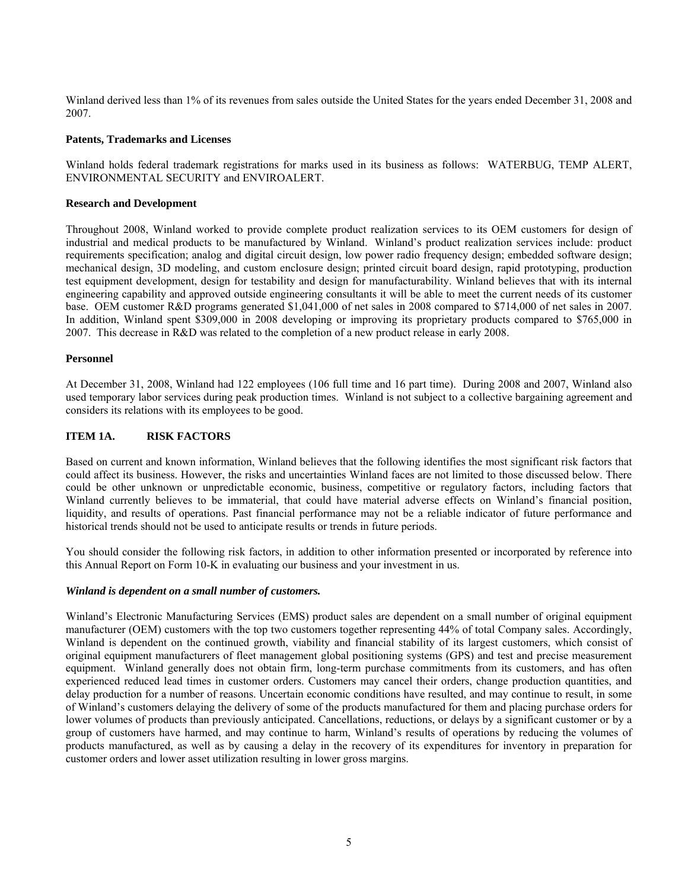Winland derived less than 1% of its revenues from sales outside the United States for the years ended December 31, 2008 and 2007.

#### **Patents, Trademarks and Licenses**

Winland holds federal trademark registrations for marks used in its business as follows: WATERBUG, TEMP ALERT, ENVIRONMENTAL SECURITY and ENVIROALERT.

#### **Research and Development**

Throughout 2008, Winland worked to provide complete product realization services to its OEM customers for design of industrial and medical products to be manufactured by Winland. Winland's product realization services include: product requirements specification; analog and digital circuit design, low power radio frequency design; embedded software design; mechanical design, 3D modeling, and custom enclosure design; printed circuit board design, rapid prototyping, production test equipment development, design for testability and design for manufacturability. Winland believes that with its internal engineering capability and approved outside engineering consultants it will be able to meet the current needs of its customer base. OEM customer R&D programs generated \$1,041,000 of net sales in 2008 compared to \$714,000 of net sales in 2007. In addition, Winland spent \$309,000 in 2008 developing or improving its proprietary products compared to \$765,000 in 2007. This decrease in R&D was related to the completion of a new product release in early 2008.

#### **Personnel**

At December 31, 2008, Winland had 122 employees (106 full time and 16 part time). During 2008 and 2007, Winland also used temporary labor services during peak production times. Winland is not subject to a collective bargaining agreement and considers its relations with its employees to be good.

## **ITEM 1A. RISK FACTORS**

Based on current and known information, Winland believes that the following identifies the most significant risk factors that could affect its business. However, the risks and uncertainties Winland faces are not limited to those discussed below. There could be other unknown or unpredictable economic, business, competitive or regulatory factors, including factors that Winland currently believes to be immaterial, that could have material adverse effects on Winland's financial position, liquidity, and results of operations. Past financial performance may not be a reliable indicator of future performance and historical trends should not be used to anticipate results or trends in future periods.

You should consider the following risk factors, in addition to other information presented or incorporated by reference into this Annual Report on Form 10-K in evaluating our business and your investment in us.

#### *Winland is dependent on a small number of customers.*

Winland's Electronic Manufacturing Services (EMS) product sales are dependent on a small number of original equipment manufacturer (OEM) customers with the top two customers together representing 44% of total Company sales. Accordingly, Winland is dependent on the continued growth, viability and financial stability of its largest customers, which consist of original equipment manufacturers of fleet management global positioning systems (GPS) and test and precise measurement equipment. Winland generally does not obtain firm, long-term purchase commitments from its customers, and has often experienced reduced lead times in customer orders. Customers may cancel their orders, change production quantities, and delay production for a number of reasons. Uncertain economic conditions have resulted, and may continue to result, in some of Winland's customers delaying the delivery of some of the products manufactured for them and placing purchase orders for lower volumes of products than previously anticipated. Cancellations, reductions, or delays by a significant customer or by a group of customers have harmed, and may continue to harm, Winland's results of operations by reducing the volumes of products manufactured, as well as by causing a delay in the recovery of its expenditures for inventory in preparation for customer orders and lower asset utilization resulting in lower gross margins.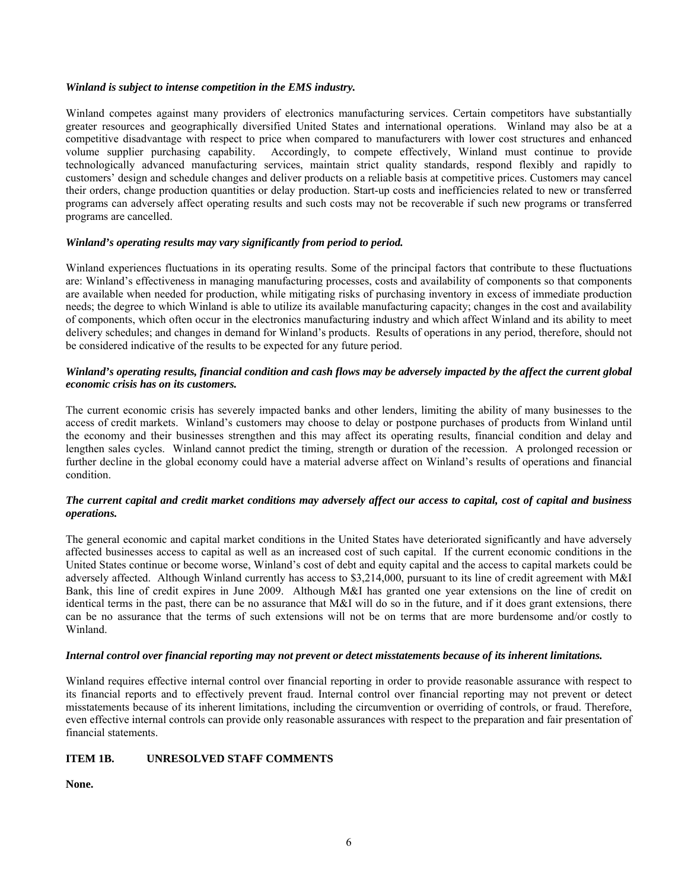#### *Winland is subject to intense competition in the EMS industry.*

Winland competes against many providers of electronics manufacturing services. Certain competitors have substantially greater resources and geographically diversified United States and international operations. Winland may also be at a competitive disadvantage with respect to price when compared to manufacturers with lower cost structures and enhanced volume supplier purchasing capability. Accordingly, to compete effectively, Winland must continue to provide technologically advanced manufacturing services, maintain strict quality standards, respond flexibly and rapidly to customers' design and schedule changes and deliver products on a reliable basis at competitive prices. Customers may cancel their orders, change production quantities or delay production. Start-up costs and inefficiencies related to new or transferred programs can adversely affect operating results and such costs may not be recoverable if such new programs or transferred programs are cancelled.

## *Winland's operating results may vary significantly from period to period.*

Winland experiences fluctuations in its operating results. Some of the principal factors that contribute to these fluctuations are: Winland's effectiveness in managing manufacturing processes, costs and availability of components so that components are available when needed for production, while mitigating risks of purchasing inventory in excess of immediate production needs; the degree to which Winland is able to utilize its available manufacturing capacity; changes in the cost and availability of components, which often occur in the electronics manufacturing industry and which affect Winland and its ability to meet delivery schedules; and changes in demand for Winland's products. Results of operations in any period, therefore, should not be considered indicative of the results to be expected for any future period.

### *Winland's operating results, financial condition and cash flows may be adversely impacted by the affect the current global economic crisis has on its customers.*

The current economic crisis has severely impacted banks and other lenders, limiting the ability of many businesses to the access of credit markets. Winland's customers may choose to delay or postpone purchases of products from Winland until the economy and their businesses strengthen and this may affect its operating results, financial condition and delay and lengthen sales cycles. Winland cannot predict the timing, strength or duration of the recession. A prolonged recession or further decline in the global economy could have a material adverse affect on Winland's results of operations and financial condition.

#### *The current capital and credit market conditions may adversely affect our access to capital, cost of capital and business operations.*

The general economic and capital market conditions in the United States have deteriorated significantly and have adversely affected businesses access to capital as well as an increased cost of such capital. If the current economic conditions in the United States continue or become worse, Winland's cost of debt and equity capital and the access to capital markets could be adversely affected. Although Winland currently has access to \$3,214,000, pursuant to its line of credit agreement with M&I Bank, this line of credit expires in June 2009. Although M&I has granted one year extensions on the line of credit on identical terms in the past, there can be no assurance that M&I will do so in the future, and if it does grant extensions, there can be no assurance that the terms of such extensions will not be on terms that are more burdensome and/or costly to Winland.

#### *Internal control over financial reporting may not prevent or detect misstatements because of its inherent limitations.*

Winland requires effective internal control over financial reporting in order to provide reasonable assurance with respect to its financial reports and to effectively prevent fraud. Internal control over financial reporting may not prevent or detect misstatements because of its inherent limitations, including the circumvention or overriding of controls, or fraud. Therefore, even effective internal controls can provide only reasonable assurances with respect to the preparation and fair presentation of financial statements.

## **ITEM 1B. UNRESOLVED STAFF COMMENTS**

**None.**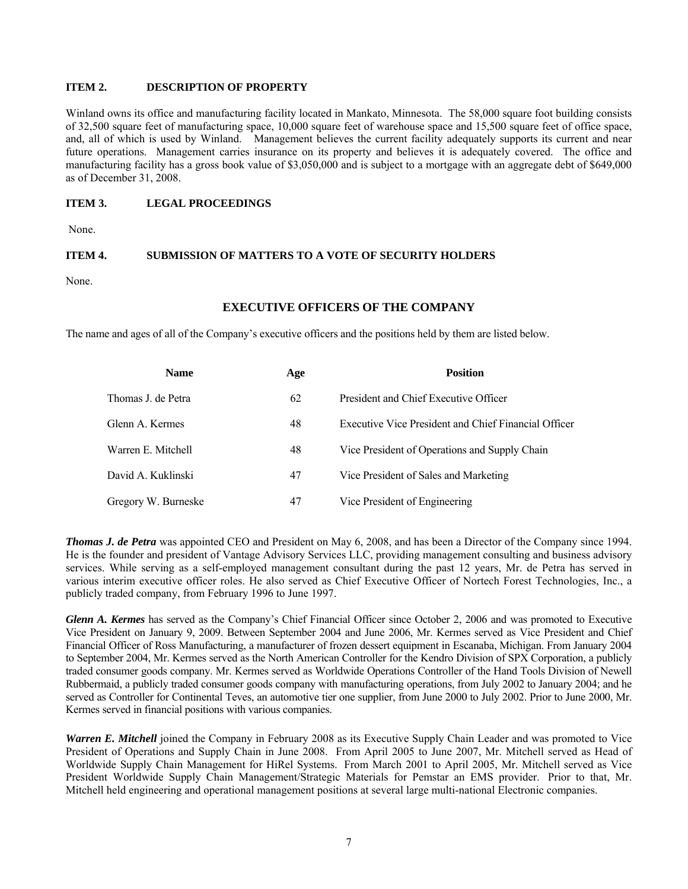## **ITEM 2. DESCRIPTION OF PROPERTY**

Winland owns its office and manufacturing facility located in Mankato, Minnesota. The 58,000 square foot building consists of 32,500 square feet of manufacturing space, 10,000 square feet of warehouse space and 15,500 square feet of office space, and, all of which is used by Winland. Management believes the current facility adequately supports its current and near future operations. Management carries insurance on its property and believes it is adequately covered. The office and manufacturing facility has a gross book value of \$3,050,000 and is subject to a mortgage with an aggregate debt of \$649,000 as of December 31, 2008.

## **ITEM 3. LEGAL PROCEEDINGS**

None.

#### **ITEM 4. SUBMISSION OF MATTERS TO A VOTE OF SECURITY HOLDERS**

None.

#### **EXECUTIVE OFFICERS OF THE COMPANY**

The name and ages of all of the Company's executive officers and the positions held by them are listed below.

| <b>Name</b>         | Age | <b>Position</b>                                      |
|---------------------|-----|------------------------------------------------------|
| Thomas J. de Petra  | 62  | President and Chief Executive Officer                |
| Glenn A. Kermes     | 48  | Executive Vice President and Chief Financial Officer |
| Warren E. Mitchell  | 48  | Vice President of Operations and Supply Chain        |
| David A. Kuklinski  | 47  | Vice President of Sales and Marketing                |
| Gregory W. Burneske | 47  | Vice President of Engineering                        |

*Thomas J. de Petra* was appointed CEO and President on May 6, 2008, and has been a Director of the Company since 1994. He is the founder and president of Vantage Advisory Services LLC, providing management consulting and business advisory services. While serving as a self-employed management consultant during the past 12 years, Mr. de Petra has served in various interim executive officer roles. He also served as Chief Executive Officer of Nortech Forest Technologies, Inc., a publicly traded company, from February 1996 to June 1997.

*Glenn A. Kermes* has served as the Company's Chief Financial Officer since October 2, 2006 and was promoted to Executive Vice President on January 9, 2009. Between September 2004 and June 2006, Mr. Kermes served as Vice President and Chief Financial Officer of Ross Manufacturing, a manufacturer of frozen dessert equipment in Escanaba, Michigan. From January 2004 to September 2004, Mr. Kermes served as the North American Controller for the Kendro Division of SPX Corporation, a publicly traded consumer goods company. Mr. Kermes served as Worldwide Operations Controller of the Hand Tools Division of Newell Rubbermaid, a publicly traded consumer goods company with manufacturing operations, from July 2002 to January 2004; and he served as Controller for Continental Teves, an automotive tier one supplier, from June 2000 to July 2002. Prior to June 2000, Mr. Kermes served in financial positions with various companies.

*Warren E. Mitchell* joined the Company in February 2008 as its Executive Supply Chain Leader and was promoted to Vice President of Operations and Supply Chain in June 2008. From April 2005 to June 2007, Mr. Mitchell served as Head of Worldwide Supply Chain Management for HiRel Systems. From March 2001 to April 2005, Mr. Mitchell served as Vice President Worldwide Supply Chain Management/Strategic Materials for Pemstar an EMS provider. Prior to that, Mr. Mitchell held engineering and operational management positions at several large multi-national Electronic companies.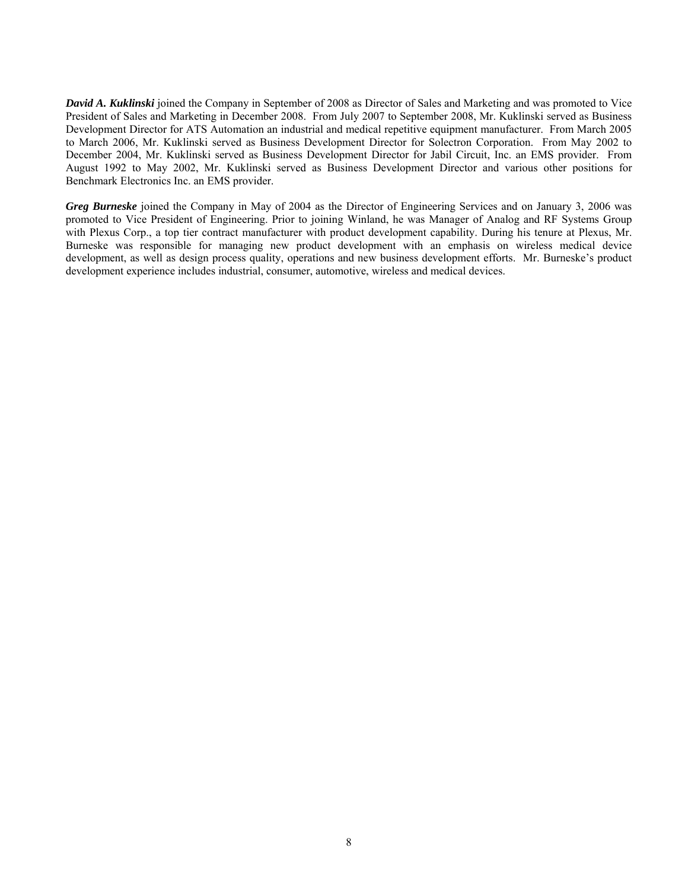*David A. Kuklinski* joined the Company in September of 2008 as Director of Sales and Marketing and was promoted to Vice President of Sales and Marketing in December 2008. From July 2007 to September 2008, Mr. Kuklinski served as Business Development Director for ATS Automation an industrial and medical repetitive equipment manufacturer. From March 2005 to March 2006, Mr. Kuklinski served as Business Development Director for Solectron Corporation. From May 2002 to December 2004, Mr. Kuklinski served as Business Development Director for Jabil Circuit, Inc. an EMS provider. From August 1992 to May 2002, Mr. Kuklinski served as Business Development Director and various other positions for Benchmark Electronics Inc. an EMS provider.

*Greg Burneske* joined the Company in May of 2004 as the Director of Engineering Services and on January 3, 2006 was promoted to Vice President of Engineering. Prior to joining Winland, he was Manager of Analog and RF Systems Group with Plexus Corp., a top tier contract manufacturer with product development capability. During his tenure at Plexus, Mr. Burneske was responsible for managing new product development with an emphasis on wireless medical device development, as well as design process quality, operations and new business development efforts. Mr. Burneske's product development experience includes industrial, consumer, automotive, wireless and medical devices.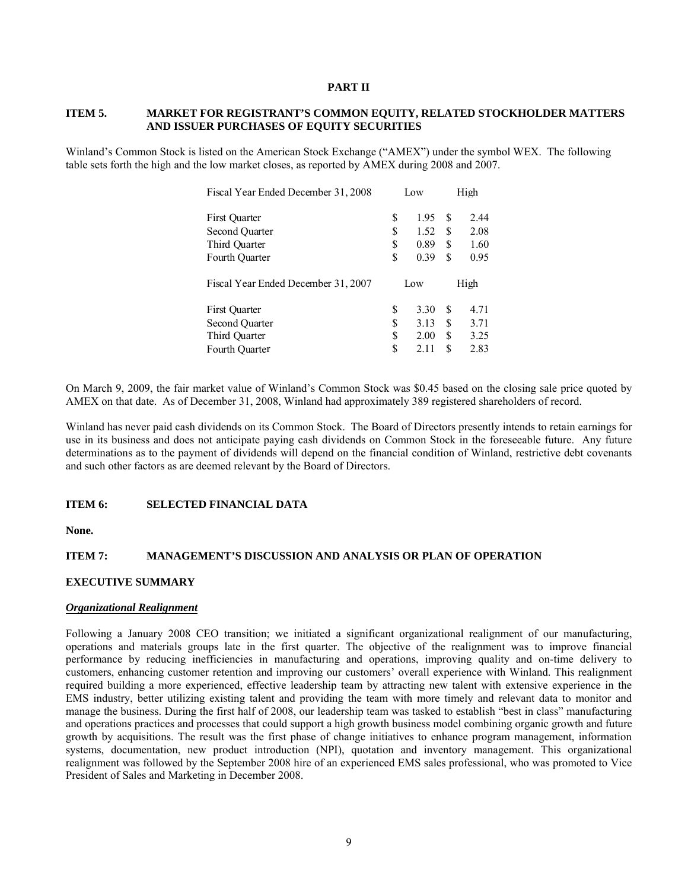#### **PART II**

#### **ITEM 5. MARKET FOR REGISTRANT'S COMMON EQUITY, RELATED STOCKHOLDER MATTERS AND ISSUER PURCHASES OF EQUITY SECURITIES**

Winland's Common Stock is listed on the American Stock Exchange ("AMEX") under the symbol WEX. The following table sets forth the high and the low market closes, as reported by AMEX during 2008 and 2007.

| Fiscal Year Ended December 31, 2008 | Low |      | High |      |  |
|-------------------------------------|-----|------|------|------|--|
| First Quarter                       | \$  | 1.95 | S    | 2.44 |  |
| Second Ouarter                      | \$  | 1.52 | S    | 2.08 |  |
| Third Quarter                       | \$  | 0.89 | S    | 1.60 |  |
| Fourth Ouarter                      | \$  | 0.39 | S    | 0.95 |  |
| Fiscal Year Ended December 31, 2007 |     | Low  |      | High |  |
| First Quarter                       | \$  | 3.30 | S    | 4.71 |  |
| Second Quarter                      | \$  | 3.13 | S    | 3.71 |  |
| Third Quarter                       | \$  | 2.00 | S    | 3.25 |  |
| Fourth Quarter                      | \$  | 2.11 | \$   | 2.83 |  |

On March 9, 2009, the fair market value of Winland's Common Stock was \$0.45 based on the closing sale price quoted by AMEX on that date. As of December 31, 2008, Winland had approximately 389 registered shareholders of record.

Winland has never paid cash dividends on its Common Stock. The Board of Directors presently intends to retain earnings for use in its business and does not anticipate paying cash dividends on Common Stock in the foreseeable future. Any future determinations as to the payment of dividends will depend on the financial condition of Winland, restrictive debt covenants and such other factors as are deemed relevant by the Board of Directors.

#### **ITEM 6: SELECTED FINANCIAL DATA**

**None.** 

## **ITEM 7: MANAGEMENT'S DISCUSSION AND ANALYSIS OR PLAN OF OPERATION**

## **EXECUTIVE SUMMARY**

#### *Organizational Realignment*

Following a January 2008 CEO transition; we initiated a significant organizational realignment of our manufacturing, operations and materials groups late in the first quarter. The objective of the realignment was to improve financial performance by reducing inefficiencies in manufacturing and operations, improving quality and on-time delivery to customers, enhancing customer retention and improving our customers' overall experience with Winland. This realignment required building a more experienced, effective leadership team by attracting new talent with extensive experience in the EMS industry, better utilizing existing talent and providing the team with more timely and relevant data to monitor and manage the business. During the first half of 2008, our leadership team was tasked to establish "best in class" manufacturing and operations practices and processes that could support a high growth business model combining organic growth and future growth by acquisitions. The result was the first phase of change initiatives to enhance program management, information systems, documentation, new product introduction (NPI), quotation and inventory management. This organizational realignment was followed by the September 2008 hire of an experienced EMS sales professional, who was promoted to Vice President of Sales and Marketing in December 2008.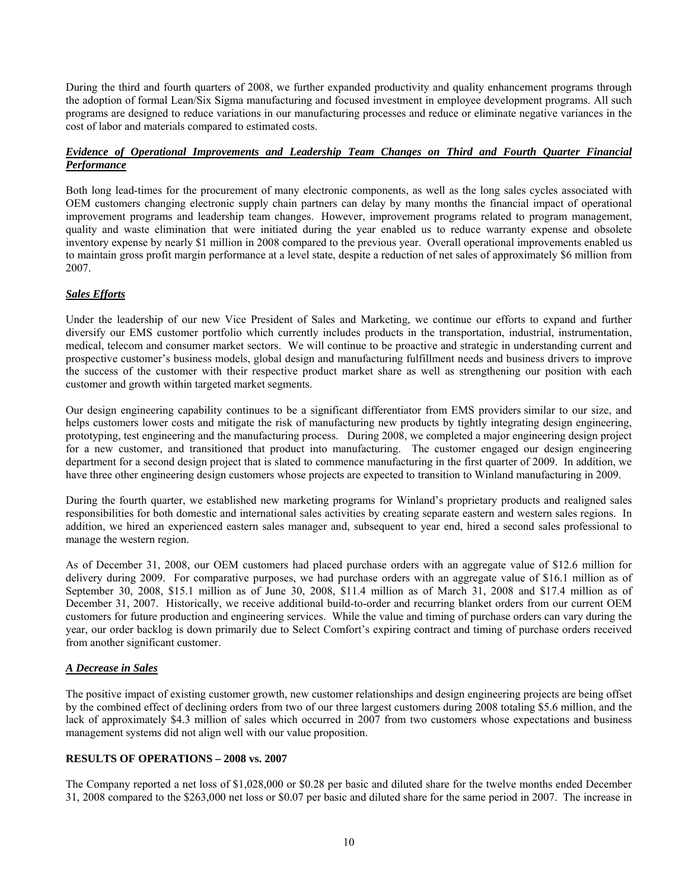During the third and fourth quarters of 2008, we further expanded productivity and quality enhancement programs through the adoption of formal Lean/Six Sigma manufacturing and focused investment in employee development programs. All such programs are designed to reduce variations in our manufacturing processes and reduce or eliminate negative variances in the cost of labor and materials compared to estimated costs.

## *Evidence of Operational Improvements and Leadership Team Changes on Third and Fourth Quarter Financial Performance*

Both long lead-times for the procurement of many electronic components, as well as the long sales cycles associated with OEM customers changing electronic supply chain partners can delay by many months the financial impact of operational improvement programs and leadership team changes. However, improvement programs related to program management, quality and waste elimination that were initiated during the year enabled us to reduce warranty expense and obsolete inventory expense by nearly \$1 million in 2008 compared to the previous year. Overall operational improvements enabled us to maintain gross profit margin performance at a level state, despite a reduction of net sales of approximately \$6 million from 2007.

## *Sales Efforts*

Under the leadership of our new Vice President of Sales and Marketing, we continue our efforts to expand and further diversify our EMS customer portfolio which currently includes products in the transportation, industrial, instrumentation, medical, telecom and consumer market sectors. We will continue to be proactive and strategic in understanding current and prospective customer's business models, global design and manufacturing fulfillment needs and business drivers to improve the success of the customer with their respective product market share as well as strengthening our position with each customer and growth within targeted market segments.

Our design engineering capability continues to be a significant differentiator from EMS providers similar to our size, and helps customers lower costs and mitigate the risk of manufacturing new products by tightly integrating design engineering, prototyping, test engineering and the manufacturing process. During 2008, we completed a major engineering design project for a new customer, and transitioned that product into manufacturing. The customer engaged our design engineering department for a second design project that is slated to commence manufacturing in the first quarter of 2009. In addition, we have three other engineering design customers whose projects are expected to transition to Winland manufacturing in 2009.

During the fourth quarter, we established new marketing programs for Winland's proprietary products and realigned sales responsibilities for both domestic and international sales activities by creating separate eastern and western sales regions. In addition, we hired an experienced eastern sales manager and, subsequent to year end, hired a second sales professional to manage the western region.

As of December 31, 2008, our OEM customers had placed purchase orders with an aggregate value of \$12.6 million for delivery during 2009. For comparative purposes, we had purchase orders with an aggregate value of \$16.1 million as of September 30, 2008, \$15.1 million as of June 30, 2008, \$11.4 million as of March 31, 2008 and \$17.4 million as of December 31, 2007. Historically, we receive additional build-to-order and recurring blanket orders from our current OEM customers for future production and engineering services. While the value and timing of purchase orders can vary during the year, our order backlog is down primarily due to Select Comfort's expiring contract and timing of purchase orders received from another significant customer.

## *A Decrease in Sales*

The positive impact of existing customer growth, new customer relationships and design engineering projects are being offset by the combined effect of declining orders from two of our three largest customers during 2008 totaling \$5.6 million, and the lack of approximately \$4.3 million of sales which occurred in 2007 from two customers whose expectations and business management systems did not align well with our value proposition.

## **RESULTS OF OPERATIONS – 2008 vs. 2007**

The Company reported a net loss of \$1,028,000 or \$0.28 per basic and diluted share for the twelve months ended December 31, 2008 compared to the \$263,000 net loss or \$0.07 per basic and diluted share for the same period in 2007. The increase in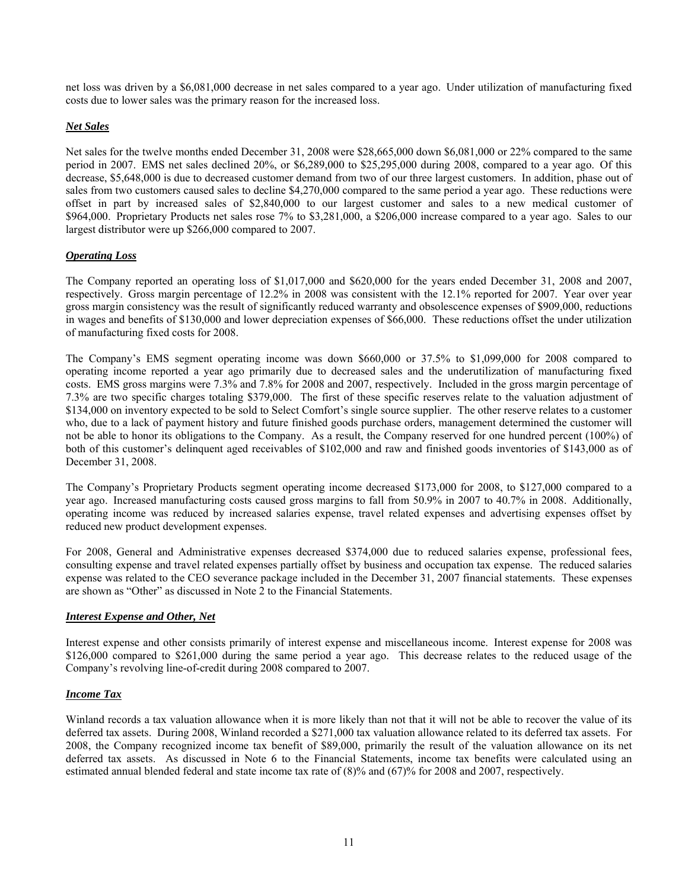net loss was driven by a \$6,081,000 decrease in net sales compared to a year ago. Under utilization of manufacturing fixed costs due to lower sales was the primary reason for the increased loss.

## *Net Sales*

Net sales for the twelve months ended December 31, 2008 were \$28,665,000 down \$6,081,000 or 22% compared to the same period in 2007. EMS net sales declined 20%, or \$6,289,000 to \$25,295,000 during 2008, compared to a year ago. Of this decrease, \$5,648,000 is due to decreased customer demand from two of our three largest customers. In addition, phase out of sales from two customers caused sales to decline \$4,270,000 compared to the same period a year ago. These reductions were offset in part by increased sales of \$2,840,000 to our largest customer and sales to a new medical customer of \$964,000. Proprietary Products net sales rose 7% to \$3,281,000, a \$206,000 increase compared to a year ago. Sales to our largest distributor were up \$266,000 compared to 2007.

## *Operating Loss*

The Company reported an operating loss of \$1,017,000 and \$620,000 for the years ended December 31, 2008 and 2007, respectively. Gross margin percentage of 12.2% in 2008 was consistent with the 12.1% reported for 2007. Year over year gross margin consistency was the result of significantly reduced warranty and obsolescence expenses of \$909,000, reductions in wages and benefits of \$130,000 and lower depreciation expenses of \$66,000. These reductions offset the under utilization of manufacturing fixed costs for 2008.

The Company's EMS segment operating income was down \$660,000 or 37.5% to \$1,099,000 for 2008 compared to operating income reported a year ago primarily due to decreased sales and the underutilization of manufacturing fixed costs. EMS gross margins were 7.3% and 7.8% for 2008 and 2007, respectively. Included in the gross margin percentage of 7.3% are two specific charges totaling \$379,000. The first of these specific reserves relate to the valuation adjustment of \$134,000 on inventory expected to be sold to Select Comfort's single source supplier. The other reserve relates to a customer who, due to a lack of payment history and future finished goods purchase orders, management determined the customer will not be able to honor its obligations to the Company. As a result, the Company reserved for one hundred percent (100%) of both of this customer's delinquent aged receivables of \$102,000 and raw and finished goods inventories of \$143,000 as of December 31, 2008.

The Company's Proprietary Products segment operating income decreased \$173,000 for 2008, to \$127,000 compared to a year ago. Increased manufacturing costs caused gross margins to fall from 50.9% in 2007 to 40.7% in 2008. Additionally, operating income was reduced by increased salaries expense, travel related expenses and advertising expenses offset by reduced new product development expenses.

For 2008, General and Administrative expenses decreased \$374,000 due to reduced salaries expense, professional fees, consulting expense and travel related expenses partially offset by business and occupation tax expense. The reduced salaries expense was related to the CEO severance package included in the December 31, 2007 financial statements. These expenses are shown as "Other" as discussed in Note 2 to the Financial Statements.

## *Interest Expense and Other, Net*

Interest expense and other consists primarily of interest expense and miscellaneous income. Interest expense for 2008 was \$126,000 compared to \$261,000 during the same period a year ago. This decrease relates to the reduced usage of the Company's revolving line-of-credit during 2008 compared to 2007.

## *Income Tax*

Winland records a tax valuation allowance when it is more likely than not that it will not be able to recover the value of its deferred tax assets. During 2008, Winland recorded a \$271,000 tax valuation allowance related to its deferred tax assets. For 2008, the Company recognized income tax benefit of \$89,000, primarily the result of the valuation allowance on its net deferred tax assets. As discussed in Note 6 to the Financial Statements, income tax benefits were calculated using an estimated annual blended federal and state income tax rate of (8)% and (67)% for 2008 and 2007, respectively.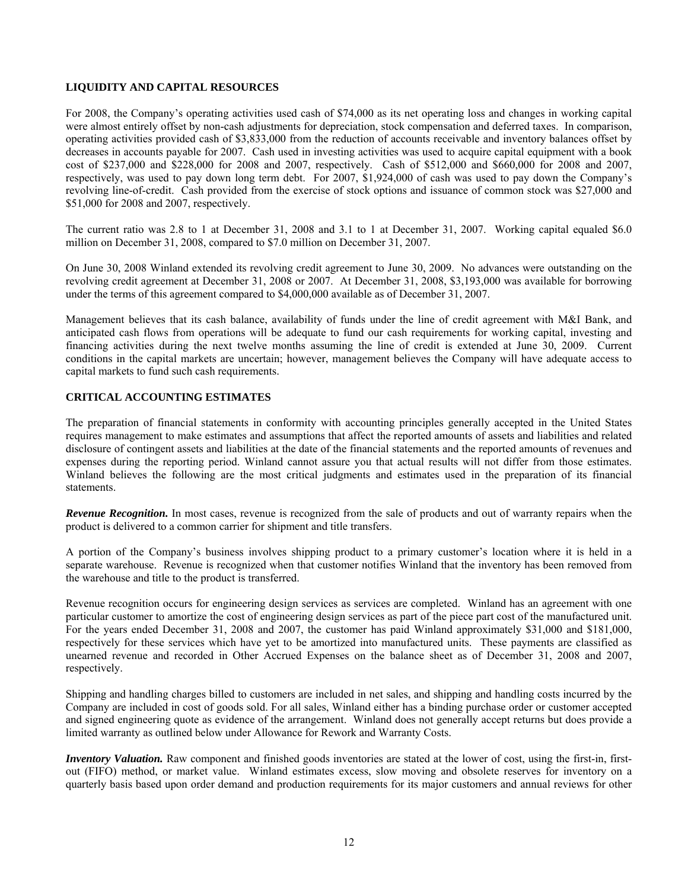## **LIQUIDITY AND CAPITAL RESOURCES**

For 2008, the Company's operating activities used cash of \$74,000 as its net operating loss and changes in working capital were almost entirely offset by non-cash adjustments for depreciation, stock compensation and deferred taxes. In comparison, operating activities provided cash of \$3,833,000 from the reduction of accounts receivable and inventory balances offset by decreases in accounts payable for 2007. Cash used in investing activities was used to acquire capital equipment with a book cost of \$237,000 and \$228,000 for 2008 and 2007, respectively. Cash of \$512,000 and \$660,000 for 2008 and 2007, respectively, was used to pay down long term debt. For 2007, \$1,924,000 of cash was used to pay down the Company's revolving line-of-credit. Cash provided from the exercise of stock options and issuance of common stock was \$27,000 and \$51,000 for 2008 and 2007, respectively.

The current ratio was 2.8 to 1 at December 31, 2008 and 3.1 to 1 at December 31, 2007. Working capital equaled \$6.0 million on December 31, 2008, compared to \$7.0 million on December 31, 2007.

On June 30, 2008 Winland extended its revolving credit agreement to June 30, 2009. No advances were outstanding on the revolving credit agreement at December 31, 2008 or 2007. At December 31, 2008, \$3,193,000 was available for borrowing under the terms of this agreement compared to \$4,000,000 available as of December 31, 2007.

Management believes that its cash balance, availability of funds under the line of credit agreement with M&I Bank, and anticipated cash flows from operations will be adequate to fund our cash requirements for working capital, investing and financing activities during the next twelve months assuming the line of credit is extended at June 30, 2009. Current conditions in the capital markets are uncertain; however, management believes the Company will have adequate access to capital markets to fund such cash requirements.

#### **CRITICAL ACCOUNTING ESTIMATES**

The preparation of financial statements in conformity with accounting principles generally accepted in the United States requires management to make estimates and assumptions that affect the reported amounts of assets and liabilities and related disclosure of contingent assets and liabilities at the date of the financial statements and the reported amounts of revenues and expenses during the reporting period. Winland cannot assure you that actual results will not differ from those estimates. Winland believes the following are the most critical judgments and estimates used in the preparation of its financial statements.

*Revenue Recognition.* In most cases, revenue is recognized from the sale of products and out of warranty repairs when the product is delivered to a common carrier for shipment and title transfers.

A portion of the Company's business involves shipping product to a primary customer's location where it is held in a separate warehouse. Revenue is recognized when that customer notifies Winland that the inventory has been removed from the warehouse and title to the product is transferred.

Revenue recognition occurs for engineering design services as services are completed. Winland has an agreement with one particular customer to amortize the cost of engineering design services as part of the piece part cost of the manufactured unit. For the years ended December 31, 2008 and 2007, the customer has paid Winland approximately \$31,000 and \$181,000, respectively for these services which have yet to be amortized into manufactured units. These payments are classified as unearned revenue and recorded in Other Accrued Expenses on the balance sheet as of December 31, 2008 and 2007, respectively.

Shipping and handling charges billed to customers are included in net sales, and shipping and handling costs incurred by the Company are included in cost of goods sold. For all sales, Winland either has a binding purchase order or customer accepted and signed engineering quote as evidence of the arrangement. Winland does not generally accept returns but does provide a limited warranty as outlined below under Allowance for Rework and Warranty Costs.

*Inventory Valuation.* Raw component and finished goods inventories are stated at the lower of cost, using the first-in, firstout (FIFO) method, or market value. Winland estimates excess, slow moving and obsolete reserves for inventory on a quarterly basis based upon order demand and production requirements for its major customers and annual reviews for other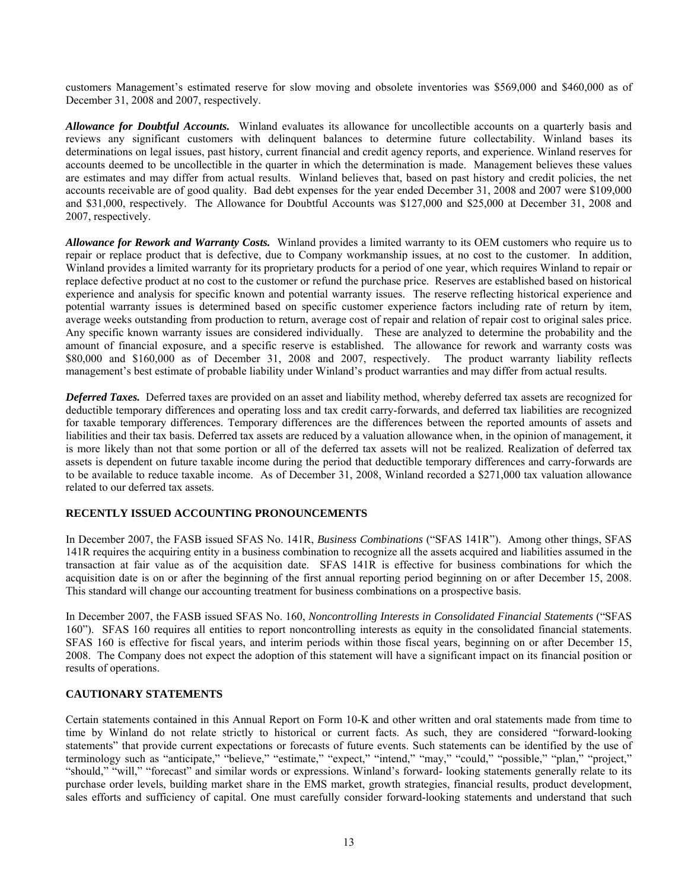customers Management's estimated reserve for slow moving and obsolete inventories was \$569,000 and \$460,000 as of December 31, 2008 and 2007, respectively.

*Allowance for Doubtful Accounts.* Winland evaluates its allowance for uncollectible accounts on a quarterly basis and reviews any significant customers with delinquent balances to determine future collectability. Winland bases its determinations on legal issues, past history, current financial and credit agency reports, and experience. Winland reserves for accounts deemed to be uncollectible in the quarter in which the determination is made. Management believes these values are estimates and may differ from actual results. Winland believes that, based on past history and credit policies, the net accounts receivable are of good quality. Bad debt expenses for the year ended December 31, 2008 and 2007 were \$109,000 and \$31,000, respectively. The Allowance for Doubtful Accounts was \$127,000 and \$25,000 at December 31, 2008 and 2007, respectively.

*Allowance for Rework and Warranty Costs.* Winland provides a limited warranty to its OEM customers who require us to repair or replace product that is defective, due to Company workmanship issues, at no cost to the customer. In addition, Winland provides a limited warranty for its proprietary products for a period of one year, which requires Winland to repair or replace defective product at no cost to the customer or refund the purchase price. Reserves are established based on historical experience and analysis for specific known and potential warranty issues. The reserve reflecting historical experience and potential warranty issues is determined based on specific customer experience factors including rate of return by item, average weeks outstanding from production to return, average cost of repair and relation of repair cost to original sales price. Any specific known warranty issues are considered individually. These are analyzed to determine the probability and the amount of financial exposure, and a specific reserve is established. The allowance for rework and warranty costs was \$80,000 and \$160,000 as of December 31, 2008 and 2007, respectively. The product warranty liability reflects management's best estimate of probable liability under Winland's product warranties and may differ from actual results.

*Deferred Taxes.* Deferred taxes are provided on an asset and liability method, whereby deferred tax assets are recognized for deductible temporary differences and operating loss and tax credit carry-forwards, and deferred tax liabilities are recognized for taxable temporary differences. Temporary differences are the differences between the reported amounts of assets and liabilities and their tax basis. Deferred tax assets are reduced by a valuation allowance when, in the opinion of management, it is more likely than not that some portion or all of the deferred tax assets will not be realized. Realization of deferred tax assets is dependent on future taxable income during the period that deductible temporary differences and carry-forwards are to be available to reduce taxable income. As of December 31, 2008, Winland recorded a \$271,000 tax valuation allowance related to our deferred tax assets.

## **RECENTLY ISSUED ACCOUNTING PRONOUNCEMENTS**

In December 2007, the FASB issued SFAS No. 141R, *Business Combinations* ("SFAS 141R"). Among other things, SFAS 141R requires the acquiring entity in a business combination to recognize all the assets acquired and liabilities assumed in the transaction at fair value as of the acquisition date. SFAS 141R is effective for business combinations for which the acquisition date is on or after the beginning of the first annual reporting period beginning on or after December 15, 2008. This standard will change our accounting treatment for business combinations on a prospective basis.

In December 2007, the FASB issued SFAS No. 160, *Noncontrolling Interests in Consolidated Financial Statements* ("SFAS 160"). SFAS 160 requires all entities to report noncontrolling interests as equity in the consolidated financial statements. SFAS 160 is effective for fiscal years, and interim periods within those fiscal years, beginning on or after December 15, 2008. The Company does not expect the adoption of this statement will have a significant impact on its financial position or results of operations.

## **CAUTIONARY STATEMENTS**

Certain statements contained in this Annual Report on Form 10-K and other written and oral statements made from time to time by Winland do not relate strictly to historical or current facts. As such, they are considered "forward-looking statements" that provide current expectations or forecasts of future events. Such statements can be identified by the use of terminology such as "anticipate," "believe," "estimate," "expect," "intend," "may," "could," "possible," "plan," "project," "should," "will," "forecast" and similar words or expressions. Winland's forward- looking statements generally relate to its purchase order levels, building market share in the EMS market, growth strategies, financial results, product development, sales efforts and sufficiency of capital. One must carefully consider forward-looking statements and understand that such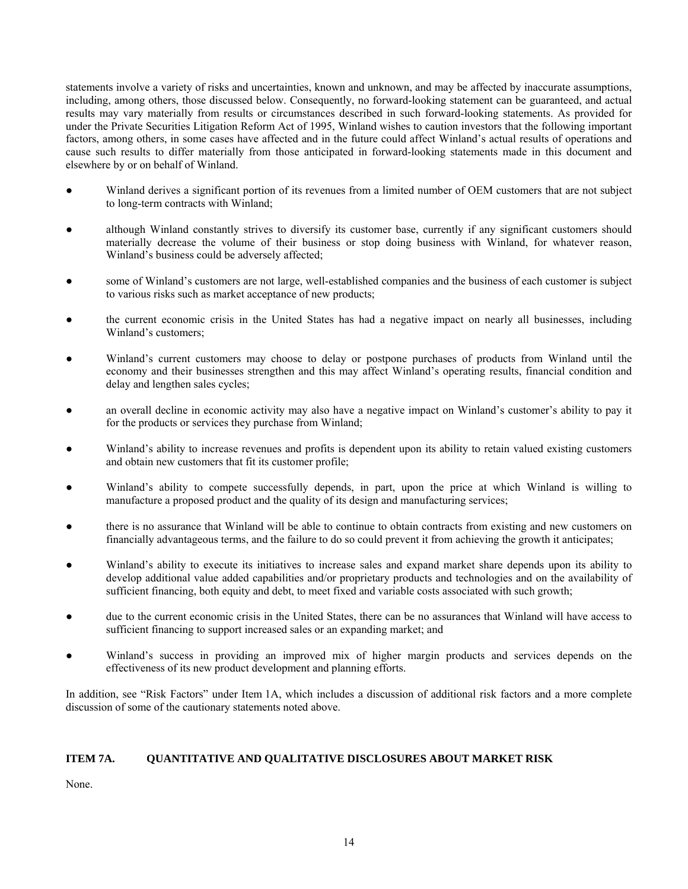statements involve a variety of risks and uncertainties, known and unknown, and may be affected by inaccurate assumptions, including, among others, those discussed below. Consequently, no forward-looking statement can be guaranteed, and actual results may vary materially from results or circumstances described in such forward-looking statements. As provided for under the Private Securities Litigation Reform Act of 1995, Winland wishes to caution investors that the following important factors, among others, in some cases have affected and in the future could affect Winland's actual results of operations and cause such results to differ materially from those anticipated in forward-looking statements made in this document and elsewhere by or on behalf of Winland.

- Winland derives a significant portion of its revenues from a limited number of OEM customers that are not subject to long-term contracts with Winland;
- although Winland constantly strives to diversify its customer base, currently if any significant customers should materially decrease the volume of their business or stop doing business with Winland, for whatever reason, Winland's business could be adversely affected;
- some of Winland's customers are not large, well-established companies and the business of each customer is subject to various risks such as market acceptance of new products;
- the current economic crisis in the United States has had a negative impact on nearly all businesses, including Winland's customers;
- Winland's current customers may choose to delay or postpone purchases of products from Winland until the economy and their businesses strengthen and this may affect Winland's operating results, financial condition and delay and lengthen sales cycles;
- an overall decline in economic activity may also have a negative impact on Winland's customer's ability to pay it for the products or services they purchase from Winland;
- Winland's ability to increase revenues and profits is dependent upon its ability to retain valued existing customers and obtain new customers that fit its customer profile;
- Winland's ability to compete successfully depends, in part, upon the price at which Winland is willing to manufacture a proposed product and the quality of its design and manufacturing services;
- there is no assurance that Winland will be able to continue to obtain contracts from existing and new customers on financially advantageous terms, and the failure to do so could prevent it from achieving the growth it anticipates;
- Winland's ability to execute its initiatives to increase sales and expand market share depends upon its ability to develop additional value added capabilities and/or proprietary products and technologies and on the availability of sufficient financing, both equity and debt, to meet fixed and variable costs associated with such growth;
- due to the current economic crisis in the United States, there can be no assurances that Winland will have access to sufficient financing to support increased sales or an expanding market; and
- Winland's success in providing an improved mix of higher margin products and services depends on the effectiveness of its new product development and planning efforts.

In addition, see "Risk Factors" under Item 1A, which includes a discussion of additional risk factors and a more complete discussion of some of the cautionary statements noted above.

## **ITEM 7A. QUANTITATIVE AND QUALITATIVE DISCLOSURES ABOUT MARKET RISK**

None.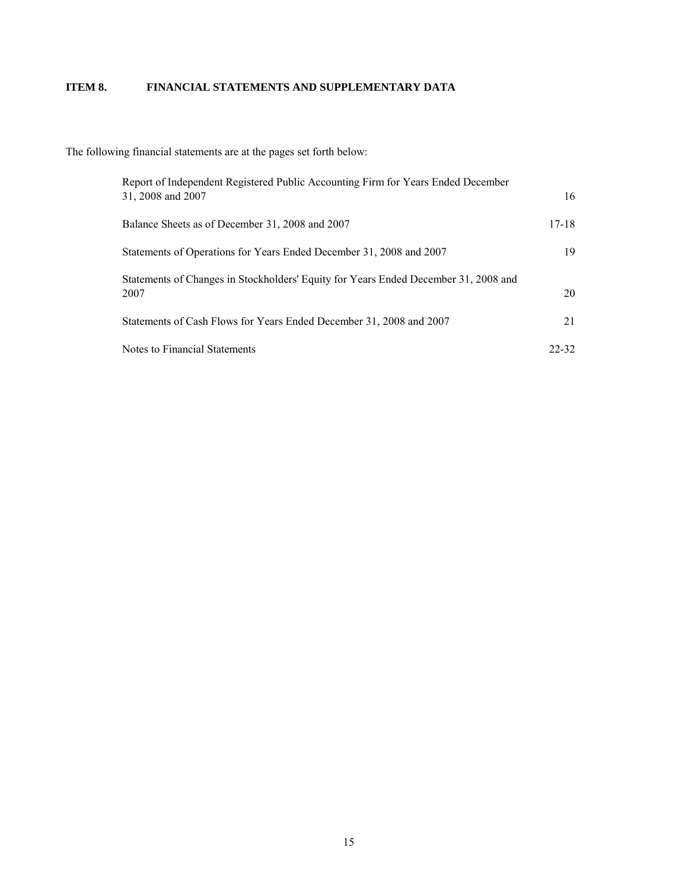## **ITEM 8. FINANCIAL STATEMENTS AND SUPPLEMENTARY DATA**

The following financial statements are at the pages set forth below:

| Report of Independent Registered Public Accounting Firm for Years Ended December<br>31, 2008 and 2007 | 16      |
|-------------------------------------------------------------------------------------------------------|---------|
| Balance Sheets as of December 31, 2008 and 2007                                                       | $17-18$ |
| Statements of Operations for Years Ended December 31, 2008 and 2007                                   | 19      |
| Statements of Changes in Stockholders' Equity for Years Ended December 31, 2008 and<br>2007           | 20      |
| Statements of Cash Flows for Years Ended December 31, 2008 and 2007                                   | 21      |
| Notes to Financial Statements                                                                         | 22-32   |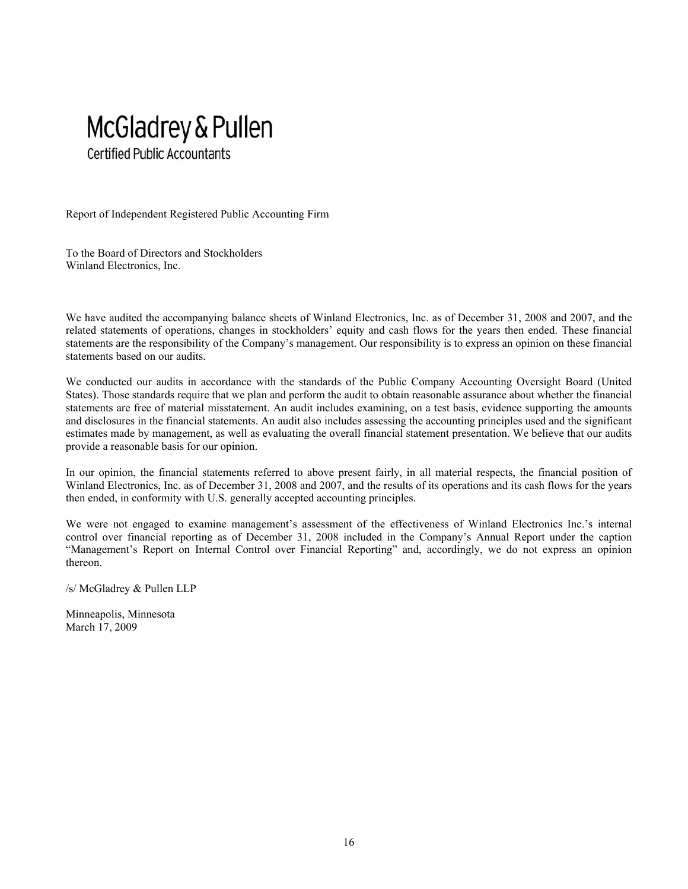

Report of Independent Registered Public Accounting Firm

To the Board of Directors and Stockholders Winland Electronics, Inc.

We have audited the accompanying balance sheets of Winland Electronics, Inc. as of December 31, 2008 and 2007, and the related statements of operations, changes in stockholders' equity and cash flows for the years then ended. These financial statements are the responsibility of the Company's management. Our responsibility is to express an opinion on these financial statements based on our audits.

We conducted our audits in accordance with the standards of the Public Company Accounting Oversight Board (United States). Those standards require that we plan and perform the audit to obtain reasonable assurance about whether the financial statements are free of material misstatement. An audit includes examining, on a test basis, evidence supporting the amounts and disclosures in the financial statements. An audit also includes assessing the accounting principles used and the significant estimates made by management, as well as evaluating the overall financial statement presentation. We believe that our audits provide a reasonable basis for our opinion.

In our opinion, the financial statements referred to above present fairly, in all material respects, the financial position of Winland Electronics, Inc. as of December 31, 2008 and 2007, and the results of its operations and its cash flows for the years then ended, in conformity with U.S. generally accepted accounting principles.

We were not engaged to examine management's assessment of the effectiveness of Winland Electronics Inc.'s internal control over financial reporting as of December 31, 2008 included in the Company's Annual Report under the caption "Management's Report on Internal Control over Financial Reporting" and, accordingly, we do not express an opinion thereon.

/s/ McGladrey & Pullen LLP

Minneapolis, Minnesota March 17, 2009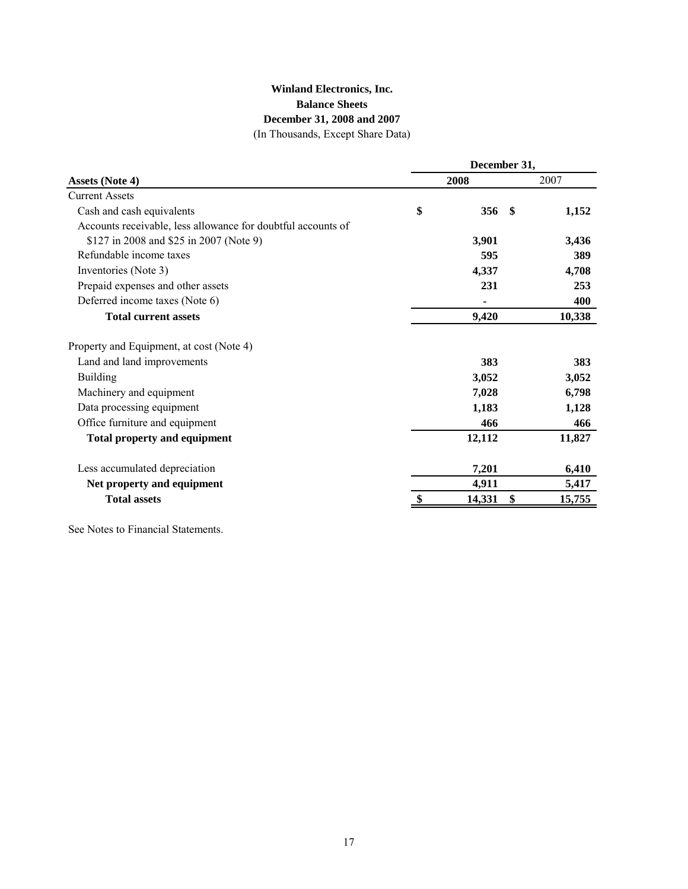## **Winland Electronics, Inc. Balance Sheets December 31, 2008 and 2007**

(In Thousands, Except Share Data)

|                                                              | December 31, |             |        |  |  |  |
|--------------------------------------------------------------|--------------|-------------|--------|--|--|--|
| <b>Assets (Note 4)</b>                                       |              | 2008        | 2007   |  |  |  |
| <b>Current Assets</b>                                        |              |             |        |  |  |  |
| Cash and cash equivalents                                    | \$           | 356<br>-\$  | 1,152  |  |  |  |
| Accounts receivable, less allowance for doubtful accounts of |              |             |        |  |  |  |
| \$127 in 2008 and \$25 in 2007 (Note 9)                      |              | 3,901       | 3,436  |  |  |  |
| Refundable income taxes                                      |              | 595         | 389    |  |  |  |
| Inventories (Note 3)                                         |              | 4,337       | 4,708  |  |  |  |
| Prepaid expenses and other assets                            |              | 231         | 253    |  |  |  |
| Deferred income taxes (Note 6)                               |              |             | 400    |  |  |  |
| <b>Total current assets</b>                                  |              | 9,420       | 10,338 |  |  |  |
| Property and Equipment, at cost (Note 4)                     |              |             |        |  |  |  |
| Land and land improvements                                   |              | 383         | 383    |  |  |  |
| <b>Building</b>                                              |              | 3,052       | 3,052  |  |  |  |
| Machinery and equipment                                      |              | 7,028       | 6,798  |  |  |  |
| Data processing equipment                                    |              | 1,183       | 1,128  |  |  |  |
| Office furniture and equipment                               |              | 466         | 466    |  |  |  |
| <b>Total property and equipment</b>                          |              | 12,112      | 11,827 |  |  |  |
| Less accumulated depreciation                                |              | 7,201       | 6,410  |  |  |  |
| Net property and equipment                                   |              | 4,911       | 5,417  |  |  |  |
| <b>Total assets</b>                                          |              | 14,331<br>S | 15,755 |  |  |  |
|                                                              |              |             |        |  |  |  |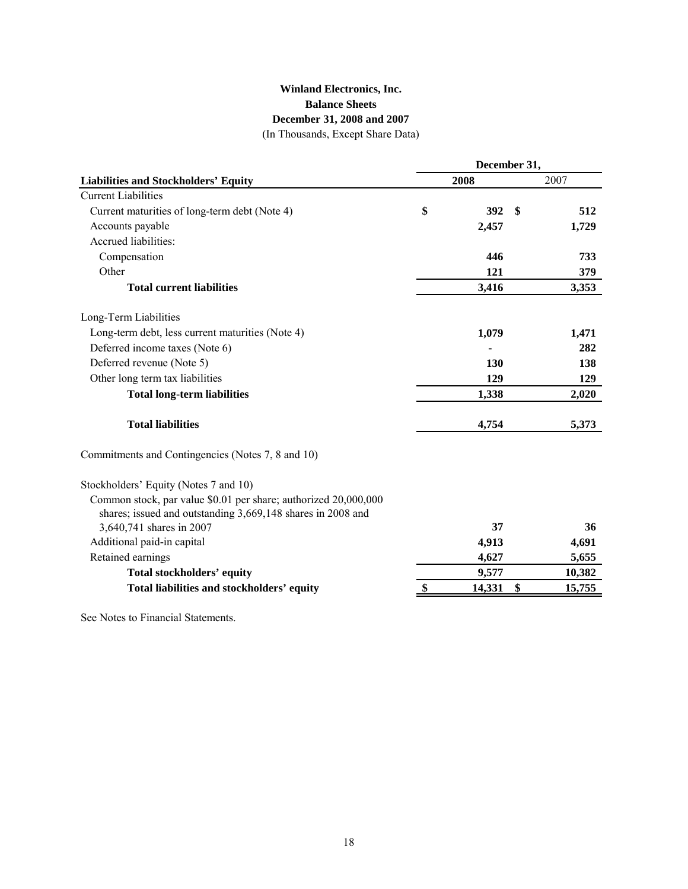## **Winland Electronics, Inc. Balance Sheets** (In Thousands, Except Share Data) **December 31, 2008 and 2007**

**Liabilities and Stockholders' Equity 2008** 2007 Current Liabilities Current maturities of long-term debt (Note 4) **\$ 512 392 \$**  Accounts payable **1,729 2,457**  Accrued liabilities: Compensation **733 446**  Other **379 121 Total current liabilities** 3,353 **3,353** Long-Term Liabilities Long-term debt, less current maturities (Note 4) **1,471 1,079**  Deferred income taxes (Note 6) **282 -**  Deferred revenue (Note 5) **138 130**  Other long term tax liabilities **129 129 Total long-term liabilities 1,338 2,020 Total liabilities 4,754 5,373**  Commitments and Contingencies (Notes 7, 8 and 10) **December 31,** 

#### Stockholders' Equity (Notes 7 and 10)

| Common stock, par value \$0.01 per share; authorized 20,000,000 |        |        |
|-----------------------------------------------------------------|--------|--------|
| shares; issued and outstanding 3,669,148 shares in 2008 and     |        |        |
| 3,640,741 shares in 2007                                        | 37     | 36     |
| Additional paid-in capital                                      | 4.913  | 4,691  |
| Retained earnings                                               | 4.627  | 5,655  |
| Total stockholders' equity                                      | 9.577  | 10,382 |
| Total liabilities and stockholders' equity                      | 14.331 | 15.755 |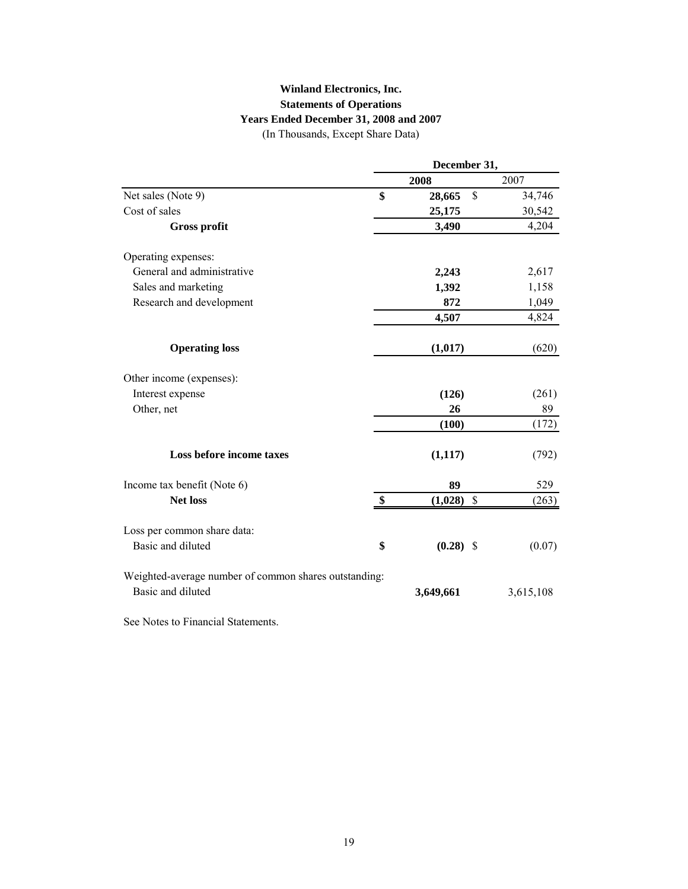## **Winland Electronics, Inc. Statements of Operations Years Ended December 31, 2008 and 2007**

(In Thousands, Except Share Data)

|                                                       |                   | December 31, |                           |           |  |  |  |
|-------------------------------------------------------|-------------------|--------------|---------------------------|-----------|--|--|--|
|                                                       |                   | 2008         |                           | 2007      |  |  |  |
| Net sales (Note 9)                                    | \$                | 28,665       | \$                        | 34,746    |  |  |  |
| Cost of sales                                         |                   | 25,175       |                           | 30,542    |  |  |  |
| <b>Gross profit</b>                                   |                   | 3,490        |                           | 4,204     |  |  |  |
| Operating expenses:                                   |                   |              |                           |           |  |  |  |
| General and administrative                            |                   | 2,243        |                           | 2,617     |  |  |  |
| Sales and marketing                                   |                   | 1,392        |                           | 1,158     |  |  |  |
| Research and development                              |                   | 872          |                           | 1,049     |  |  |  |
|                                                       |                   | 4,507        |                           | 4,824     |  |  |  |
| <b>Operating loss</b>                                 |                   | (1,017)      |                           | (620)     |  |  |  |
| Other income (expenses):                              |                   |              |                           |           |  |  |  |
| Interest expense                                      |                   | (126)        |                           | (261)     |  |  |  |
| Other, net                                            |                   | 26           |                           | 89        |  |  |  |
|                                                       |                   | (100)        |                           | (172)     |  |  |  |
| Loss before income taxes                              |                   | (1, 117)     |                           | (792)     |  |  |  |
| Income tax benefit (Note 6)                           |                   | 89           |                           | 529       |  |  |  |
| <b>Net loss</b>                                       | $\boldsymbol{\$}$ | (1,028)      | $\boldsymbol{\mathsf{S}}$ | (263)     |  |  |  |
| Loss per common share data:                           |                   |              |                           |           |  |  |  |
| Basic and diluted                                     | \$                | $(0.28)$ \$  |                           | (0.07)    |  |  |  |
| Weighted-average number of common shares outstanding: |                   |              |                           |           |  |  |  |
| Basic and diluted                                     |                   | 3,649,661    |                           | 3,615,108 |  |  |  |
|                                                       |                   |              |                           |           |  |  |  |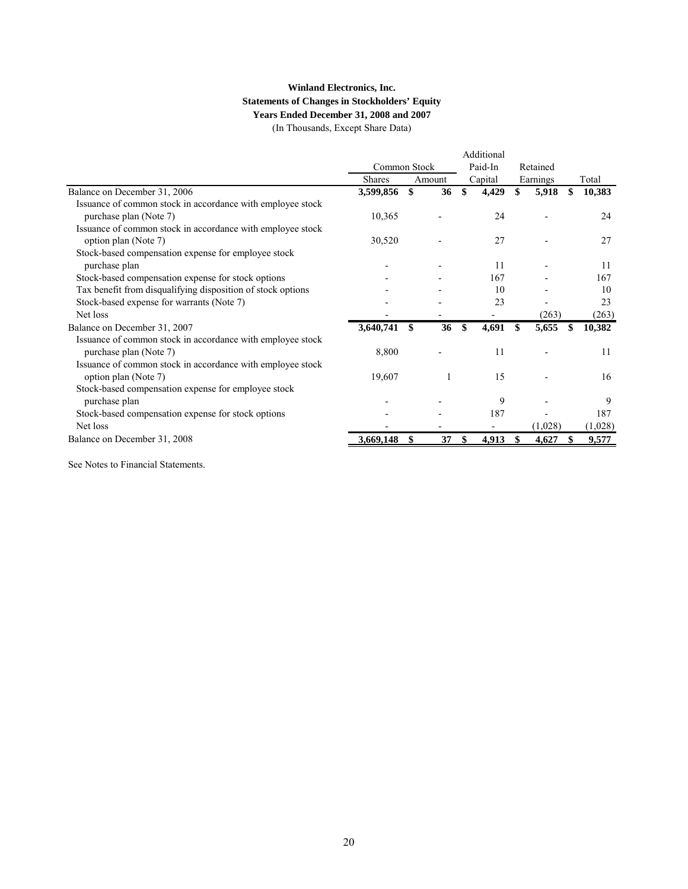## **Winland Electronics, Inc. Statements of Changes in Stockholders' Equity Years Ended December 31, 2008 and 2007**

(In Thousands, Except Share Data)

|               |          |                        | Additional               |          |         |          |         |
|---------------|----------|------------------------|--------------------------|----------|---------|----------|---------|
|               |          | Paid-In                |                          | Retained |         |          |         |
| <b>Shares</b> |          |                        |                          |          |         |          | Total   |
| 3,599,856     | \$<br>36 | \$                     | 4,429                    | \$       | 5,918   | \$       | 10,383  |
|               |          |                        |                          |          |         |          |         |
| 10,365        |          |                        | 24                       |          |         |          | 24      |
|               |          |                        |                          |          |         |          |         |
| 30,520        |          |                        | 27                       |          |         |          | 27      |
|               |          |                        |                          |          |         |          |         |
|               |          |                        | 11                       |          |         |          | 11      |
|               |          |                        | 167                      |          |         |          | 167     |
|               |          |                        | 10                       |          |         |          | 10      |
|               |          |                        | 23                       |          |         |          | 23      |
|               |          |                        | $\overline{\phantom{0}}$ |          | (263)   |          | (263)   |
| 3,640,741     | \$<br>36 | \$                     | 4,691                    |          | 5,655   | \$.      | 10,382  |
|               |          |                        |                          |          |         |          |         |
| 8,800         |          |                        | 11                       |          |         |          | 11      |
|               |          |                        |                          |          |         |          |         |
| 19,607        |          |                        | 15                       |          |         |          | 16      |
|               |          |                        |                          |          |         |          |         |
|               |          |                        | 9                        |          |         |          | 9       |
|               |          |                        | 187                      |          |         |          | 187     |
|               |          |                        | -                        |          | (1,028) |          | (1,028) |
| 3,669,148     | 37       |                        | 4,913                    |          | 4,627   |          | 9,577   |
|               |          | Common Stock<br>Amount |                          | Capital  |         | Earnings |         |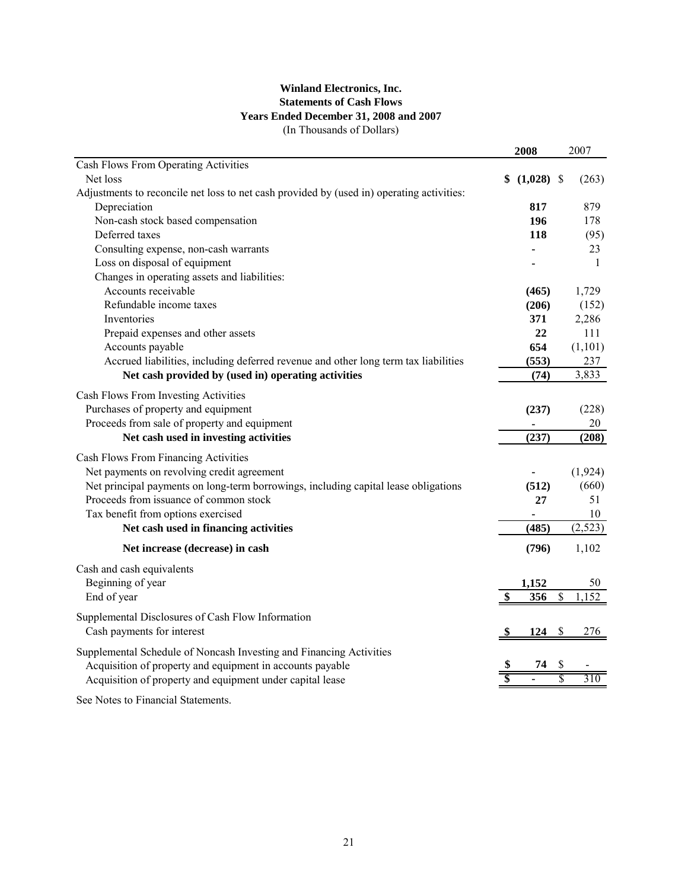## **Winland Electronics, Inc. Statements of Cash Flows Years Ended December 31, 2008 and 2007** (In Thousands of Dollars)

|                                                                                           | 2008               |                           | 2007         |
|-------------------------------------------------------------------------------------------|--------------------|---------------------------|--------------|
| Cash Flows From Operating Activities                                                      |                    |                           |              |
| Net loss                                                                                  | \$<br>$(1,028)$ \$ |                           | (263)        |
| Adjustments to reconcile net loss to net cash provided by (used in) operating activities: |                    |                           |              |
| Depreciation                                                                              | 817                |                           | 879          |
| Non-cash stock based compensation                                                         | 196                |                           | 178          |
| Deferred taxes                                                                            | 118                |                           | (95)         |
| Consulting expense, non-cash warrants                                                     |                    |                           | 23           |
| Loss on disposal of equipment                                                             |                    |                           | $\mathbf{1}$ |
| Changes in operating assets and liabilities:                                              |                    |                           |              |
| Accounts receivable                                                                       | (465)              |                           | 1,729        |
| Refundable income taxes                                                                   | (206)              |                           | (152)        |
| Inventories                                                                               | 371                |                           | 2,286        |
| Prepaid expenses and other assets                                                         | 22                 |                           | 111          |
| Accounts payable                                                                          | 654                |                           | (1,101)      |
| Accrued liabilities, including deferred revenue and other long term tax liabilities       | (553)              |                           | 237          |
| Net cash provided by (used in) operating activities                                       | (74)               |                           | 3,833        |
| Cash Flows From Investing Activities                                                      |                    |                           |              |
| Purchases of property and equipment                                                       | (237)              |                           | (228)        |
| Proceeds from sale of property and equipment                                              |                    |                           | 20           |
| Net cash used in investing activities                                                     | (237)              |                           | (208)        |
|                                                                                           |                    |                           |              |
| Cash Flows From Financing Activities                                                      |                    |                           |              |
| Net payments on revolving credit agreement                                                |                    |                           | (1, 924)     |
| Net principal payments on long-term borrowings, including capital lease obligations       | (512)              |                           | (660)        |
| Proceeds from issuance of common stock                                                    | 27                 |                           | 51           |
| Tax benefit from options exercised                                                        |                    |                           | 10           |
| Net cash used in financing activities                                                     | (485)              |                           | (2, 523)     |
| Net increase (decrease) in cash                                                           | (796)              |                           | 1,102        |
| Cash and cash equivalents                                                                 |                    |                           |              |
| Beginning of year                                                                         | 1,152              |                           | 50           |
| End of year                                                                               | \$<br>356          | $\boldsymbol{\mathsf{S}}$ | 1,152        |
| Supplemental Disclosures of Cash Flow Information                                         |                    |                           |              |
| Cash payments for interest                                                                | 124                | \$                        | 276          |
|                                                                                           |                    |                           |              |
| Supplemental Schedule of Noncash Investing and Financing Activities                       |                    |                           |              |
| Acquisition of property and equipment in accounts payable                                 | 74                 | \$<br>S                   |              |
| Acquisition of property and equipment under capital lease                                 |                    |                           | 310          |
|                                                                                           |                    |                           |              |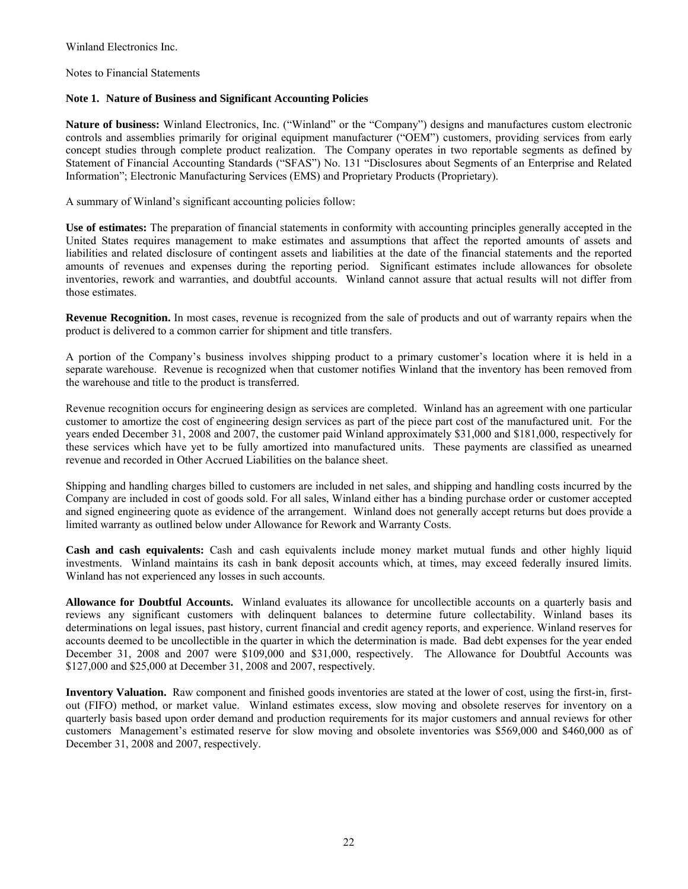Notes to Financial Statements

## **Note 1. Nature of Business and Significant Accounting Policies**

**Nature of business:** Winland Electronics, Inc. ("Winland" or the "Company") designs and manufactures custom electronic controls and assemblies primarily for original equipment manufacturer ("OEM") customers, providing services from early concept studies through complete product realization. The Company operates in two reportable segments as defined by Statement of Financial Accounting Standards ("SFAS") No. 131 "Disclosures about Segments of an Enterprise and Related Information"; Electronic Manufacturing Services (EMS) and Proprietary Products (Proprietary).

A summary of Winland's significant accounting policies follow:

**Use of estimates:** The preparation of financial statements in conformity with accounting principles generally accepted in the United States requires management to make estimates and assumptions that affect the reported amounts of assets and liabilities and related disclosure of contingent assets and liabilities at the date of the financial statements and the reported amounts of revenues and expenses during the reporting period. Significant estimates include allowances for obsolete inventories, rework and warranties, and doubtful accounts. Winland cannot assure that actual results will not differ from those estimates.

**Revenue Recognition.** In most cases, revenue is recognized from the sale of products and out of warranty repairs when the product is delivered to a common carrier for shipment and title transfers.

A portion of the Company's business involves shipping product to a primary customer's location where it is held in a separate warehouse. Revenue is recognized when that customer notifies Winland that the inventory has been removed from the warehouse and title to the product is transferred.

Revenue recognition occurs for engineering design as services are completed. Winland has an agreement with one particular customer to amortize the cost of engineering design services as part of the piece part cost of the manufactured unit. For the years ended December 31, 2008 and 2007, the customer paid Winland approximately \$31,000 and \$181,000, respectively for these services which have yet to be fully amortized into manufactured units. These payments are classified as unearned revenue and recorded in Other Accrued Liabilities on the balance sheet.

Shipping and handling charges billed to customers are included in net sales, and shipping and handling costs incurred by the Company are included in cost of goods sold. For all sales, Winland either has a binding purchase order or customer accepted and signed engineering quote as evidence of the arrangement. Winland does not generally accept returns but does provide a limited warranty as outlined below under Allowance for Rework and Warranty Costs.

**Cash and cash equivalents:** Cash and cash equivalents include money market mutual funds and other highly liquid investments. Winland maintains its cash in bank deposit accounts which, at times, may exceed federally insured limits. Winland has not experienced any losses in such accounts.

**Allowance for Doubtful Accounts.** Winland evaluates its allowance for uncollectible accounts on a quarterly basis and reviews any significant customers with delinquent balances to determine future collectability. Winland bases its determinations on legal issues, past history, current financial and credit agency reports, and experience. Winland reserves for accounts deemed to be uncollectible in the quarter in which the determination is made. Bad debt expenses for the year ended December 31, 2008 and 2007 were \$109,000 and \$31,000, respectively. The Allowance for Doubtful Accounts was \$127,000 and \$25,000 at December 31, 2008 and 2007, respectively.

**Inventory Valuation.** Raw component and finished goods inventories are stated at the lower of cost, using the first-in, firstout (FIFO) method, or market value. Winland estimates excess, slow moving and obsolete reserves for inventory on a quarterly basis based upon order demand and production requirements for its major customers and annual reviews for other customers Management's estimated reserve for slow moving and obsolete inventories was \$569,000 and \$460,000 as of December 31, 2008 and 2007, respectively.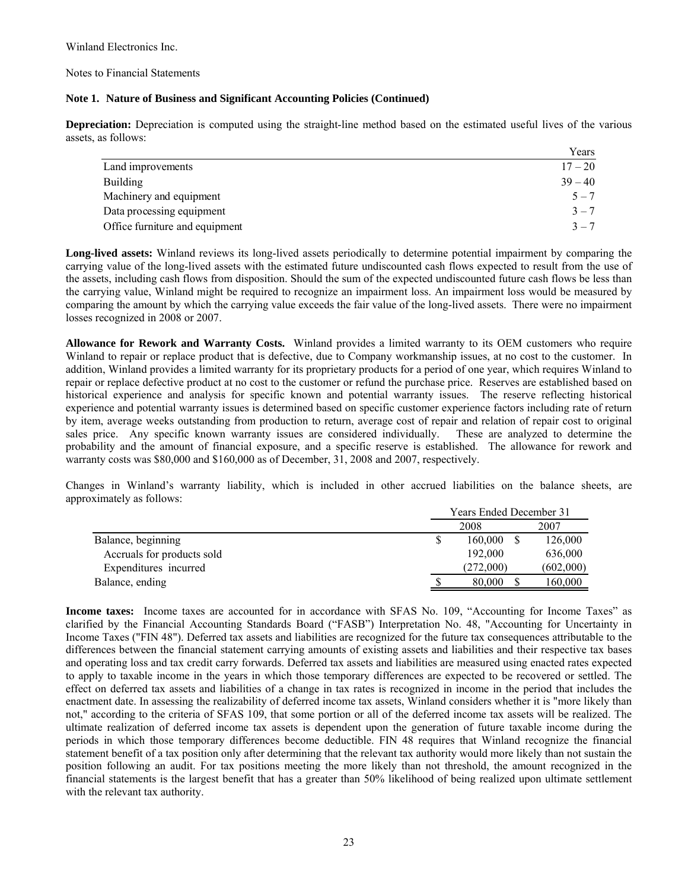Notes to Financial Statements

### **Note 1. Nature of Business and Significant Accounting Policies (Continued)**

**Depreciation:** Depreciation is computed using the straight-line method based on the estimated useful lives of the various assets, as follows:

|                                | Years     |
|--------------------------------|-----------|
| Land improvements              | $17 - 20$ |
| <b>Building</b>                | $39 - 40$ |
| Machinery and equipment        | $5 - 7$   |
| Data processing equipment      | $3 - 7$   |
| Office furniture and equipment | $3 - 7$   |

**Long-lived assets:** Winland reviews its long-lived assets periodically to determine potential impairment by comparing the carrying value of the long-lived assets with the estimated future undiscounted cash flows expected to result from the use of the assets, including cash flows from disposition. Should the sum of the expected undiscounted future cash flows be less than the carrying value, Winland might be required to recognize an impairment loss. An impairment loss would be measured by comparing the amount by which the carrying value exceeds the fair value of the long-lived assets. There were no impairment losses recognized in 2008 or 2007.

**Allowance for Rework and Warranty Costs.** Winland provides a limited warranty to its OEM customers who require Winland to repair or replace product that is defective, due to Company workmanship issues, at no cost to the customer. In addition, Winland provides a limited warranty for its proprietary products for a period of one year, which requires Winland to repair or replace defective product at no cost to the customer or refund the purchase price. Reserves are established based on historical experience and analysis for specific known and potential warranty issues. The reserve reflecting historical experience and potential warranty issues is determined based on specific customer experience factors including rate of return by item, average weeks outstanding from production to return, average cost of repair and relation of repair cost to original sales price. Any specific known warranty issues are considered individually. These are analyzed to determine the probability and the amount of financial exposure, and a specific reserve is established. The allowance for rework and warranty costs was \$80,000 and \$160,000 as of December, 31, 2008 and 2007, respectively.

Changes in Winland's warranty liability, which is included in other accrued liabilities on the balance sheets, are approximately as follows:

|                            | <b>Years Ended December 31</b> |  |           |  |  |
|----------------------------|--------------------------------|--|-----------|--|--|
|                            | 2008                           |  | 2007      |  |  |
| Balance, beginning         | 160,000                        |  | 126,000   |  |  |
| Accruals for products sold | 192,000                        |  | 636,000   |  |  |
| Expenditures incurred      | (272.000)                      |  | (602,000) |  |  |
| Balance, ending            | 80,000                         |  | 160,000   |  |  |

**Income taxes:** Income taxes are accounted for in accordance with SFAS No. 109, "Accounting for Income Taxes" as clarified by the Financial Accounting Standards Board ("FASB") Interpretation No. 48, "Accounting for Uncertainty in Income Taxes ("FIN 48"). Deferred tax assets and liabilities are recognized for the future tax consequences attributable to the differences between the financial statement carrying amounts of existing assets and liabilities and their respective tax bases and operating loss and tax credit carry forwards. Deferred tax assets and liabilities are measured using enacted rates expected to apply to taxable income in the years in which those temporary differences are expected to be recovered or settled. The effect on deferred tax assets and liabilities of a change in tax rates is recognized in income in the period that includes the enactment date. In assessing the realizability of deferred income tax assets, Winland considers whether it is "more likely than not," according to the criteria of SFAS 109, that some portion or all of the deferred income tax assets will be realized. The ultimate realization of deferred income tax assets is dependent upon the generation of future taxable income during the periods in which those temporary differences become deductible. FIN 48 requires that Winland recognize the financial statement benefit of a tax position only after determining that the relevant tax authority would more likely than not sustain the position following an audit. For tax positions meeting the more likely than not threshold, the amount recognized in the financial statements is the largest benefit that has a greater than 50% likelihood of being realized upon ultimate settlement with the relevant tax authority.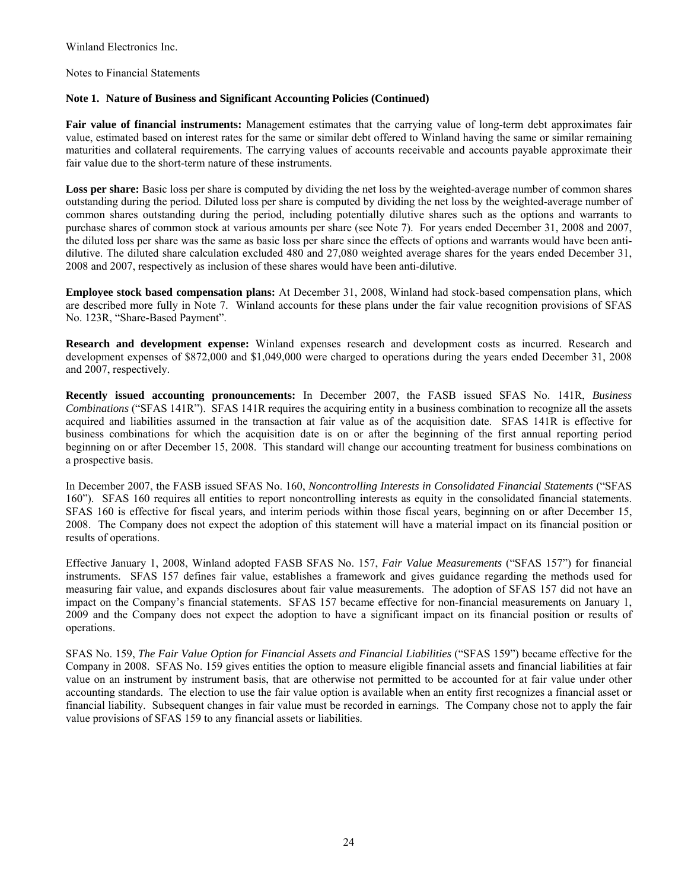Notes to Financial Statements

## **Note 1. Nature of Business and Significant Accounting Policies (Continued)**

**Fair value of financial instruments:** Management estimates that the carrying value of long-term debt approximates fair value, estimated based on interest rates for the same or similar debt offered to Winland having the same or similar remaining maturities and collateral requirements. The carrying values of accounts receivable and accounts payable approximate their fair value due to the short-term nature of these instruments.

**Loss per share:** Basic loss per share is computed by dividing the net loss by the weighted-average number of common shares outstanding during the period. Diluted loss per share is computed by dividing the net loss by the weighted-average number of common shares outstanding during the period, including potentially dilutive shares such as the options and warrants to purchase shares of common stock at various amounts per share (see Note 7). For years ended December 31, 2008 and 2007, the diluted loss per share was the same as basic loss per share since the effects of options and warrants would have been antidilutive. The diluted share calculation excluded 480 and 27,080 weighted average shares for the years ended December 31, 2008 and 2007, respectively as inclusion of these shares would have been anti-dilutive.

**Employee stock based compensation plans:** At December 31, 2008, Winland had stock-based compensation plans, which are described more fully in Note 7. Winland accounts for these plans under the fair value recognition provisions of SFAS No. 123R, "Share-Based Payment".

**Research and development expense:** Winland expenses research and development costs as incurred. Research and development expenses of \$872,000 and \$1,049,000 were charged to operations during the years ended December 31, 2008 and 2007, respectively.

**Recently issued accounting pronouncements:** In December 2007, the FASB issued SFAS No. 141R, *Business Combinations* ("SFAS 141R"). SFAS 141R requires the acquiring entity in a business combination to recognize all the assets acquired and liabilities assumed in the transaction at fair value as of the acquisition date. SFAS 141R is effective for business combinations for which the acquisition date is on or after the beginning of the first annual reporting period beginning on or after December 15, 2008. This standard will change our accounting treatment for business combinations on a prospective basis.

In December 2007, the FASB issued SFAS No. 160, *Noncontrolling Interests in Consolidated Financial Statements* ("SFAS 160"). SFAS 160 requires all entities to report noncontrolling interests as equity in the consolidated financial statements. SFAS 160 is effective for fiscal years, and interim periods within those fiscal years, beginning on or after December 15, 2008. The Company does not expect the adoption of this statement will have a material impact on its financial position or results of operations.

Effective January 1, 2008, Winland adopted FASB SFAS No. 157, *Fair Value Measurements* ("SFAS 157") for financial instruments. SFAS 157 defines fair value, establishes a framework and gives guidance regarding the methods used for measuring fair value, and expands disclosures about fair value measurements. The adoption of SFAS 157 did not have an impact on the Company's financial statements. SFAS 157 became effective for non-financial measurements on January 1, 2009 and the Company does not expect the adoption to have a significant impact on its financial position or results of operations.

SFAS No. 159, *The Fair Value Option for Financial Assets and Financial Liabilities* ("SFAS 159") became effective for the Company in 2008. SFAS No. 159 gives entities the option to measure eligible financial assets and financial liabilities at fair value on an instrument by instrument basis, that are otherwise not permitted to be accounted for at fair value under other accounting standards. The election to use the fair value option is available when an entity first recognizes a financial asset or financial liability. Subsequent changes in fair value must be recorded in earnings. The Company chose not to apply the fair value provisions of SFAS 159 to any financial assets or liabilities.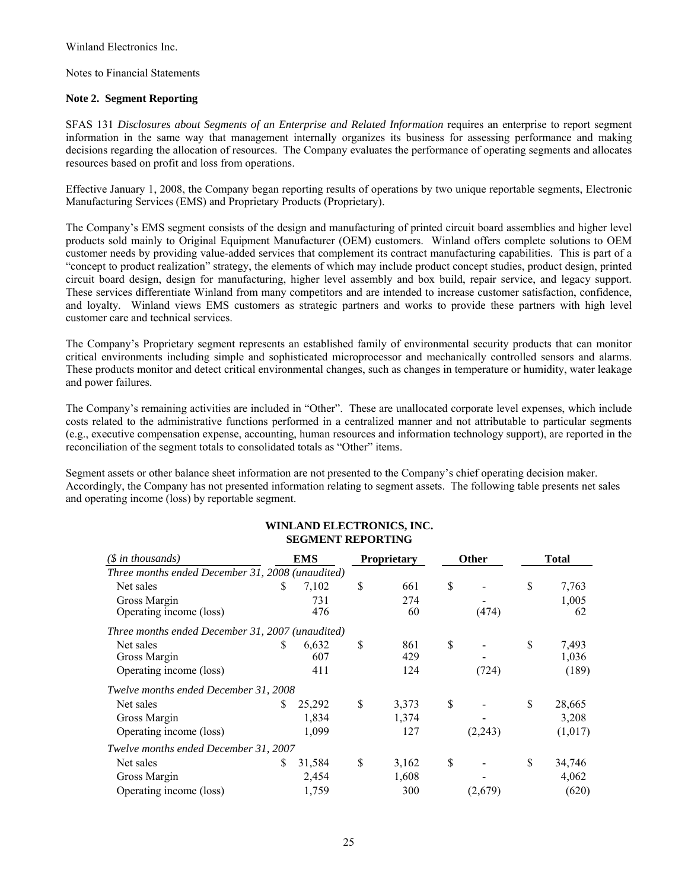Notes to Financial Statements

## **Note 2. Segment Reporting**

SFAS 131 *Disclosures about Segments of an Enterprise and Related Information* requires an enterprise to report segment information in the same way that management internally organizes its business for assessing performance and making decisions regarding the allocation of resources. The Company evaluates the performance of operating segments and allocates resources based on profit and loss from operations.

Effective January 1, 2008, the Company began reporting results of operations by two unique reportable segments, Electronic Manufacturing Services (EMS) and Proprietary Products (Proprietary).

The Company's EMS segment consists of the design and manufacturing of printed circuit board assemblies and higher level products sold mainly to Original Equipment Manufacturer (OEM) customers. Winland offers complete solutions to OEM customer needs by providing value-added services that complement its contract manufacturing capabilities. This is part of a "concept to product realization" strategy, the elements of which may include product concept studies, product design, printed circuit board design, design for manufacturing, higher level assembly and box build, repair service, and legacy support. These services differentiate Winland from many competitors and are intended to increase customer satisfaction, confidence, and loyalty. Winland views EMS customers as strategic partners and works to provide these partners with high level customer care and technical services.

The Company's Proprietary segment represents an established family of environmental security products that can monitor critical environments including simple and sophisticated microprocessor and mechanically controlled sensors and alarms. These products monitor and detect critical environmental changes, such as changes in temperature or humidity, water leakage and power failures.

The Company's remaining activities are included in "Other". These are unallocated corporate level expenses, which include costs related to the administrative functions performed in a centralized manner and not attributable to particular segments (e.g., executive compensation expense, accounting, human resources and information technology support), are reported in the reconciliation of the segment totals to consolidated totals as "Other" items.

Segment assets or other balance sheet information are not presented to the Company's chief operating decision maker. Accordingly, the Company has not presented information relating to segment assets. The following table presents net sales and operating income (loss) by reportable segment.

| $(\text{\$ in thousands})$                       | EMS |        | <b>Proprietary</b><br><b>Other</b> |    |         |    | <b>Total</b> |
|--------------------------------------------------|-----|--------|------------------------------------|----|---------|----|--------------|
| Three months ended December 31, 2008 (unaudited) |     |        |                                    |    |         |    |              |
| Net sales                                        | S   | 7,102  | \$<br>661                          | S  |         | S  | 7,763        |
| Gross Margin                                     |     | 731    | 274                                |    |         |    | 1,005        |
| Operating income (loss)                          |     | 476    | 60                                 |    | (474)   |    | 62           |
| Three months ended December 31, 2007 (unaudited) |     |        |                                    |    |         |    |              |
| Net sales                                        | S   | 6,632  | \$<br>861                          | \$ |         | \$ | 7,493        |
| Gross Margin                                     |     | 607    | 429                                |    |         |    | 1,036        |
| Operating income (loss)                          |     | 411    | 124                                |    | (724)   |    | (189)        |
| Twelve months ended December 31, 2008            |     |        |                                    |    |         |    |              |
| Net sales                                        | S   | 25,292 | \$<br>3,373                        | \$ |         | \$ | 28,665       |
| Gross Margin                                     |     | 1,834  | 1,374                              |    |         |    | 3,208        |
| Operating income (loss)                          |     | 1,099  | 127                                |    | (2,243) |    | (1,017)      |
| Twelve months ended December 31, 2007            |     |        |                                    |    |         |    |              |
| Net sales                                        | \$  | 31,584 | \$<br>3,162                        | \$ |         | \$ | 34,746       |
| Gross Margin                                     |     | 2,454  | 1,608                              |    |         |    | 4,062        |
| Operating income (loss)                          |     | 1,759  | 300                                |    | (2,679) |    | (620)        |

#### **WINLAND ELECTRONICS, INC. SEGMENT REPORTING**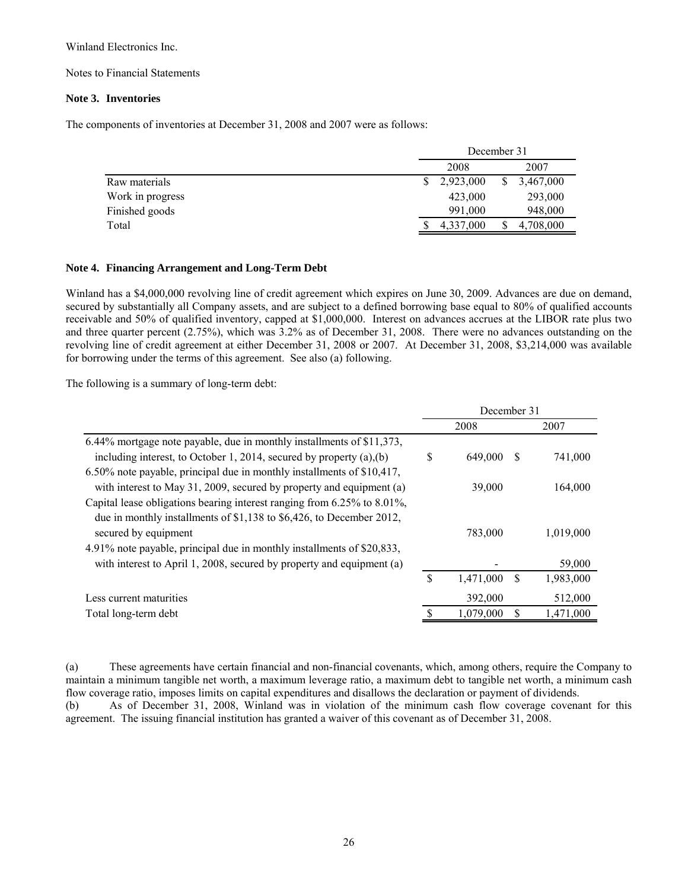Notes to Financial Statements

## **Note 3. Inventories**

The components of inventories at December 31, 2008 and 2007 were as follows:

|                  | December 31 |    |           |  |  |
|------------------|-------------|----|-----------|--|--|
|                  | 2008        |    | 2007      |  |  |
| Raw materials    | 2,923,000   | \$ | 3,467,000 |  |  |
| Work in progress | 423,000     |    | 293,000   |  |  |
| Finished goods   | 991.000     |    | 948,000   |  |  |
| Total            | 4,337,000   |    | 4,708,000 |  |  |

#### **Note 4. Financing Arrangement and Long-Term Debt**

Winland has a \$4,000,000 revolving line of credit agreement which expires on June 30, 2009. Advances are due on demand, secured by substantially all Company assets, and are subject to a defined borrowing base equal to 80% of qualified accounts receivable and 50% of qualified inventory, capped at \$1,000,000. Interest on advances accrues at the LIBOR rate plus two and three quarter percent (2.75%), which was 3.2% as of December 31, 2008. There were no advances outstanding on the revolving line of credit agreement at either December 31, 2008 or 2007. At December 31, 2008, \$3,214,000 was available for borrowing under the terms of this agreement. See also (a) following.

The following is a summary of long-term debt:

|                                                                           | December 31 |           |   |           |
|---------------------------------------------------------------------------|-------------|-----------|---|-----------|
|                                                                           |             | 2008      |   | 2007      |
| 6.44% mortgage note payable, due in monthly installments of \$11,373,     |             |           |   |           |
| including interest, to October 1, 2014, secured by property $(a)$ , $(b)$ | S           | 649,000   |   | 741,000   |
| 6.50% note payable, principal due in monthly installments of \$10,417,    |             |           |   |           |
| with interest to May 31, 2009, secured by property and equipment (a)      |             | 39,000    |   | 164,000   |
| Capital lease obligations bearing interest ranging from 6.25% to 8.01%,   |             |           |   |           |
| due in monthly installments of \$1,138 to \$6,426, to December 2012,      |             |           |   |           |
| secured by equipment                                                      |             | 783,000   |   | 1,019,000 |
| 4.91% note payable, principal due in monthly installments of \$20,833,    |             |           |   |           |
| with interest to April 1, 2008, secured by property and equipment (a)     |             |           |   | 59,000    |
|                                                                           | S           | 1,471,000 | S | 1,983,000 |
| Less current maturities                                                   |             | 392,000   |   | 512,000   |
| Total long-term debt                                                      |             | 1,079,000 |   | 1,471,000 |
|                                                                           |             |           |   |           |

(a) These agreements have certain financial and non-financial covenants, which, among others, require the Company to maintain a minimum tangible net worth, a maximum leverage ratio, a maximum debt to tangible net worth, a minimum cash flow coverage ratio, imposes limits on capital expenditures and disallows the declaration or payment of dividends.

(b) As of December 31, 2008, Winland was in violation of the minimum cash flow coverage covenant for this agreement. The issuing financial institution has granted a waiver of this covenant as of December 31, 2008.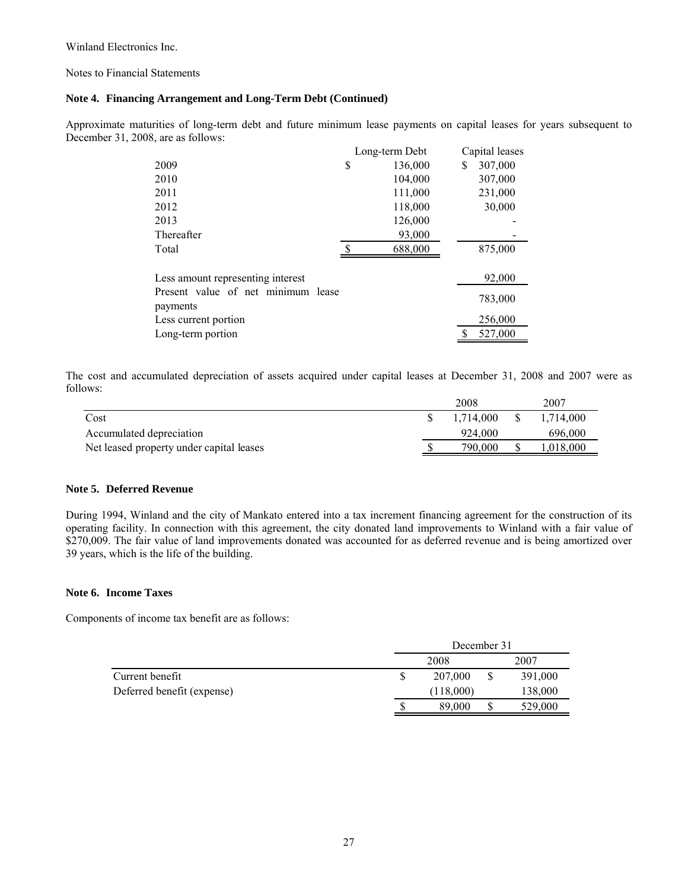Notes to Financial Statements

## **Note 4. Financing Arrangement and Long-Term Debt (Continued)**

Approximate maturities of long-term debt and future minimum lease payments on capital leases for years subsequent to December 31, 2008, are as follows:

|                                    | Long-term Debt | Capital leases |
|------------------------------------|----------------|----------------|
| 2009                               | \$<br>136,000  | \$<br>307,000  |
| 2010                               | 104,000        | 307,000        |
| 2011                               | 111,000        | 231,000        |
| 2012                               | 118,000        | 30,000         |
| 2013                               | 126,000        |                |
| Thereafter                         | 93,000         |                |
| Total                              | 688,000        | 875,000        |
|                                    |                |                |
| Less amount representing interest  |                | 92,000         |
| Present value of net minimum lease |                | 783,000        |
| payments                           |                |                |
| Less current portion               |                | 256,000        |
| Long-term portion                  |                | 527,000        |

The cost and accumulated depreciation of assets acquired under capital leases at December 31, 2008 and 2007 were as follows:

|                                          | 2008      | 2007      |
|------------------------------------------|-----------|-----------|
| Cost                                     | 1.714.000 | 1,714,000 |
| Accumulated depreciation                 | 924.000   | 696,000   |
| Net leased property under capital leases | 790.000   | .018.000  |

## **Note 5. Deferred Revenue**

During 1994, Winland and the city of Mankato entered into a tax increment financing agreement for the construction of its operating facility. In connection with this agreement, the city donated land improvements to Winland with a fair value of \$270,009. The fair value of land improvements donated was accounted for as deferred revenue and is being amortized over 39 years, which is the life of the building.

## **Note 6. Income Taxes**

Components of income tax benefit are as follows:

|                            |              | December 31 |  |         |  |
|----------------------------|--------------|-------------|--|---------|--|
|                            | 2008<br>2007 |             |  |         |  |
| Current benefit            |              | 207,000     |  | 391,000 |  |
| Deferred benefit (expense) |              | (118,000)   |  | 138,000 |  |
|                            |              | 89,000      |  | 529,000 |  |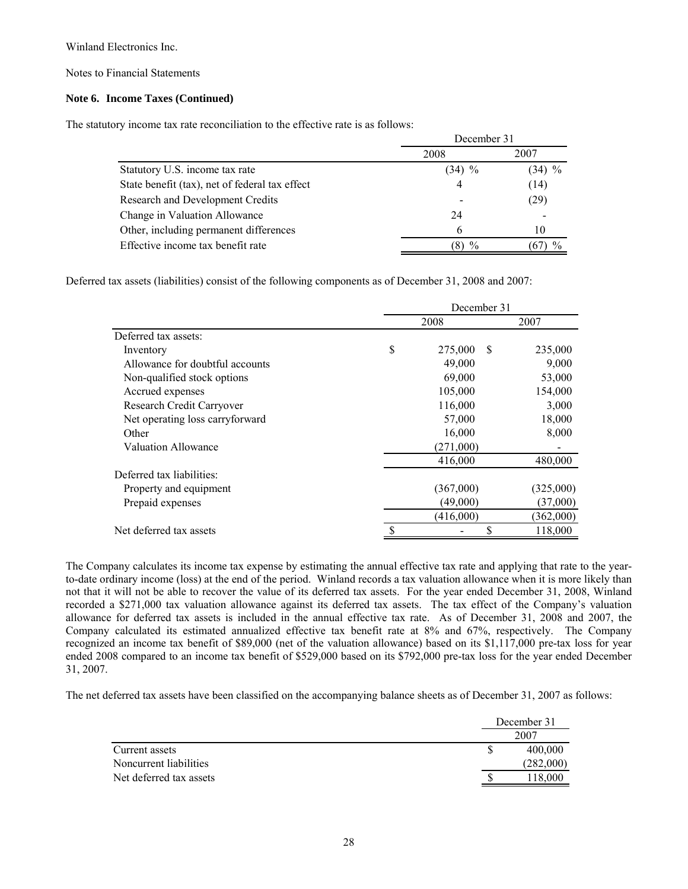Notes to Financial Statements

## **Note 6. Income Taxes (Continued)**

The statutory income tax rate reconciliation to the effective rate is as follows:

|                                                | December 31   |          |  |
|------------------------------------------------|---------------|----------|--|
|                                                | 2008          | 2007     |  |
| Statutory U.S. income tax rate                 | $(34)$ %      | $(34)$ % |  |
| State benefit (tax), net of federal tax effect | 4             | (14)     |  |
| Research and Development Credits               |               | (29)     |  |
| Change in Valuation Allowance                  | 24            |          |  |
| Other, including permanent differences         | 6             | 10       |  |
| Effective income tax benefit rate              | $\frac{0}{0}$ |          |  |

Deferred tax assets (liabilities) consist of the following components as of December 31, 2008 and 2007:

|                                 | December 31 |                         |           |
|---------------------------------|-------------|-------------------------|-----------|
|                                 |             | 2008                    | 2007      |
| Deferred tax assets:            |             |                         |           |
| Inventory                       | \$          | 275,000<br><sup>S</sup> | 235,000   |
| Allowance for doubtful accounts |             | 49,000                  | 9,000     |
| Non-qualified stock options     |             | 69,000                  | 53,000    |
| Accrued expenses                |             | 105,000                 | 154,000   |
| Research Credit Carryover       |             | 116,000                 | 3,000     |
| Net operating loss carryforward |             | 57,000                  | 18,000    |
| Other                           |             | 16,000                  | 8,000     |
| <b>Valuation Allowance</b>      |             | (271,000)               |           |
|                                 |             | 416,000                 | 480,000   |
| Deferred tax liabilities:       |             |                         |           |
| Property and equipment          |             | (367,000)               | (325,000) |
| Prepaid expenses                |             | (49,000)                | (37,000)  |
|                                 |             | (416,000)               | (362,000) |
| Net deferred tax assets         |             |                         | 118,000   |

The Company calculates its income tax expense by estimating the annual effective tax rate and applying that rate to the yearto-date ordinary income (loss) at the end of the period. Winland records a tax valuation allowance when it is more likely than not that it will not be able to recover the value of its deferred tax assets. For the year ended December 31, 2008, Winland recorded a \$271,000 tax valuation allowance against its deferred tax assets. The tax effect of the Company's valuation allowance for deferred tax assets is included in the annual effective tax rate. As of December 31, 2008 and 2007, the Company calculated its estimated annualized effective tax benefit rate at 8% and 67%, respectively. The Company recognized an income tax benefit of \$89,000 (net of the valuation allowance) based on its \$1,117,000 pre-tax loss for year ended 2008 compared to an income tax benefit of \$529,000 based on its \$792,000 pre-tax loss for the year ended December 31, 2007.

The net deferred tax assets have been classified on the accompanying balance sheets as of December 31, 2007 as follows:

|                         | December 31 |  |
|-------------------------|-------------|--|
|                         | 2007        |  |
| Current assets          | 400,000     |  |
| Noncurrent liabilities  | (282,000)   |  |
| Net deferred tax assets | 118,000     |  |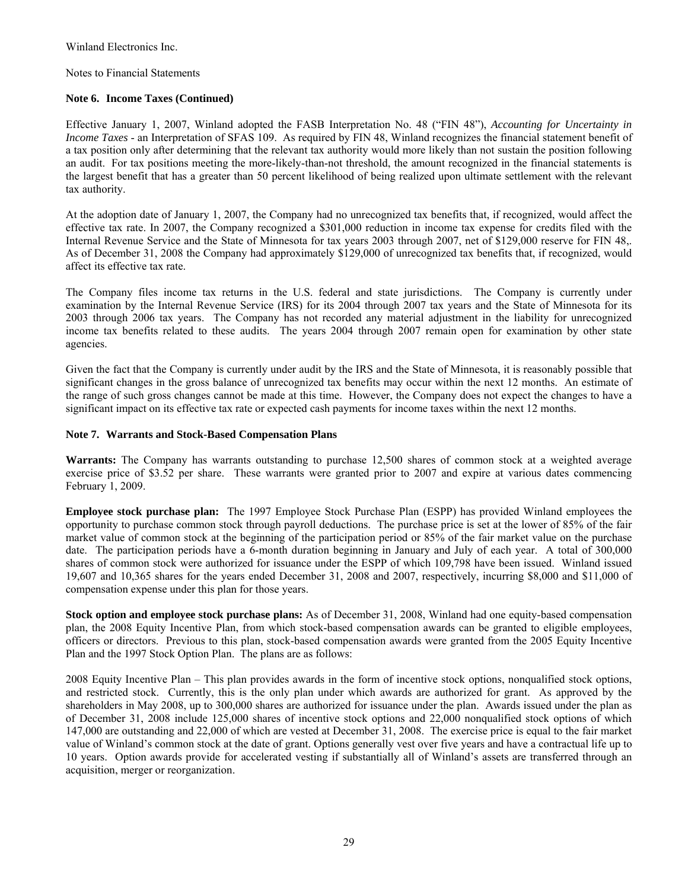Notes to Financial Statements

## **Note 6. Income Taxes (Continued)**

Effective January 1, 2007, Winland adopted the FASB Interpretation No. 48 ("FIN 48"), *Accounting for Uncertainty in Income Taxes* - an Interpretation of SFAS 109. As required by FIN 48, Winland recognizes the financial statement benefit of a tax position only after determining that the relevant tax authority would more likely than not sustain the position following an audit. For tax positions meeting the more-likely-than-not threshold, the amount recognized in the financial statements is the largest benefit that has a greater than 50 percent likelihood of being realized upon ultimate settlement with the relevant tax authority.

At the adoption date of January 1, 2007, the Company had no unrecognized tax benefits that, if recognized, would affect the effective tax rate. In 2007, the Company recognized a \$301,000 reduction in income tax expense for credits filed with the Internal Revenue Service and the State of Minnesota for tax years 2003 through 2007, net of \$129,000 reserve for FIN 48,. As of December 31, 2008 the Company had approximately \$129,000 of unrecognized tax benefits that, if recognized, would affect its effective tax rate.

The Company files income tax returns in the U.S. federal and state jurisdictions. The Company is currently under examination by the Internal Revenue Service (IRS) for its 2004 through 2007 tax years and the State of Minnesota for its 2003 through 2006 tax years. The Company has not recorded any material adjustment in the liability for unrecognized income tax benefits related to these audits. The years 2004 through 2007 remain open for examination by other state agencies.

Given the fact that the Company is currently under audit by the IRS and the State of Minnesota, it is reasonably possible that significant changes in the gross balance of unrecognized tax benefits may occur within the next 12 months. An estimate of the range of such gross changes cannot be made at this time. However, the Company does not expect the changes to have a significant impact on its effective tax rate or expected cash payments for income taxes within the next 12 months.

#### **Note 7. Warrants and Stock-Based Compensation Plans**

**Warrants:** The Company has warrants outstanding to purchase 12,500 shares of common stock at a weighted average exercise price of \$3.52 per share. These warrants were granted prior to 2007 and expire at various dates commencing February 1, 2009.

**Employee stock purchase plan:** The 1997 Employee Stock Purchase Plan (ESPP) has provided Winland employees the opportunity to purchase common stock through payroll deductions. The purchase price is set at the lower of 85% of the fair market value of common stock at the beginning of the participation period or 85% of the fair market value on the purchase date. The participation periods have a 6-month duration beginning in January and July of each year. A total of 300,000 shares of common stock were authorized for issuance under the ESPP of which 109,798 have been issued. Winland issued 19,607 and 10,365 shares for the years ended December 31, 2008 and 2007, respectively, incurring \$8,000 and \$11,000 of compensation expense under this plan for those years.

**Stock option and employee stock purchase plans:** As of December 31, 2008, Winland had one equity-based compensation plan, the 2008 Equity Incentive Plan, from which stock-based compensation awards can be granted to eligible employees, officers or directors. Previous to this plan, stock-based compensation awards were granted from the 2005 Equity Incentive Plan and the 1997 Stock Option Plan. The plans are as follows:

2008 Equity Incentive Plan – This plan provides awards in the form of incentive stock options, nonqualified stock options, and restricted stock. Currently, this is the only plan under which awards are authorized for grant. As approved by the shareholders in May 2008, up to 300,000 shares are authorized for issuance under the plan. Awards issued under the plan as of December 31, 2008 include 125,000 shares of incentive stock options and 22,000 nonqualified stock options of which 147,000 are outstanding and 22,000 of which are vested at December 31, 2008. The exercise price is equal to the fair market value of Winland's common stock at the date of grant. Options generally vest over five years and have a contractual life up to 10 years. Option awards provide for accelerated vesting if substantially all of Winland's assets are transferred through an acquisition, merger or reorganization.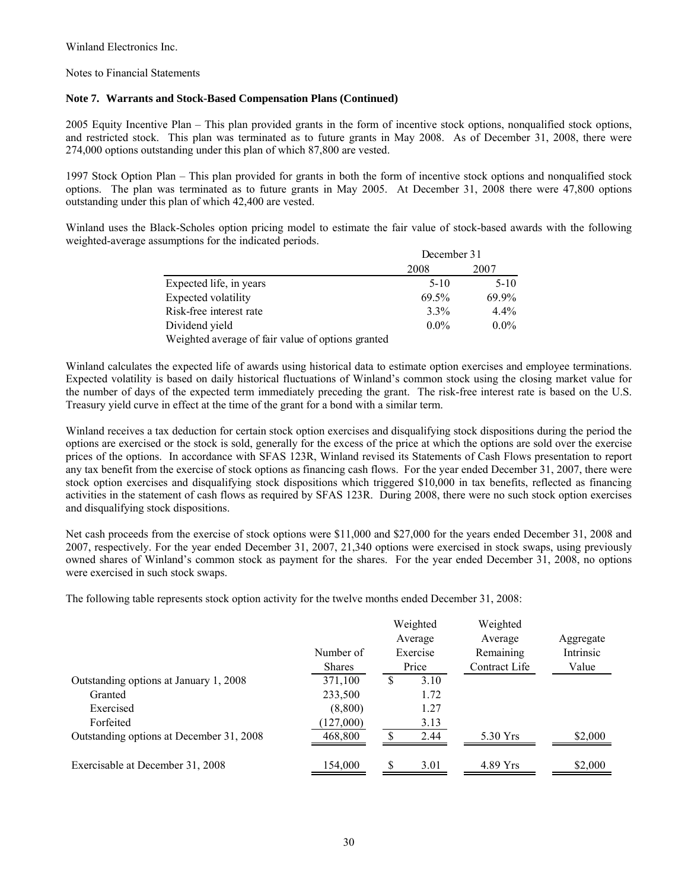Notes to Financial Statements

## **Note 7. Warrants and Stock-Based Compensation Plans (Continued)**

2005 Equity Incentive Plan – This plan provided grants in the form of incentive stock options, nonqualified stock options, and restricted stock. This plan was terminated as to future grants in May 2008. As of December 31, 2008, there were 274,000 options outstanding under this plan of which 87,800 are vested.

1997 Stock Option Plan – This plan provided for grants in both the form of incentive stock options and nonqualified stock options. The plan was terminated as to future grants in May 2005. At December 31, 2008 there were 47,800 options outstanding under this plan of which 42,400 are vested.

Winland uses the Black-Scholes option pricing model to estimate the fair value of stock-based awards with the following weighted-average assumptions for the indicated periods.

|                                                   | December 31 |         |  |
|---------------------------------------------------|-------------|---------|--|
|                                                   | 2008        | 2007    |  |
| Expected life, in years                           | $5-10$      | $5-10$  |  |
| Expected volatility                               | 69.5%       | 69.9%   |  |
| Risk-free interest rate                           | $3.3\%$     | $4.4\%$ |  |
| Dividend yield                                    | $0.0\%$     | $0.0\%$ |  |
| Weighted average of fair value of options granted |             |         |  |

Winland calculates the expected life of awards using historical data to estimate option exercises and employee terminations. Expected volatility is based on daily historical fluctuations of Winland's common stock using the closing market value for the number of days of the expected term immediately preceding the grant. The risk-free interest rate is based on the U.S. Treasury yield curve in effect at the time of the grant for a bond with a similar term.

Winland receives a tax deduction for certain stock option exercises and disqualifying stock dispositions during the period the options are exercised or the stock is sold, generally for the excess of the price at which the options are sold over the exercise prices of the options. In accordance with SFAS 123R, Winland revised its Statements of Cash Flows presentation to report any tax benefit from the exercise of stock options as financing cash flows. For the year ended December 31, 2007, there were stock option exercises and disqualifying stock dispositions which triggered \$10,000 in tax benefits, reflected as financing activities in the statement of cash flows as required by SFAS 123R. During 2008, there were no such stock option exercises and disqualifying stock dispositions.

Net cash proceeds from the exercise of stock options were \$11,000 and \$27,000 for the years ended December 31, 2008 and 2007, respectively. For the year ended December 31, 2007, 21,340 options were exercised in stock swaps, using previously owned shares of Winland's common stock as payment for the shares. For the year ended December 31, 2008, no options were exercised in such stock swaps.

The following table represents stock option activity for the twelve months ended December 31, 2008:

|                                          | Number of<br><b>Shares</b> |   | Weighted<br>Average<br>Exercise<br>Price | Weighted<br>Average<br>Remaining<br>Contract Life | Aggregate<br>Intrinsic<br>Value |
|------------------------------------------|----------------------------|---|------------------------------------------|---------------------------------------------------|---------------------------------|
| Outstanding options at January 1, 2008   | 371,100                    | S | 3.10                                     |                                                   |                                 |
| Granted                                  | 233,500                    |   | 1.72                                     |                                                   |                                 |
| Exercised                                | (8,800)                    |   | 1.27                                     |                                                   |                                 |
| Forfeited                                | (127,000)                  |   | 3.13                                     |                                                   |                                 |
| Outstanding options at December 31, 2008 | 468,800                    |   | 2.44                                     | 5.30 Yrs                                          | \$2,000                         |
| Exercisable at December 31, 2008         | 154,000                    | S | 3.01                                     | 4.89 Yrs                                          | \$2,000                         |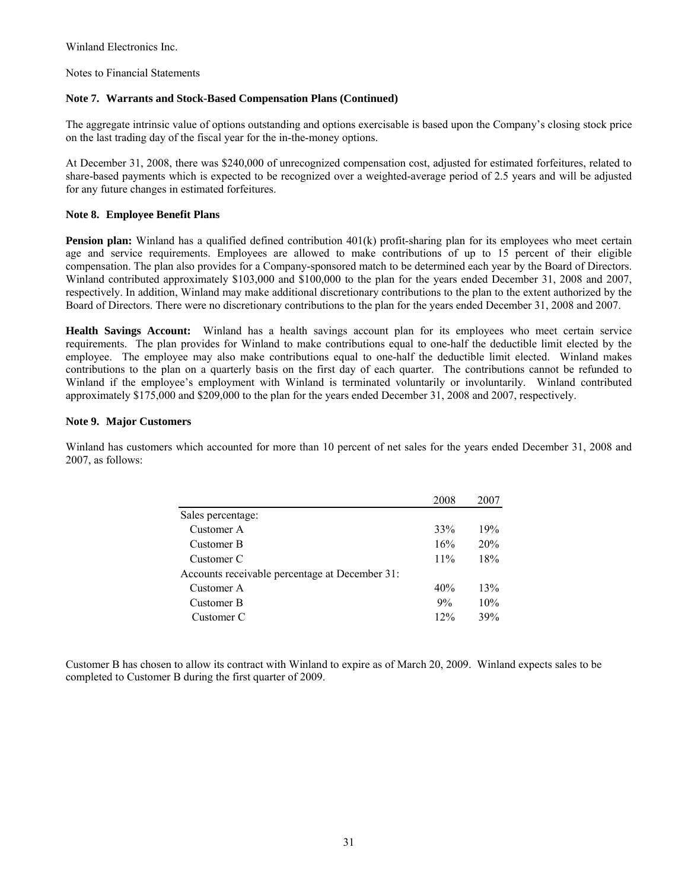Notes to Financial Statements

## **Note 7. Warrants and Stock-Based Compensation Plans (Continued)**

The aggregate intrinsic value of options outstanding and options exercisable is based upon the Company's closing stock price on the last trading day of the fiscal year for the in-the-money options.

At December 31, 2008, there was \$240,000 of unrecognized compensation cost, adjusted for estimated forfeitures, related to share-based payments which is expected to be recognized over a weighted-average period of 2.5 years and will be adjusted for any future changes in estimated forfeitures.

## **Note 8. Employee Benefit Plans**

**Pension plan:** Winland has a qualified defined contribution 401(k) profit-sharing plan for its employees who meet certain age and service requirements. Employees are allowed to make contributions of up to 15 percent of their eligible compensation. The plan also provides for a Company-sponsored match to be determined each year by the Board of Directors. Winland contributed approximately \$103,000 and \$100,000 to the plan for the years ended December 31, 2008 and 2007, respectively. In addition, Winland may make additional discretionary contributions to the plan to the extent authorized by the Board of Directors. There were no discretionary contributions to the plan for the years ended December 31, 2008 and 2007.

**Health Savings Account:** Winland has a health savings account plan for its employees who meet certain service requirements. The plan provides for Winland to make contributions equal to one-half the deductible limit elected by the employee. The employee may also make contributions equal to one-half the deductible limit elected. Winland makes contributions to the plan on a quarterly basis on the first day of each quarter. The contributions cannot be refunded to Winland if the employee's employment with Winland is terminated voluntarily or involuntarily. Winland contributed approximately \$175,000 and \$209,000 to the plan for the years ended December 31, 2008 and 2007, respectively.

#### **Note 9. Major Customers**

Winland has customers which accounted for more than 10 percent of net sales for the years ended December 31, 2008 and 2007, as follows:

|                                                | 2008 | 2007 |
|------------------------------------------------|------|------|
| Sales percentage:                              |      |      |
| Customer A                                     | 33%  | 19%  |
| Customer B                                     | 16%  | 20%  |
| Customer C                                     | 11%  | 18%  |
| Accounts receivable percentage at December 31: |      |      |
| Customer A                                     | 40%  | 13%  |
| Customer B                                     | 9%   | 10%  |
| Customer C                                     | 12%  | 39%  |
|                                                |      |      |

Customer B has chosen to allow its contract with Winland to expire as of March 20, 2009. Winland expects sales to be completed to Customer B during the first quarter of 2009.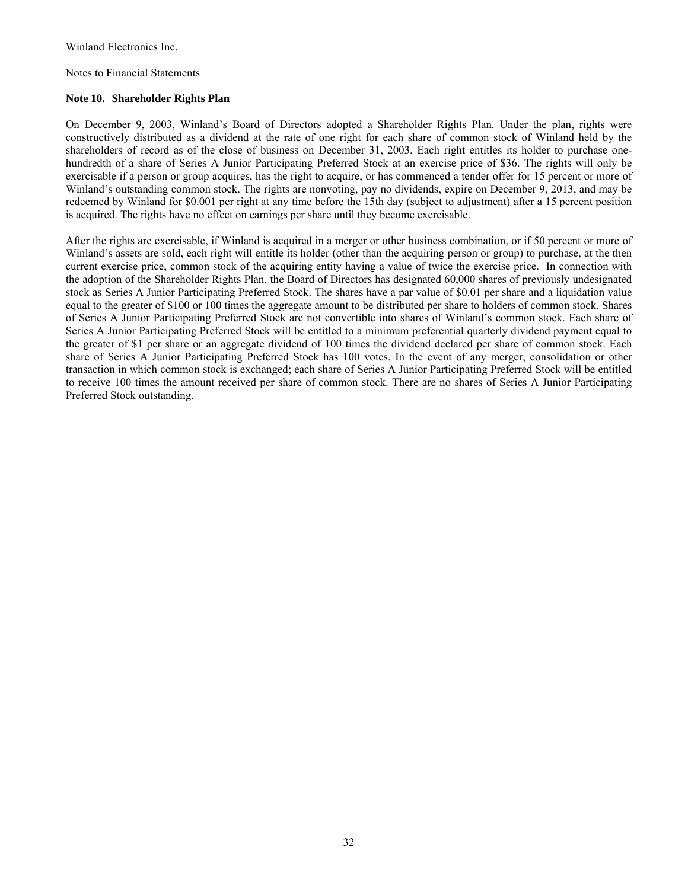Notes to Financial Statements

## **Note 10. Shareholder Rights Plan**

On December 9, 2003, Winland's Board of Directors adopted a Shareholder Rights Plan. Under the plan, rights were constructively distributed as a dividend at the rate of one right for each share of common stock of Winland held by the shareholders of record as of the close of business on December 31, 2003. Each right entitles its holder to purchase onehundredth of a share of Series A Junior Participating Preferred Stock at an exercise price of \$36. The rights will only be exercisable if a person or group acquires, has the right to acquire, or has commenced a tender offer for 15 percent or more of Winland's outstanding common stock. The rights are nonvoting, pay no dividends, expire on December 9, 2013, and may be redeemed by Winland for \$0.001 per right at any time before the 15th day (subject to adjustment) after a 15 percent position is acquired. The rights have no effect on earnings per share until they become exercisable.

After the rights are exercisable, if Winland is acquired in a merger or other business combination, or if 50 percent or more of Winland's assets are sold, each right will entitle its holder (other than the acquiring person or group) to purchase, at the then current exercise price, common stock of the acquiring entity having a value of twice the exercise price. In connection with the adoption of the Shareholder Rights Plan, the Board of Directors has designated 60,000 shares of previously undesignated stock as Series A Junior Participating Preferred Stock. The shares have a par value of \$0.01 per share and a liquidation value equal to the greater of \$100 or 100 times the aggregate amount to be distributed per share to holders of common stock. Shares of Series A Junior Participating Preferred Stock are not convertible into shares of Winland's common stock. Each share of Series A Junior Participating Preferred Stock will be entitled to a minimum preferential quarterly dividend payment equal to the greater of \$1 per share or an aggregate dividend of 100 times the dividend declared per share of common stock. Each share of Series A Junior Participating Preferred Stock has 100 votes. In the event of any merger, consolidation or other transaction in which common stock is exchanged; each share of Series A Junior Participating Preferred Stock will be entitled to receive 100 times the amount received per share of common stock. There are no shares of Series A Junior Participating Preferred Stock outstanding.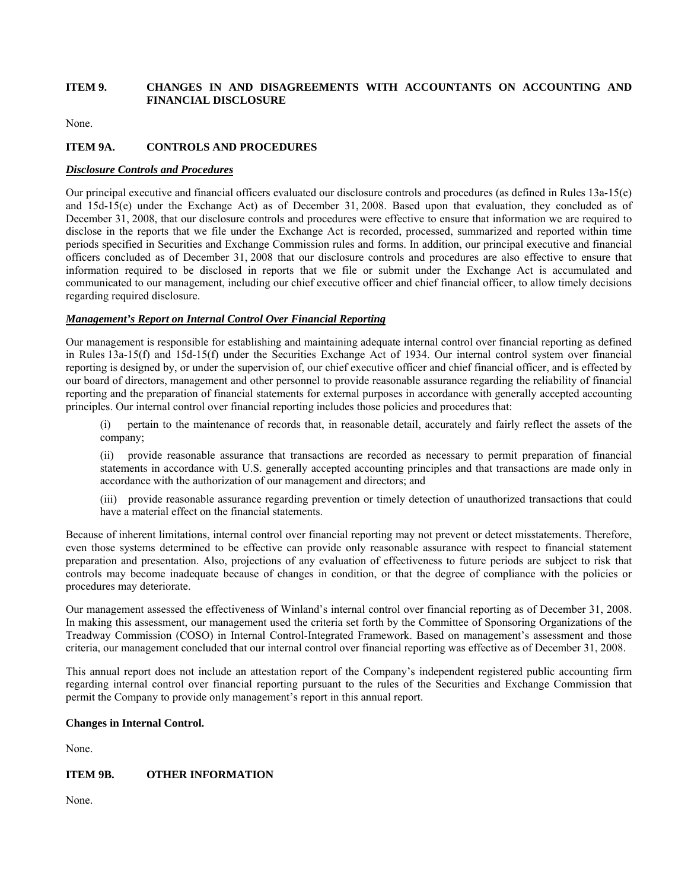## **ITEM 9. CHANGES IN AND DISAGREEMENTS WITH ACCOUNTANTS ON ACCOUNTING AND FINANCIAL DISCLOSURE**

None.

## **ITEM 9A. CONTROLS AND PROCEDURES**

## *Disclosure Controls and Procedures*

Our principal executive and financial officers evaluated our disclosure controls and procedures (as defined in Rules 13a-15(e) and 15d-15(e) under the Exchange Act) as of December 31, 2008. Based upon that evaluation, they concluded as of December 31, 2008, that our disclosure controls and procedures were effective to ensure that information we are required to disclose in the reports that we file under the Exchange Act is recorded, processed, summarized and reported within time periods specified in Securities and Exchange Commission rules and forms. In addition, our principal executive and financial officers concluded as of December 31, 2008 that our disclosure controls and procedures are also effective to ensure that information required to be disclosed in reports that we file or submit under the Exchange Act is accumulated and communicated to our management, including our chief executive officer and chief financial officer, to allow timely decisions regarding required disclosure.

## *Management's Report on Internal Control Over Financial Reporting*

Our management is responsible for establishing and maintaining adequate internal control over financial reporting as defined in Rules 13a-15(f) and 15d-15(f) under the Securities Exchange Act of 1934. Our internal control system over financial reporting is designed by, or under the supervision of, our chief executive officer and chief financial officer, and is effected by our board of directors, management and other personnel to provide reasonable assurance regarding the reliability of financial reporting and the preparation of financial statements for external purposes in accordance with generally accepted accounting principles. Our internal control over financial reporting includes those policies and procedures that:

(i) pertain to the maintenance of records that, in reasonable detail, accurately and fairly reflect the assets of the company;

(ii) provide reasonable assurance that transactions are recorded as necessary to permit preparation of financial statements in accordance with U.S. generally accepted accounting principles and that transactions are made only in accordance with the authorization of our management and directors; and

(iii) provide reasonable assurance regarding prevention or timely detection of unauthorized transactions that could have a material effect on the financial statements.

Because of inherent limitations, internal control over financial reporting may not prevent or detect misstatements. Therefore, even those systems determined to be effective can provide only reasonable assurance with respect to financial statement preparation and presentation. Also, projections of any evaluation of effectiveness to future periods are subject to risk that controls may become inadequate because of changes in condition, or that the degree of compliance with the policies or procedures may deteriorate.

Our management assessed the effectiveness of Winland's internal control over financial reporting as of December 31, 2008. In making this assessment, our management used the criteria set forth by the Committee of Sponsoring Organizations of the Treadway Commission (COSO) in Internal Control-Integrated Framework. Based on management's assessment and those criteria, our management concluded that our internal control over financial reporting was effective as of December 31, 2008.

This annual report does not include an attestation report of the Company's independent registered public accounting firm regarding internal control over financial reporting pursuant to the rules of the Securities and Exchange Commission that permit the Company to provide only management's report in this annual report.

## **Changes in Internal Control.**

None.

## **ITEM 9B. OTHER INFORMATION**

None.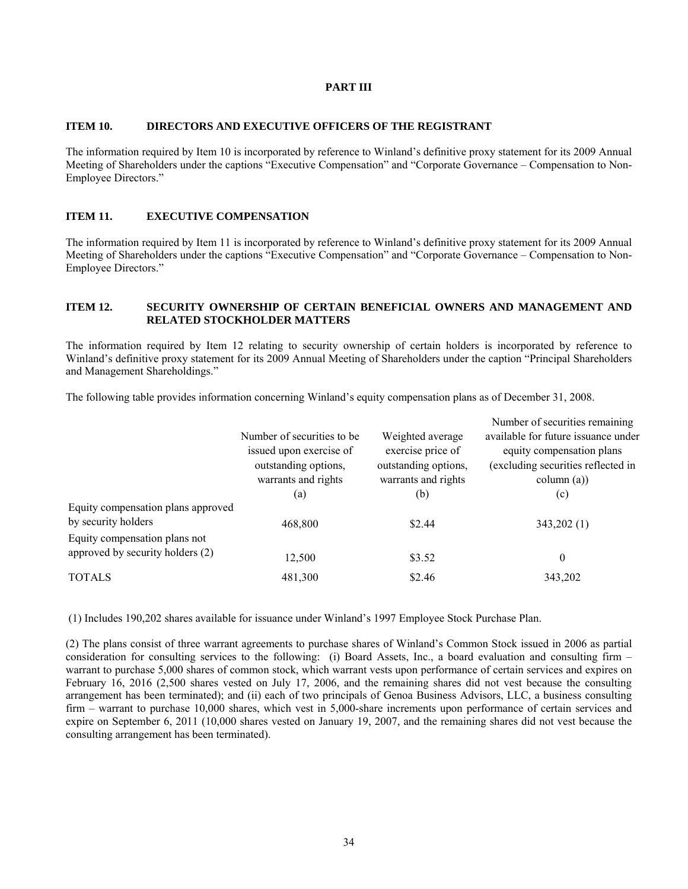## **PART III**

#### **ITEM 10. DIRECTORS AND EXECUTIVE OFFICERS OF THE REGISTRANT**

The information required by Item 10 is incorporated by reference to Winland's definitive proxy statement for its 2009 Annual Meeting of Shareholders under the captions "Executive Compensation" and "Corporate Governance – Compensation to Non-Employee Directors."

## **ITEM 11. EXECUTIVE COMPENSATION**

The information required by Item 11 is incorporated by reference to Winland's definitive proxy statement for its 2009 Annual Meeting of Shareholders under the captions "Executive Compensation" and "Corporate Governance – Compensation to Non-Employee Directors."

#### **ITEM 12. SECURITY OWNERSHIP OF CERTAIN BENEFICIAL OWNERS AND MANAGEMENT AND RELATED STOCKHOLDER MATTERS**

The information required by Item 12 relating to security ownership of certain holders is incorporated by reference to Winland's definitive proxy statement for its 2009 Annual Meeting of Shareholders under the caption "Principal Shareholders and Management Shareholdings."

The following table provides information concerning Winland's equity compensation plans as of December 31, 2008.

|                                    |                                                 |                                           | Number of securities remaining                                  |
|------------------------------------|-------------------------------------------------|-------------------------------------------|-----------------------------------------------------------------|
|                                    | Number of securities to be                      | Weighted average                          | available for future issuance under                             |
|                                    | issued upon exercise of<br>outstanding options, | exercise price of<br>outstanding options, | equity compensation plans<br>(excluding securities reflected in |
|                                    | warrants and rights                             | warrants and rights                       | column (a))                                                     |
|                                    | (a)                                             | (b)                                       | (c)                                                             |
| Equity compensation plans approved |                                                 |                                           |                                                                 |
| by security holders                | 468,800                                         | \$2.44                                    | 343,202 (1)                                                     |
| Equity compensation plans not      |                                                 |                                           |                                                                 |
| approved by security holders (2)   | 12,500                                          | \$3.52                                    | $\theta$                                                        |
| <b>TOTALS</b>                      | 481,300                                         | \$2.46                                    | 343,202                                                         |

(1) Includes 190,202 shares available for issuance under Winland's 1997 Employee Stock Purchase Plan.

(2) The plans consist of three warrant agreements to purchase shares of Winland's Common Stock issued in 2006 as partial consideration for consulting services to the following: (i) Board Assets, Inc., a board evaluation and consulting firm – warrant to purchase 5,000 shares of common stock, which warrant vests upon performance of certain services and expires on February 16, 2016 (2,500 shares vested on July 17, 2006, and the remaining shares did not vest because the consulting arrangement has been terminated); and (ii) each of two principals of Genoa Business Advisors, LLC, a business consulting firm – warrant to purchase 10,000 shares, which vest in 5,000-share increments upon performance of certain services and expire on September 6, 2011 (10,000 shares vested on January 19, 2007, and the remaining shares did not vest because the consulting arrangement has been terminated).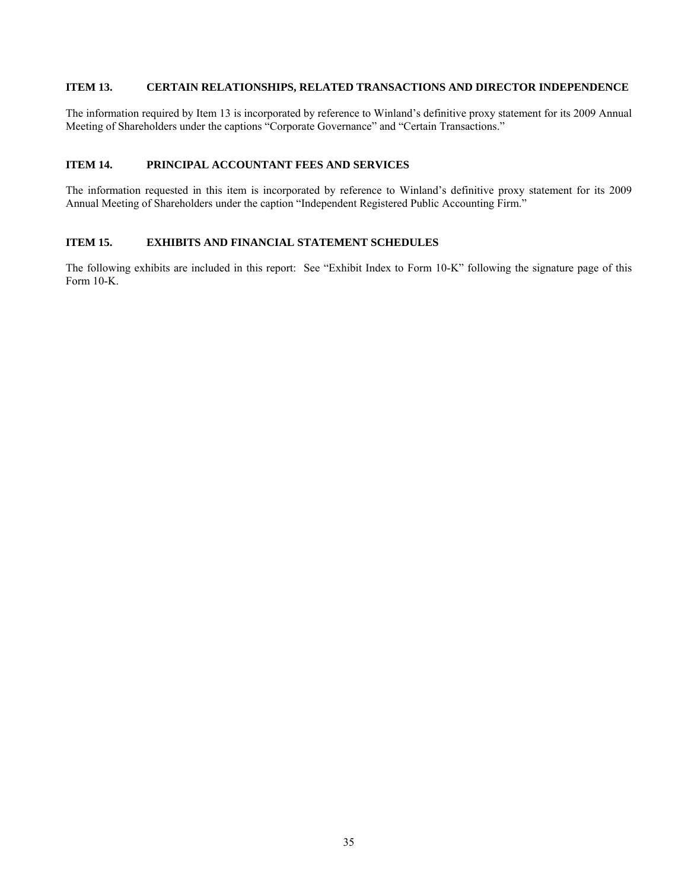## **ITEM 13. CERTAIN RELATIONSHIPS, RELATED TRANSACTIONS AND DIRECTOR INDEPENDENCE**

The information required by Item 13 is incorporated by reference to Winland's definitive proxy statement for its 2009 Annual Meeting of Shareholders under the captions "Corporate Governance" and "Certain Transactions."

## **ITEM 14. PRINCIPAL ACCOUNTANT FEES AND SERVICES**

The information requested in this item is incorporated by reference to Winland's definitive proxy statement for its 2009 Annual Meeting of Shareholders under the caption "Independent Registered Public Accounting Firm."

## **ITEM 15. EXHIBITS AND FINANCIAL STATEMENT SCHEDULES**

The following exhibits are included in this report: See "Exhibit Index to Form 10-K" following the signature page of this Form 10-K.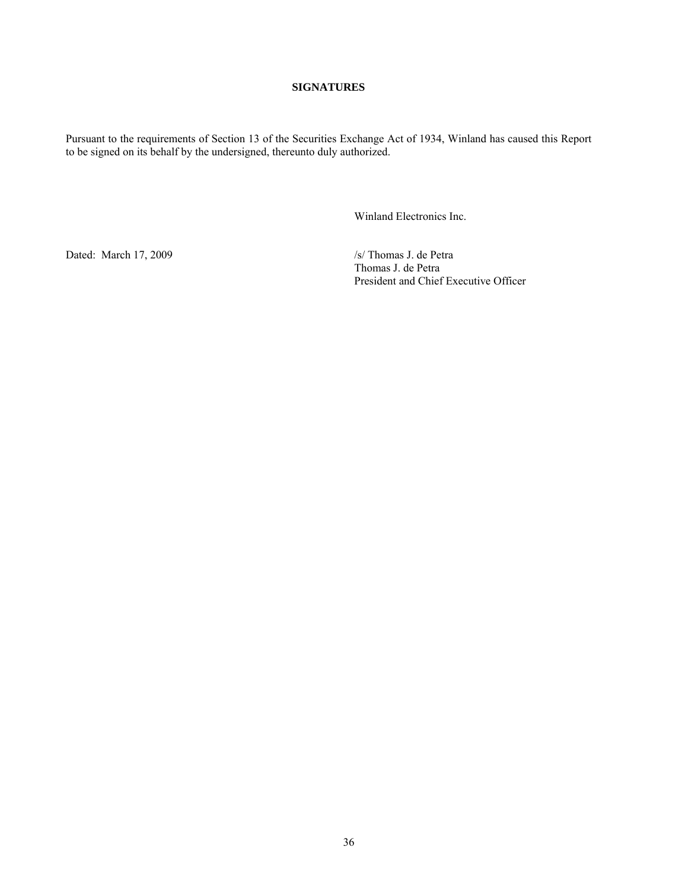## **SIGNATURES**

Pursuant to the requirements of Section 13 of the Securities Exchange Act of 1934, Winland has caused this Report to be signed on its behalf by the undersigned, thereunto duly authorized.

Winland Electronics Inc.

Dated: March 17, 2009 /s/ Thomas J. de Petra

 Thomas J. de Petra President and Chief Executive Officer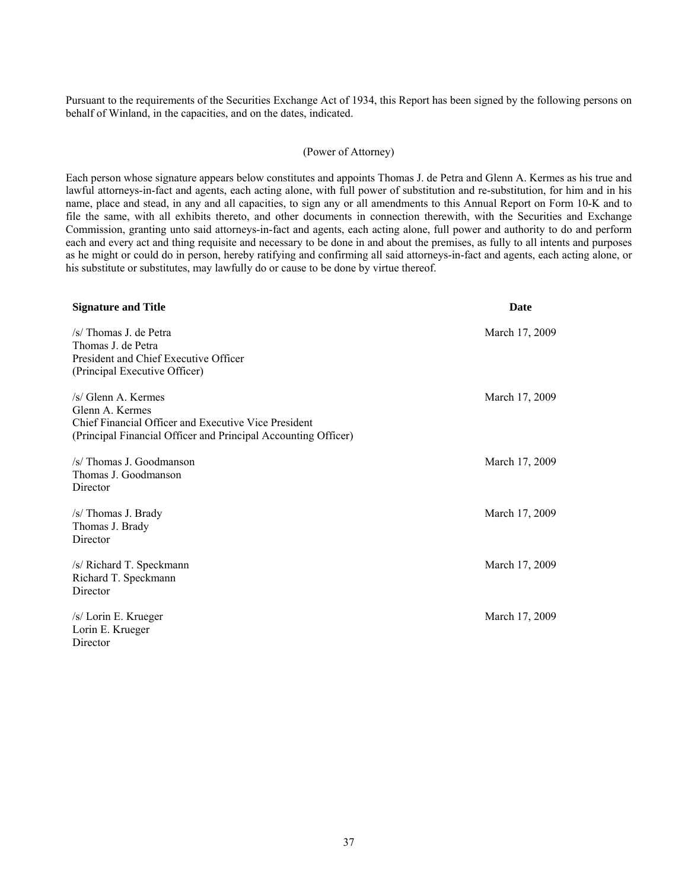Pursuant to the requirements of the Securities Exchange Act of 1934, this Report has been signed by the following persons on behalf of Winland, in the capacities, and on the dates, indicated.

#### (Power of Attorney)

Each person whose signature appears below constitutes and appoints Thomas J. de Petra and Glenn A. Kermes as his true and lawful attorneys-in-fact and agents, each acting alone, with full power of substitution and re-substitution, for him and in his name, place and stead, in any and all capacities, to sign any or all amendments to this Annual Report on Form 10-K and to file the same, with all exhibits thereto, and other documents in connection therewith, with the Securities and Exchange Commission, granting unto said attorneys-in-fact and agents, each acting alone, full power and authority to do and perform each and every act and thing requisite and necessary to be done in and about the premises, as fully to all intents and purposes as he might or could do in person, hereby ratifying and confirming all said attorneys-in-fact and agents, each acting alone, or his substitute or substitutes, may lawfully do or cause to be done by virtue thereof.

| <b>Signature and Title</b>                                                                                                                                        | <b>Date</b>    |
|-------------------------------------------------------------------------------------------------------------------------------------------------------------------|----------------|
| /s/ Thomas J. de Petra<br>Thomas J. de Petra<br>President and Chief Executive Officer<br>(Principal Executive Officer)                                            | March 17, 2009 |
| $/s$ Glenn A. Kermes<br>Glenn A. Kermes<br>Chief Financial Officer and Executive Vice President<br>(Principal Financial Officer and Principal Accounting Officer) | March 17, 2009 |
| /s/ Thomas J. Goodmanson<br>Thomas J. Goodmanson<br>Director                                                                                                      | March 17, 2009 |
| /s/ Thomas J. Brady<br>Thomas J. Brady<br>Director                                                                                                                | March 17, 2009 |
| /s/ Richard T. Speckmann<br>Richard T. Speckmann<br>Director                                                                                                      | March 17, 2009 |
| /s/ Lorin E. Krueger<br>Lorin E. Krueger<br>Director                                                                                                              | March 17, 2009 |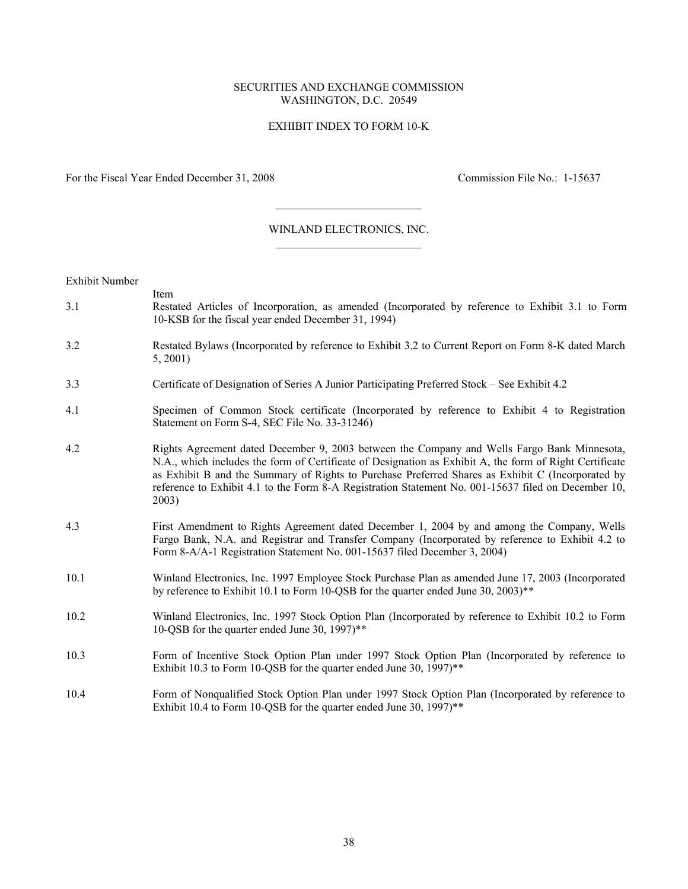#### SECURITIES AND EXCHANGE COMMISSION WASHINGTON, D.C. 20549

## EXHIBIT INDEX TO FORM 10-K

For the Fiscal Year Ended December 31, 2008 Commission File No.: 1-15637

#### WINLAND ELECTRONICS, INC.  $\overline{\phantom{a}}$  , where  $\overline{\phantom{a}}$  , where  $\overline{\phantom{a}}$  , where  $\overline{\phantom{a}}$

 $\overline{\phantom{a}}$  , where  $\overline{\phantom{a}}$  , where  $\overline{\phantom{a}}$  , where  $\overline{\phantom{a}}$ 

Exhibit Number

- Item 3.1 Restated Articles of Incorporation, as amended (Incorporated by reference to Exhibit 3.1 to Form 10-KSB for the fiscal year ended December 31, 1994)
- 3.2 Restated Bylaws (Incorporated by reference to Exhibit 3.2 to Current Report on Form 8-K dated March 5, 2001)
- 3.3 Certificate of Designation of Series A Junior Participating Preferred Stock See Exhibit 4.2
- 4.1 Specimen of Common Stock certificate (Incorporated by reference to Exhibit 4 to Registration Statement on Form S-4, SEC File No. 33-31246)
- 4.2 Rights Agreement dated December 9, 2003 between the Company and Wells Fargo Bank Minnesota, N.A., which includes the form of Certificate of Designation as Exhibit A, the form of Right Certificate as Exhibit B and the Summary of Rights to Purchase Preferred Shares as Exhibit C (Incorporated by reference to Exhibit 4.1 to the Form 8-A Registration Statement No. 001-15637 filed on December 10, 2003)
- 4.3 First Amendment to Rights Agreement dated December 1, 2004 by and among the Company, Wells Fargo Bank, N.A. and Registrar and Transfer Company (Incorporated by reference to Exhibit 4.2 to Form 8-A/A-1 Registration Statement No. 001-15637 filed December 3, 2004)
- 10.1 Winland Electronics, Inc. 1997 Employee Stock Purchase Plan as amended June 17, 2003 (Incorporated by reference to Exhibit 10.1 to Form 10-QSB for the quarter ended June 30, 2003)\*\*
- 10.2 Winland Electronics, Inc. 1997 Stock Option Plan (Incorporated by reference to Exhibit 10.2 to Form 10-QSB for the quarter ended June 30, 1997)\*\*
- 10.3 Form of Incentive Stock Option Plan under 1997 Stock Option Plan (Incorporated by reference to Exhibit 10.3 to Form 10-QSB for the quarter ended June 30,  $1997$ <sup>\*\*</sup>
- 10.4 Form of Nonqualified Stock Option Plan under 1997 Stock Option Plan (Incorporated by reference to Exhibit 10.4 to Form 10-QSB for the quarter ended June 30, 1997)<sup>\*\*</sup>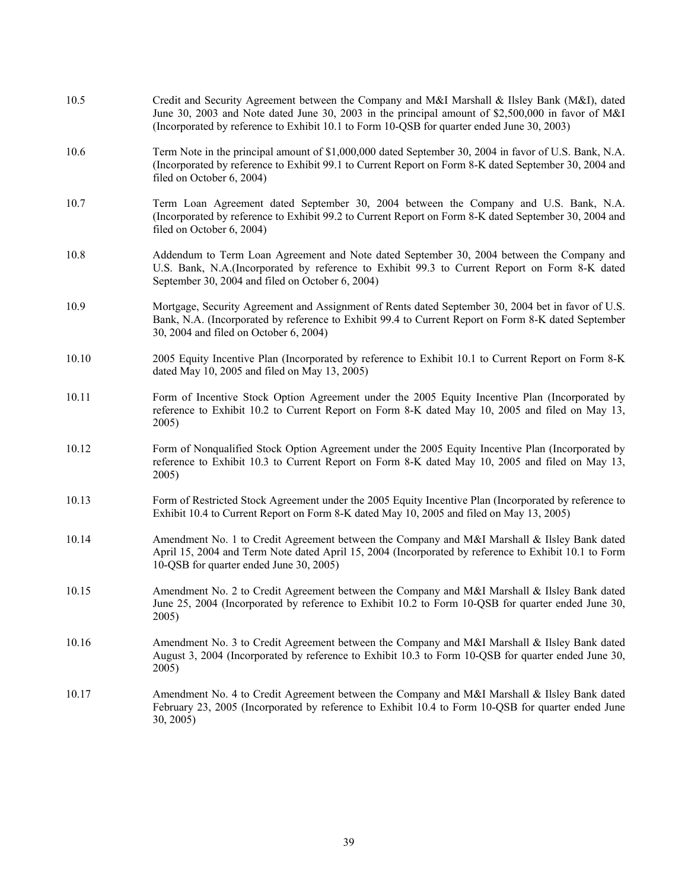| 10.5  | Credit and Security Agreement between the Company and M&I Marshall & Ilsley Bank (M&I), dated<br>June 30, 2003 and Note dated June 30, 2003 in the principal amount of \$2,500,000 in favor of M&I<br>(Incorporated by reference to Exhibit 10.1 to Form 10-QSB for quarter ended June 30, 2003) |
|-------|--------------------------------------------------------------------------------------------------------------------------------------------------------------------------------------------------------------------------------------------------------------------------------------------------|
| 10.6  | Term Note in the principal amount of \$1,000,000 dated September 30, 2004 in favor of U.S. Bank, N.A.<br>(Incorporated by reference to Exhibit 99.1 to Current Report on Form 8-K dated September 30, 2004 and<br>filed on October 6, 2004)                                                      |
| 10.7  | Term Loan Agreement dated September 30, 2004 between the Company and U.S. Bank, N.A.<br>(Incorporated by reference to Exhibit 99.2 to Current Report on Form 8-K dated September 30, 2004 and<br>filed on October 6, 2004)                                                                       |
| 10.8  | Addendum to Term Loan Agreement and Note dated September 30, 2004 between the Company and<br>U.S. Bank, N.A.(Incorporated by reference to Exhibit 99.3 to Current Report on Form 8-K dated<br>September 30, 2004 and filed on October 6, 2004)                                                   |
| 10.9  | Mortgage, Security Agreement and Assignment of Rents dated September 30, 2004 bet in favor of U.S.<br>Bank, N.A. (Incorporated by reference to Exhibit 99.4 to Current Report on Form 8-K dated September<br>30, 2004 and filed on October 6, 2004)                                              |
| 10.10 | 2005 Equity Incentive Plan (Incorporated by reference to Exhibit 10.1 to Current Report on Form 8-K<br>dated May 10, 2005 and filed on May 13, 2005)                                                                                                                                             |
| 10.11 | Form of Incentive Stock Option Agreement under the 2005 Equity Incentive Plan (Incorporated by<br>reference to Exhibit 10.2 to Current Report on Form 8-K dated May 10, 2005 and filed on May 13,<br>2005)                                                                                       |
| 10.12 | Form of Nonqualified Stock Option Agreement under the 2005 Equity Incentive Plan (Incorporated by<br>reference to Exhibit 10.3 to Current Report on Form 8-K dated May 10, 2005 and filed on May 13,<br>2005)                                                                                    |
| 10.13 | Form of Restricted Stock Agreement under the 2005 Equity Incentive Plan (Incorporated by reference to<br>Exhibit 10.4 to Current Report on Form 8-K dated May 10, 2005 and filed on May 13, 2005)                                                                                                |
| 10.14 | Amendment No. 1 to Credit Agreement between the Company and M&I Marshall & Ilsley Bank dated<br>April 15, 2004 and Term Note dated April 15, 2004 (Incorporated by reference to Exhibit 10.1 to Form<br>10-QSB for quarter ended June 30, 2005)                                                  |
| 10.15 | Amendment No. 2 to Credit Agreement between the Company and M&I Marshall & Ilsley Bank dated<br>June 25, 2004 (Incorporated by reference to Exhibit 10.2 to Form 10-QSB for quarter ended June 30,<br>2005)                                                                                      |
| 10.16 | Amendment No. 3 to Credit Agreement between the Company and M&I Marshall & Ilsley Bank dated<br>August 3, 2004 (Incorporated by reference to Exhibit 10.3 to Form 10-QSB for quarter ended June 30,<br>2005)                                                                                     |
| 10.17 | Amendment No. 4 to Credit Agreement between the Company and M&I Marshall & Ilsley Bank dated<br>February 23, 2005 (Incorporated by reference to Exhibit 10.4 to Form 10-QSB for quarter ended June<br>30, 2005                                                                                   |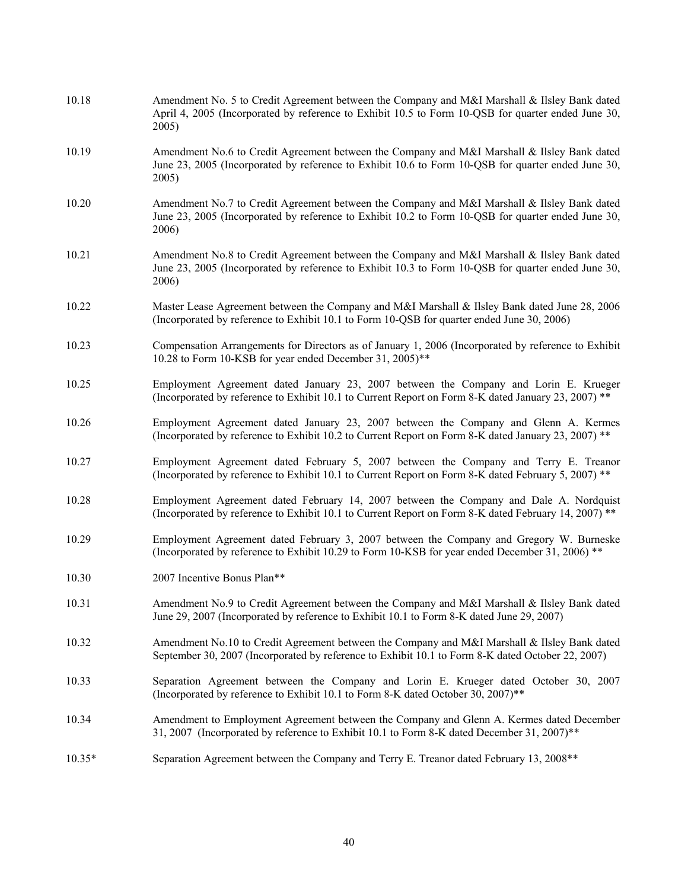| 10.18    | Amendment No. 5 to Credit Agreement between the Company and M&I Marshall & Ilsley Bank dated<br>April 4, 2005 (Incorporated by reference to Exhibit 10.5 to Form 10-QSB for quarter ended June 30,<br>2005) |
|----------|-------------------------------------------------------------------------------------------------------------------------------------------------------------------------------------------------------------|
| 10.19    | Amendment No.6 to Credit Agreement between the Company and M&I Marshall & Ilsley Bank dated<br>June 23, 2005 (Incorporated by reference to Exhibit 10.6 to Form 10-QSB for quarter ended June 30,<br>2005)  |
| 10.20    | Amendment No.7 to Credit Agreement between the Company and M&I Marshall & Ilsley Bank dated<br>June 23, 2005 (Incorporated by reference to Exhibit 10.2 to Form 10-QSB for quarter ended June 30,<br>2006)  |
| 10.21    | Amendment No.8 to Credit Agreement between the Company and M&I Marshall & Ilsley Bank dated<br>June 23, 2005 (Incorporated by reference to Exhibit 10.3 to Form 10-QSB for quarter ended June 30,<br>2006)  |
| 10.22    | Master Lease Agreement between the Company and M&I Marshall & Ilsley Bank dated June 28, 2006<br>(Incorporated by reference to Exhibit 10.1 to Form 10-QSB for quarter ended June 30, 2006)                 |
| 10.23    | Compensation Arrangements for Directors as of January 1, 2006 (Incorporated by reference to Exhibit<br>10.28 to Form 10-KSB for year ended December 31, 2005)**                                             |
| 10.25    | Employment Agreement dated January 23, 2007 between the Company and Lorin E. Krueger<br>(Incorporated by reference to Exhibit 10.1 to Current Report on Form 8-K dated January 23, 2007) **                 |
| 10.26    | Employment Agreement dated January 23, 2007 between the Company and Glenn A. Kermes<br>(Incorporated by reference to Exhibit 10.2 to Current Report on Form 8-K dated January 23, 2007) **                  |
| 10.27    | Employment Agreement dated February 5, 2007 between the Company and Terry E. Treanor<br>(Incorporated by reference to Exhibit 10.1 to Current Report on Form 8-K dated February 5, 2007) **                 |
| 10.28    | Employment Agreement dated February 14, 2007 between the Company and Dale A. Nordquist<br>(Incorporated by reference to Exhibit 10.1 to Current Report on Form 8-K dated February 14, 2007) **              |
| 10.29    | Employment Agreement dated February 3, 2007 between the Company and Gregory W. Burneske<br>(Incorporated by reference to Exhibit 10.29 to Form 10-KSB for year ended December 31, 2006) **                  |
| 10.30    | 2007 Incentive Bonus Plan**                                                                                                                                                                                 |
| 10.31    | Amendment No.9 to Credit Agreement between the Company and M&I Marshall & Ilsley Bank dated<br>June 29, 2007 (Incorporated by reference to Exhibit 10.1 to Form 8-K dated June 29, 2007)                    |
| 10.32    | Amendment No.10 to Credit Agreement between the Company and M&I Marshall & Ilsley Bank dated<br>September 30, 2007 (Incorporated by reference to Exhibit 10.1 to Form 8-K dated October 22, 2007)           |
| 10.33    | Separation Agreement between the Company and Lorin E. Krueger dated October 30, 2007<br>(Incorporated by reference to Exhibit 10.1 to Form 8-K dated October 30, 2007)**                                    |
| 10.34    | Amendment to Employment Agreement between the Company and Glenn A. Kermes dated December<br>31, 2007 (Incorporated by reference to Exhibit 10.1 to Form 8-K dated December 31, 2007)**                      |
| $10.35*$ | Separation Agreement between the Company and Terry E. Treanor dated February 13, 2008**                                                                                                                     |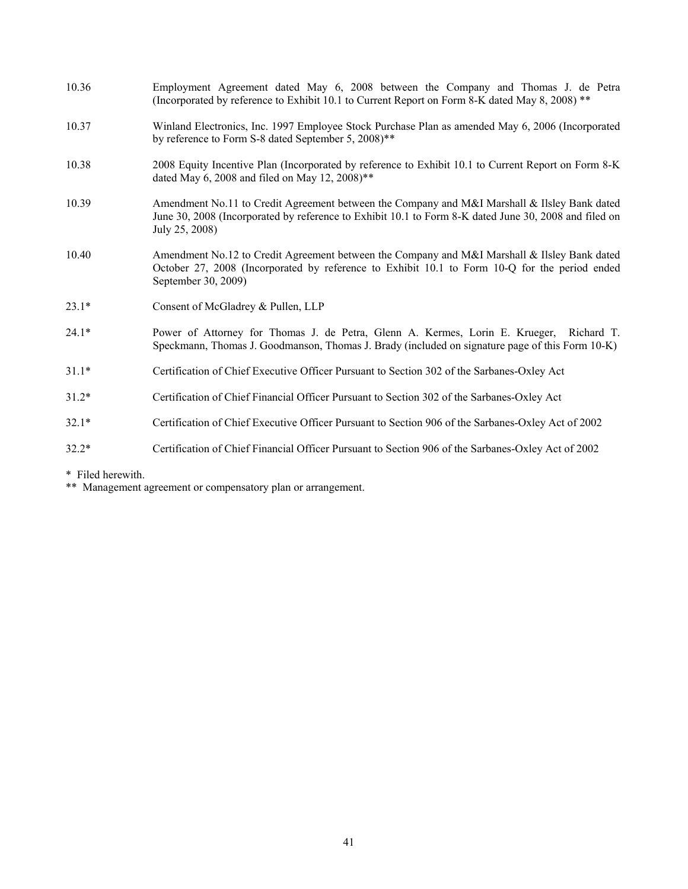| 10.36   | Employment Agreement dated May 6, 2008 between the Company and Thomas J. de Petra<br>(Incorporated by reference to Exhibit 10.1 to Current Report on Form 8-K dated May 8, 2008) **                                     |
|---------|-------------------------------------------------------------------------------------------------------------------------------------------------------------------------------------------------------------------------|
| 10.37   | Winland Electronics, Inc. 1997 Employee Stock Purchase Plan as amended May 6, 2006 (Incorporated<br>by reference to Form S-8 dated September 5, 2008)**                                                                 |
| 10.38   | 2008 Equity Incentive Plan (Incorporated by reference to Exhibit 10.1 to Current Report on Form 8-K<br>dated May 6, 2008 and filed on May 12, 2008)**                                                                   |
| 10.39   | Amendment No.11 to Credit Agreement between the Company and M&I Marshall & Ilsley Bank dated<br>June 30, 2008 (Incorporated by reference to Exhibit 10.1 to Form 8-K dated June 30, 2008 and filed on<br>July 25, 2008) |
| 10.40   | Amendment No.12 to Credit Agreement between the Company and M&I Marshall & Ilsley Bank dated<br>October 27, 2008 (Incorporated by reference to Exhibit 10.1 to Form 10-Q for the period ended<br>September 30, 2009)    |
| $23.1*$ | Consent of McGladrey & Pullen, LLP                                                                                                                                                                                      |
| $24.1*$ | Power of Attorney for Thomas J. de Petra, Glenn A. Kermes, Lorin E. Krueger, Richard T.<br>Speckmann, Thomas J. Goodmanson, Thomas J. Brady (included on signature page of this Form 10-K)                              |
| $31.1*$ | Certification of Chief Executive Officer Pursuant to Section 302 of the Sarbanes-Oxley Act                                                                                                                              |
| $31.2*$ | Certification of Chief Financial Officer Pursuant to Section 302 of the Sarbanes-Oxley Act                                                                                                                              |
| $32.1*$ | Certification of Chief Executive Officer Pursuant to Section 906 of the Sarbanes-Oxley Act of 2002                                                                                                                      |
| $32.2*$ | Certification of Chief Financial Officer Pursuant to Section 906 of the Sarbanes-Oxley Act of 2002                                                                                                                      |

\* Filed herewith.

\*\* Management agreement or compensatory plan or arrangement.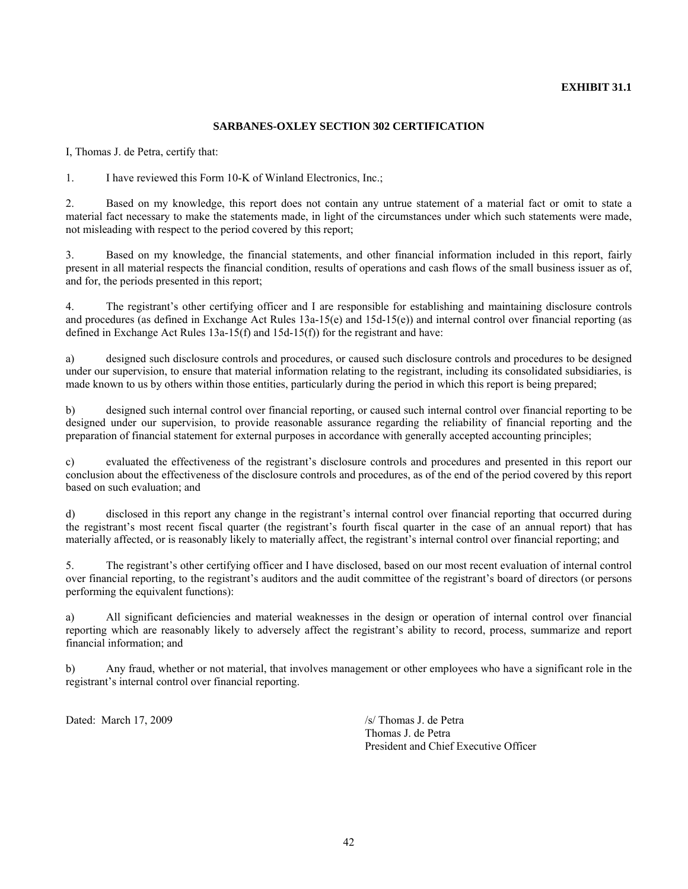## **EXHIBIT 31.1**

## **SARBANES-OXLEY SECTION 302 CERTIFICATION**

I, Thomas J. de Petra, certify that:

1. I have reviewed this Form 10-K of Winland Electronics, Inc.;

2. Based on my knowledge, this report does not contain any untrue statement of a material fact or omit to state a material fact necessary to make the statements made, in light of the circumstances under which such statements were made, not misleading with respect to the period covered by this report;

3. Based on my knowledge, the financial statements, and other financial information included in this report, fairly present in all material respects the financial condition, results of operations and cash flows of the small business issuer as of, and for, the periods presented in this report;

4. The registrant's other certifying officer and I are responsible for establishing and maintaining disclosure controls and procedures (as defined in Exchange Act Rules 13a-15(e) and 15d-15(e)) and internal control over financial reporting (as defined in Exchange Act Rules 13a-15(f) and 15d-15(f)) for the registrant and have:

a) designed such disclosure controls and procedures, or caused such disclosure controls and procedures to be designed under our supervision, to ensure that material information relating to the registrant, including its consolidated subsidiaries, is made known to us by others within those entities, particularly during the period in which this report is being prepared;

b) designed such internal control over financial reporting, or caused such internal control over financial reporting to be designed under our supervision, to provide reasonable assurance regarding the reliability of financial reporting and the preparation of financial statement for external purposes in accordance with generally accepted accounting principles;

c) evaluated the effectiveness of the registrant's disclosure controls and procedures and presented in this report our conclusion about the effectiveness of the disclosure controls and procedures, as of the end of the period covered by this report based on such evaluation; and

d) disclosed in this report any change in the registrant's internal control over financial reporting that occurred during the registrant's most recent fiscal quarter (the registrant's fourth fiscal quarter in the case of an annual report) that has materially affected, or is reasonably likely to materially affect, the registrant's internal control over financial reporting; and

5. The registrant's other certifying officer and I have disclosed, based on our most recent evaluation of internal control over financial reporting, to the registrant's auditors and the audit committee of the registrant's board of directors (or persons performing the equivalent functions):

a) All significant deficiencies and material weaknesses in the design or operation of internal control over financial reporting which are reasonably likely to adversely affect the registrant's ability to record, process, summarize and report financial information; and

b) Any fraud, whether or not material, that involves management or other employees who have a significant role in the registrant's internal control over financial reporting.

Dated: March 17, 2009 /s/ Thomas J. de Petra

 Thomas J. de Petra President and Chief Executive Officer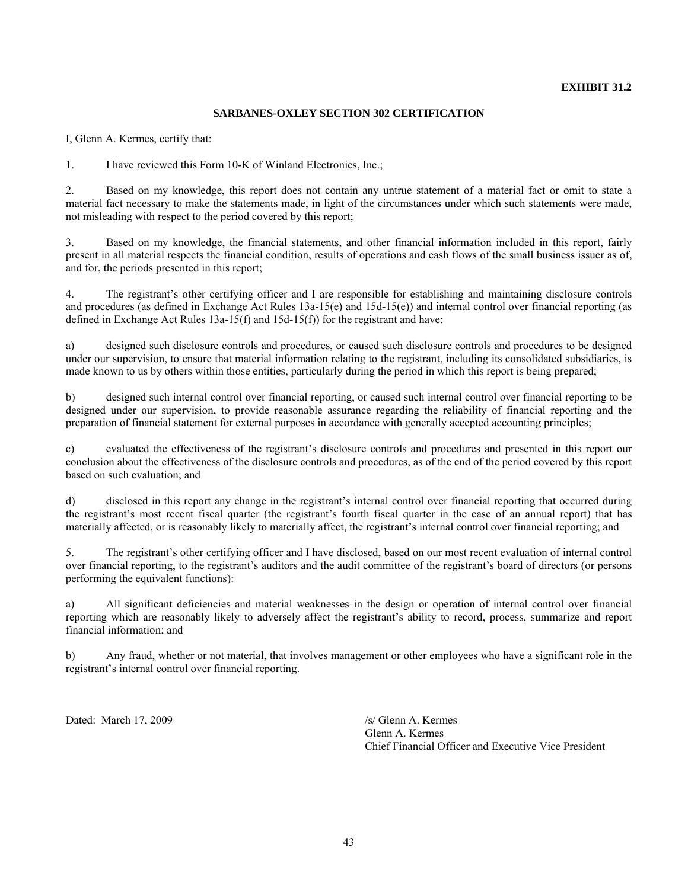## **EXHIBIT 31.2**

#### **SARBANES-OXLEY SECTION 302 CERTIFICATION**

I, Glenn A. Kermes, certify that:

1. I have reviewed this Form 10-K of Winland Electronics, Inc.;

2. Based on my knowledge, this report does not contain any untrue statement of a material fact or omit to state a material fact necessary to make the statements made, in light of the circumstances under which such statements were made, not misleading with respect to the period covered by this report;

3. Based on my knowledge, the financial statements, and other financial information included in this report, fairly present in all material respects the financial condition, results of operations and cash flows of the small business issuer as of, and for, the periods presented in this report;

4. The registrant's other certifying officer and I are responsible for establishing and maintaining disclosure controls and procedures (as defined in Exchange Act Rules 13a-15(e) and 15d-15(e)) and internal control over financial reporting (as defined in Exchange Act Rules 13a-15(f) and 15d-15(f)) for the registrant and have:

a) designed such disclosure controls and procedures, or caused such disclosure controls and procedures to be designed under our supervision, to ensure that material information relating to the registrant, including its consolidated subsidiaries, is made known to us by others within those entities, particularly during the period in which this report is being prepared;

b) designed such internal control over financial reporting, or caused such internal control over financial reporting to be designed under our supervision, to provide reasonable assurance regarding the reliability of financial reporting and the preparation of financial statement for external purposes in accordance with generally accepted accounting principles;

c) evaluated the effectiveness of the registrant's disclosure controls and procedures and presented in this report our conclusion about the effectiveness of the disclosure controls and procedures, as of the end of the period covered by this report based on such evaluation; and

d) disclosed in this report any change in the registrant's internal control over financial reporting that occurred during the registrant's most recent fiscal quarter (the registrant's fourth fiscal quarter in the case of an annual report) that has materially affected, or is reasonably likely to materially affect, the registrant's internal control over financial reporting; and

5. The registrant's other certifying officer and I have disclosed, based on our most recent evaluation of internal control over financial reporting, to the registrant's auditors and the audit committee of the registrant's board of directors (or persons performing the equivalent functions):

a) All significant deficiencies and material weaknesses in the design or operation of internal control over financial reporting which are reasonably likely to adversely affect the registrant's ability to record, process, summarize and report financial information; and

b) Any fraud, whether or not material, that involves management or other employees who have a significant role in the registrant's internal control over financial reporting.

Dated: March 17, 2009 /s/ Glenn A. Kermes

 Glenn A. Kermes Chief Financial Officer and Executive Vice President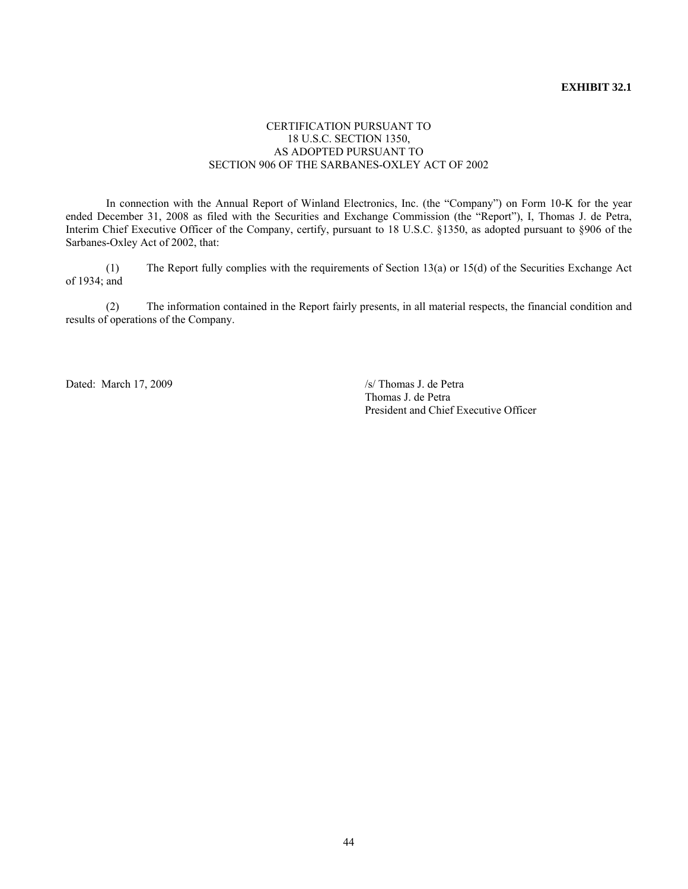## **EXHIBIT 32.1**

### CERTIFICATION PURSUANT TO 18 U.S.C. SECTION 1350, AS ADOPTED PURSUANT TO SECTION 906 OF THE SARBANES-OXLEY ACT OF 2002

 In connection with the Annual Report of Winland Electronics, Inc. (the "Company") on Form 10-K for the year ended December 31, 2008 as filed with the Securities and Exchange Commission (the "Report"), I, Thomas J. de Petra, Interim Chief Executive Officer of the Company, certify, pursuant to 18 U.S.C. §1350, as adopted pursuant to §906 of the Sarbanes-Oxley Act of 2002, that:

 (1) The Report fully complies with the requirements of Section 13(a) or 15(d) of the Securities Exchange Act of 1934; and

 (2) The information contained in the Report fairly presents, in all material respects, the financial condition and results of operations of the Company.

Dated: March 17, 2009 /s/ Thomas J. de Petra

 Thomas J. de Petra President and Chief Executive Officer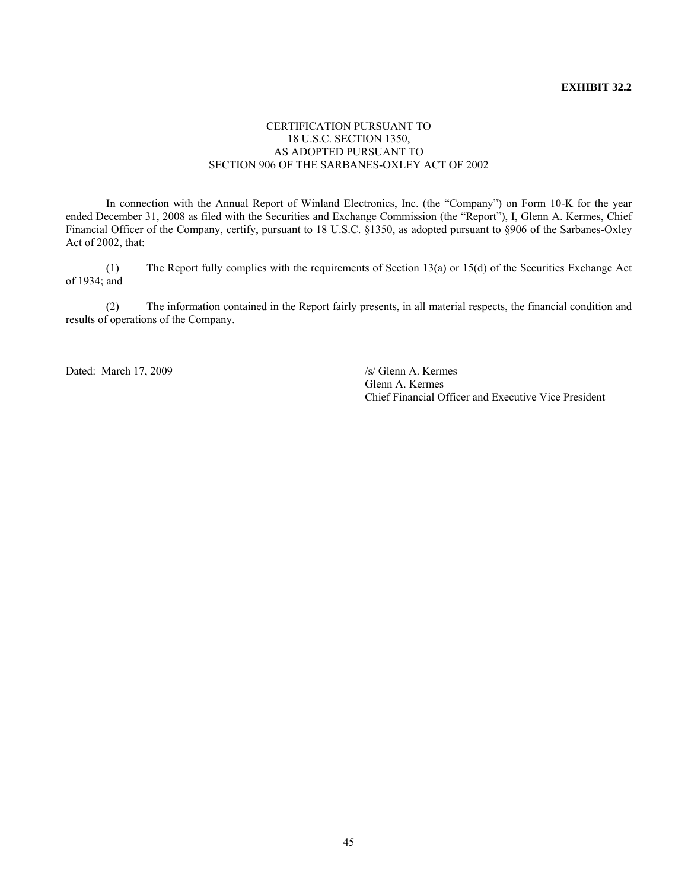## **EXHIBIT 32.2**

### CERTIFICATION PURSUANT TO 18 U.S.C. SECTION 1350, AS ADOPTED PURSUANT TO SECTION 906 OF THE SARBANES-OXLEY ACT OF 2002

 In connection with the Annual Report of Winland Electronics, Inc. (the "Company") on Form 10-K for the year ended December 31, 2008 as filed with the Securities and Exchange Commission (the "Report"), I, Glenn A. Kermes, Chief Financial Officer of the Company, certify, pursuant to 18 U.S.C. §1350, as adopted pursuant to §906 of the Sarbanes-Oxley Act of 2002, that:

 (1) The Report fully complies with the requirements of Section 13(a) or 15(d) of the Securities Exchange Act of 1934; and

 (2) The information contained in the Report fairly presents, in all material respects, the financial condition and results of operations of the Company.

Dated: March 17, 2009 /s/ Glenn A. Kermes

 Glenn A. Kermes Chief Financial Officer and Executive Vice President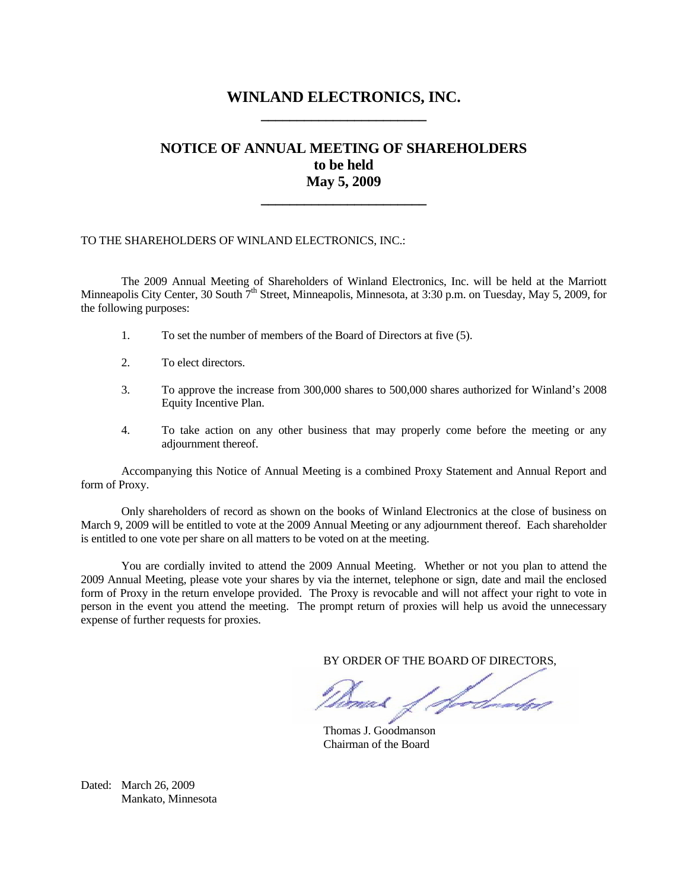## **WINLAND ELECTRONICS, INC. \_\_\_\_\_\_\_\_\_\_\_\_\_\_\_\_\_\_\_\_\_\_\_**

## **NOTICE OF ANNUAL MEETING OF SHAREHOLDERS to be held May 5, 2009**

**\_\_\_\_\_\_\_\_\_\_\_\_\_\_\_\_\_\_\_\_\_\_\_** 

## TO THE SHAREHOLDERS OF WINLAND ELECTRONICS, INC.:

 The 2009 Annual Meeting of Shareholders of Winland Electronics, Inc. will be held at the Marriott Minneapolis City Center, 30 South  $7<sup>th</sup>$  Street, Minneapolis, Minnesota, at 3:30 p.m. on Tuesday, May 5, 2009, for the following purposes:

- 1. To set the number of members of the Board of Directors at five (5).
- 2. To elect directors.
- 3. To approve the increase from 300,000 shares to 500,000 shares authorized for Winland's 2008 Equity Incentive Plan.
- 4. To take action on any other business that may properly come before the meeting or any adjournment thereof.

 Accompanying this Notice of Annual Meeting is a combined Proxy Statement and Annual Report and form of Proxy.

 Only shareholders of record as shown on the books of Winland Electronics at the close of business on March 9, 2009 will be entitled to vote at the 2009 Annual Meeting or any adjournment thereof. Each shareholder is entitled to one vote per share on all matters to be voted on at the meeting.

 You are cordially invited to attend the 2009 Annual Meeting. Whether or not you plan to attend the 2009 Annual Meeting, please vote your shares by via the internet, telephone or sign, date and mail the enclosed form of Proxy in the return envelope provided. The Proxy is revocable and will not affect your right to vote in person in the event you attend the meeting. The prompt return of proxies will help us avoid the unnecessary expense of further requests for proxies.

BY ORDER OF THE BOARD OF DIRECTORS,

1 doctorated mad

 Thomas J. Goodmanson Chairman of the Board

Dated: March 26, 2009 Mankato, Minnesota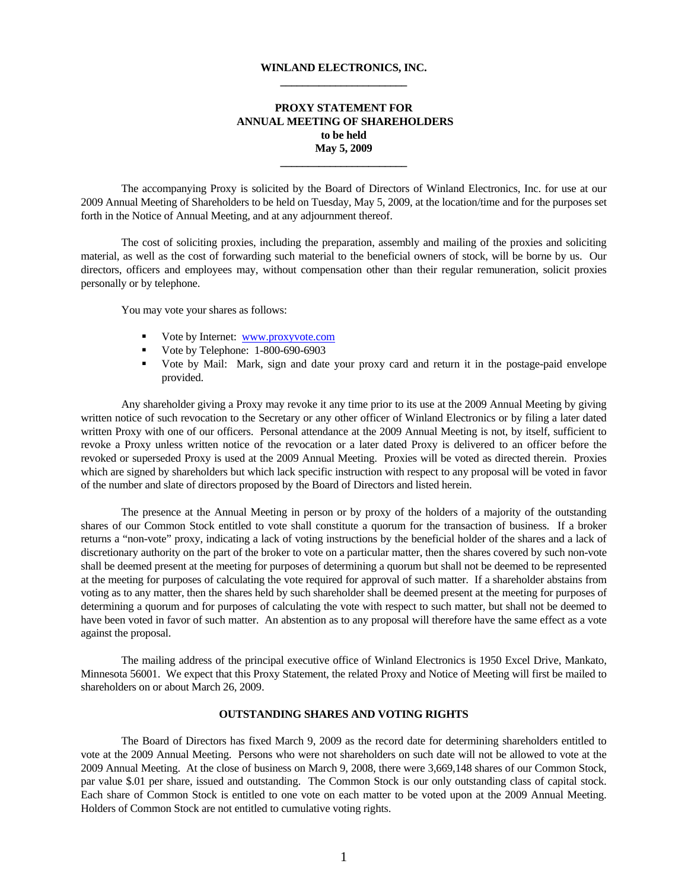#### **WINLAND ELECTRONICS, INC. \_\_\_\_\_\_\_\_\_\_\_\_\_\_\_\_\_\_\_\_\_\_\_**

## **PROXY STATEMENT FOR ANNUAL MEETING OF SHAREHOLDERS to be held May 5, 2009**

**\_\_\_\_\_\_\_\_\_\_\_\_\_\_\_\_\_\_\_\_\_\_\_** 

 The accompanying Proxy is solicited by the Board of Directors of Winland Electronics, Inc. for use at our 2009 Annual Meeting of Shareholders to be held on Tuesday, May 5, 2009, at the location/time and for the purposes set forth in the Notice of Annual Meeting, and at any adjournment thereof.

 The cost of soliciting proxies, including the preparation, assembly and mailing of the proxies and soliciting material, as well as the cost of forwarding such material to the beneficial owners of stock, will be borne by us. Our directors, officers and employees may, without compensation other than their regular remuneration, solicit proxies personally or by telephone.

You may vote your shares as follows:

- Vote by Internet: www.proxyvote.com
- Vote by Telephone:  $1-800-690-6903$
- Vote by Mail: Mark, sign and date your proxy card and return it in the postage-paid envelope provided.

 Any shareholder giving a Proxy may revoke it any time prior to its use at the 2009 Annual Meeting by giving written notice of such revocation to the Secretary or any other officer of Winland Electronics or by filing a later dated written Proxy with one of our officers. Personal attendance at the 2009 Annual Meeting is not, by itself, sufficient to revoke a Proxy unless written notice of the revocation or a later dated Proxy is delivered to an officer before the revoked or superseded Proxy is used at the 2009 Annual Meeting. Proxies will be voted as directed therein. Proxies which are signed by shareholders but which lack specific instruction with respect to any proposal will be voted in favor of the number and slate of directors proposed by the Board of Directors and listed herein.

 The presence at the Annual Meeting in person or by proxy of the holders of a majority of the outstanding shares of our Common Stock entitled to vote shall constitute a quorum for the transaction of business. If a broker returns a "non-vote" proxy, indicating a lack of voting instructions by the beneficial holder of the shares and a lack of discretionary authority on the part of the broker to vote on a particular matter, then the shares covered by such non-vote shall be deemed present at the meeting for purposes of determining a quorum but shall not be deemed to be represented at the meeting for purposes of calculating the vote required for approval of such matter. If a shareholder abstains from voting as to any matter, then the shares held by such shareholder shall be deemed present at the meeting for purposes of determining a quorum and for purposes of calculating the vote with respect to such matter, but shall not be deemed to have been voted in favor of such matter. An abstention as to any proposal will therefore have the same effect as a vote against the proposal.

 The mailing address of the principal executive office of Winland Electronics is 1950 Excel Drive, Mankato, Minnesota 56001. We expect that this Proxy Statement, the related Proxy and Notice of Meeting will first be mailed to shareholders on or about March 26, 2009.

#### **OUTSTANDING SHARES AND VOTING RIGHTS**

 The Board of Directors has fixed March 9, 2009 as the record date for determining shareholders entitled to vote at the 2009 Annual Meeting. Persons who were not shareholders on such date will not be allowed to vote at the 2009 Annual Meeting. At the close of business on March 9, 2008, there were 3,669,148 shares of our Common Stock, par value \$.01 per share, issued and outstanding. The Common Stock is our only outstanding class of capital stock. Each share of Common Stock is entitled to one vote on each matter to be voted upon at the 2009 Annual Meeting. Holders of Common Stock are not entitled to cumulative voting rights.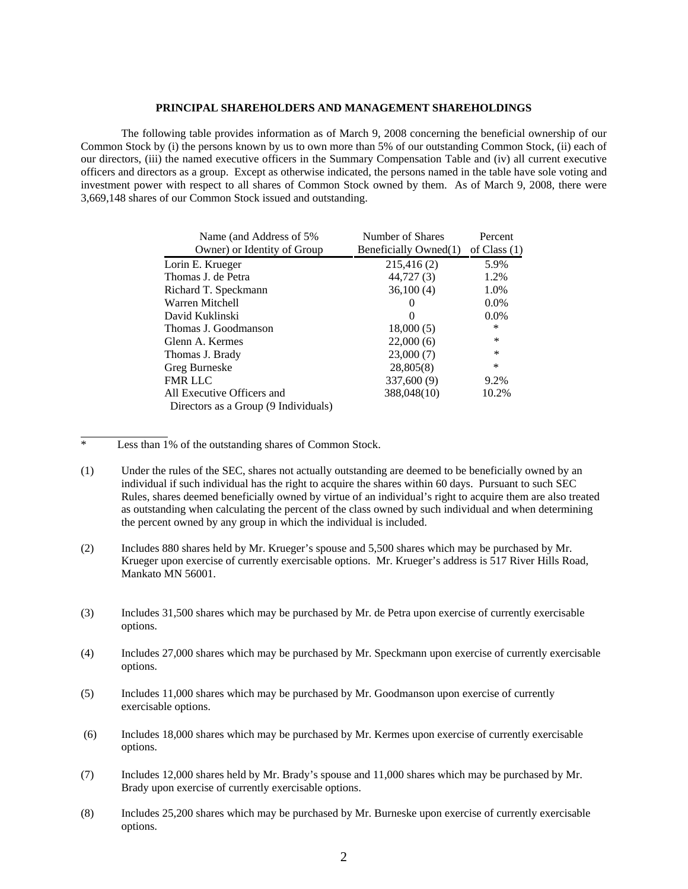#### **PRINCIPAL SHAREHOLDERS AND MANAGEMENT SHAREHOLDINGS**

The following table provides information as of March 9, 2008 concerning the beneficial ownership of our Common Stock by (i) the persons known by us to own more than 5% of our outstanding Common Stock, (ii) each of our directors, (iii) the named executive officers in the Summary Compensation Table and (iv) all current executive officers and directors as a group. Except as otherwise indicated, the persons named in the table have sole voting and investment power with respect to all shares of Common Stock owned by them. As of March 9, 2008, there were 3,669,148 shares of our Common Stock issued and outstanding.

| Name (and Address of 5%)             | Number of Shares      | Percent        |
|--------------------------------------|-----------------------|----------------|
| Owner) or Identity of Group          | Beneficially Owned(1) | of Class $(1)$ |
| Lorin E. Krueger                     | 215,416 (2)           | 5.9%           |
| Thomas J. de Petra                   | 44,727(3)             | 1.2%           |
| Richard T. Speckmann                 | 36,100(4)             | 1.0%           |
| Warren Mitchell                      | 0                     | $0.0\%$        |
| David Kuklinski                      | 0                     | $0.0\%$        |
| Thomas J. Goodmanson                 | 18,000(5)             | ∗              |
| Glenn A. Kermes                      | 22,000(6)             | *              |
| Thomas J. Brady                      | 23,000(7)             | $\ast$         |
| Greg Burneske                        | 28,805(8)             | $\ast$         |
| FMR LLC                              | 337,600 (9)           | 9.2%           |
| All Executive Officers and           | 388,048(10)           | 10.2%          |
| Directors as a Group (9 Individuals) |                       |                |

Less than 1% of the outstanding shares of Common Stock.

l

- (1) Under the rules of the SEC, shares not actually outstanding are deemed to be beneficially owned by an individual if such individual has the right to acquire the shares within 60 days. Pursuant to such SEC Rules, shares deemed beneficially owned by virtue of an individual's right to acquire them are also treated as outstanding when calculating the percent of the class owned by such individual and when determining the percent owned by any group in which the individual is included.
- (2) Includes 880 shares held by Mr. Krueger's spouse and 5,500 shares which may be purchased by Mr. Krueger upon exercise of currently exercisable options. Mr. Krueger's address is 517 River Hills Road, Mankato MN 56001.
- (3) Includes 31,500 shares which may be purchased by Mr. de Petra upon exercise of currently exercisable options.
- (4) Includes 27,000 shares which may be purchased by Mr. Speckmann upon exercise of currently exercisable options.
- (5) Includes 11,000 shares which may be purchased by Mr. Goodmanson upon exercise of currently exercisable options.
- (6) Includes 18,000 shares which may be purchased by Mr. Kermes upon exercise of currently exercisable options.
- (7) Includes 12,000 shares held by Mr. Brady's spouse and 11,000 shares which may be purchased by Mr. Brady upon exercise of currently exercisable options.
- (8) Includes 25,200 shares which may be purchased by Mr. Burneske upon exercise of currently exercisable options.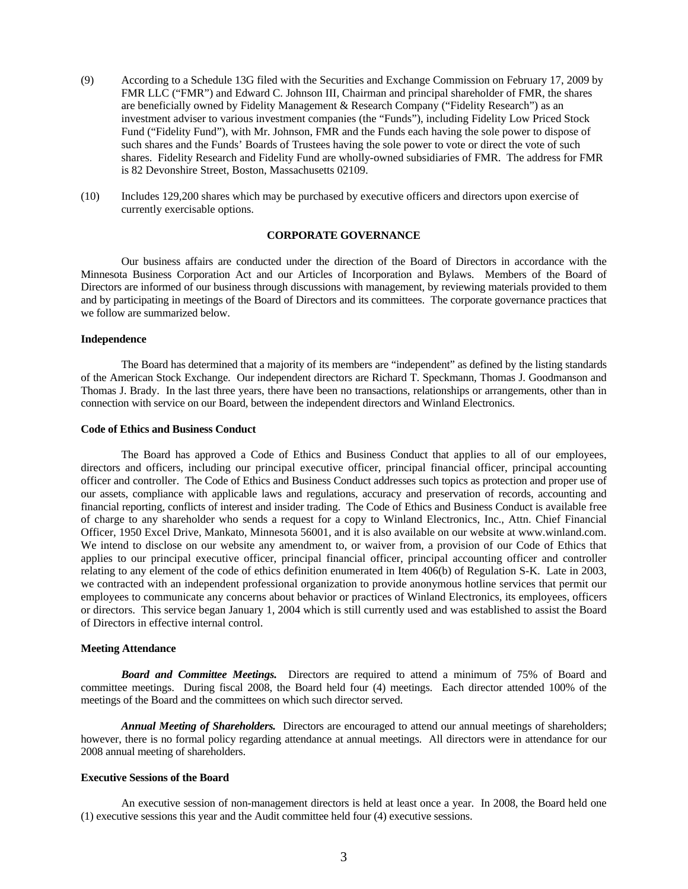- (9) According to a Schedule 13G filed with the Securities and Exchange Commission on February 17, 2009 by FMR LLC ("FMR") and Edward C. Johnson III, Chairman and principal shareholder of FMR, the shares are beneficially owned by Fidelity Management & Research Company ("Fidelity Research") as an investment adviser to various investment companies (the "Funds"), including Fidelity Low Priced Stock Fund ("Fidelity Fund"), with Mr. Johnson, FMR and the Funds each having the sole power to dispose of such shares and the Funds' Boards of Trustees having the sole power to vote or direct the vote of such shares. Fidelity Research and Fidelity Fund are wholly-owned subsidiaries of FMR. The address for FMR is 82 Devonshire Street, Boston, Massachusetts 02109.
- (10) Includes 129,200 shares which may be purchased by executive officers and directors upon exercise of currently exercisable options.

#### **CORPORATE GOVERNANCE**

 Our business affairs are conducted under the direction of the Board of Directors in accordance with the Minnesota Business Corporation Act and our Articles of Incorporation and Bylaws. Members of the Board of Directors are informed of our business through discussions with management, by reviewing materials provided to them and by participating in meetings of the Board of Directors and its committees. The corporate governance practices that we follow are summarized below.

#### **Independence**

 The Board has determined that a majority of its members are "independent" as defined by the listing standards of the American Stock Exchange. Our independent directors are Richard T. Speckmann, Thomas J. Goodmanson and Thomas J. Brady. In the last three years, there have been no transactions, relationships or arrangements, other than in connection with service on our Board, between the independent directors and Winland Electronics.

#### **Code of Ethics and Business Conduct**

 The Board has approved a Code of Ethics and Business Conduct that applies to all of our employees, directors and officers, including our principal executive officer, principal financial officer, principal accounting officer and controller. The Code of Ethics and Business Conduct addresses such topics as protection and proper use of our assets, compliance with applicable laws and regulations, accuracy and preservation of records, accounting and financial reporting, conflicts of interest and insider trading. The Code of Ethics and Business Conduct is available free of charge to any shareholder who sends a request for a copy to Winland Electronics, Inc., Attn. Chief Financial Officer, 1950 Excel Drive, Mankato, Minnesota 56001, and it is also available on our website at www.winland.com. We intend to disclose on our website any amendment to, or waiver from, a provision of our Code of Ethics that applies to our principal executive officer, principal financial officer, principal accounting officer and controller relating to any element of the code of ethics definition enumerated in Item 406(b) of Regulation S-K. Late in 2003, we contracted with an independent professional organization to provide anonymous hotline services that permit our employees to communicate any concerns about behavior or practices of Winland Electronics, its employees, officers or directors. This service began January 1, 2004 which is still currently used and was established to assist the Board of Directors in effective internal control.

#### **Meeting Attendance**

*Board and Committee Meetings.* Directors are required to attend a minimum of 75% of Board and committee meetings. During fiscal 2008, the Board held four (4) meetings. Each director attended 100% of the meetings of the Board and the committees on which such director served.

*Annual Meeting of Shareholders.* Directors are encouraged to attend our annual meetings of shareholders; however, there is no formal policy regarding attendance at annual meetings. All directors were in attendance for our 2008 annual meeting of shareholders.

#### **Executive Sessions of the Board**

 An executive session of non-management directors is held at least once a year. In 2008, the Board held one (1) executive sessions this year and the Audit committee held four (4) executive sessions.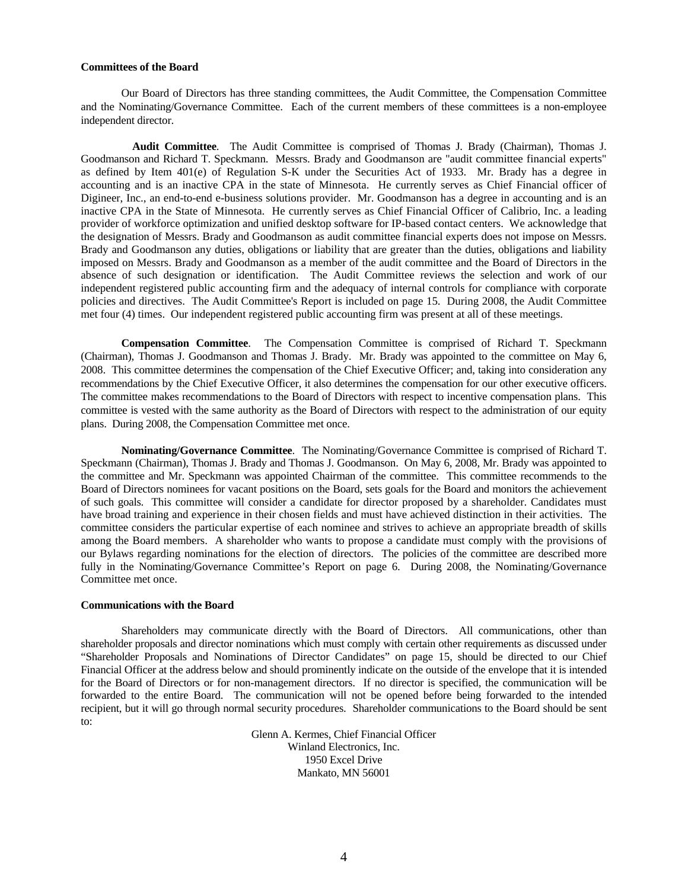#### **Committees of the Board**

 Our Board of Directors has three standing committees, the Audit Committee, the Compensation Committee and the Nominating/Governance Committee. Each of the current members of these committees is a non-employee independent director.

**Audit Committee**. The Audit Committee is comprised of Thomas J. Brady (Chairman), Thomas J. Goodmanson and Richard T. Speckmann. Messrs. Brady and Goodmanson are "audit committee financial experts" as defined by Item 401(e) of Regulation S-K under the Securities Act of 1933. Mr. Brady has a degree in accounting and is an inactive CPA in the state of Minnesota. He currently serves as Chief Financial officer of Digineer, Inc., an end-to-end e-business solutions provider. Mr. Goodmanson has a degree in accounting and is an inactive CPA in the State of Minnesota. He currently serves as Chief Financial Officer of Calibrio, Inc. a leading provider of workforce optimization and unified desktop software for IP-based contact centers. We acknowledge that the designation of Messrs. Brady and Goodmanson as audit committee financial experts does not impose on Messrs. Brady and Goodmanson any duties, obligations or liability that are greater than the duties, obligations and liability imposed on Messrs. Brady and Goodmanson as a member of the audit committee and the Board of Directors in the absence of such designation or identification. The Audit Committee reviews the selection and work of our independent registered public accounting firm and the adequacy of internal controls for compliance with corporate policies and directives. The Audit Committee's Report is included on page 15. During 2008, the Audit Committee met four (4) times. Our independent registered public accounting firm was present at all of these meetings.

**Compensation Committee**. The Compensation Committee is comprised of Richard T. Speckmann (Chairman), Thomas J. Goodmanson and Thomas J. Brady. Mr. Brady was appointed to the committee on May 6, 2008. This committee determines the compensation of the Chief Executive Officer; and, taking into consideration any recommendations by the Chief Executive Officer, it also determines the compensation for our other executive officers. The committee makes recommendations to the Board of Directors with respect to incentive compensation plans. This committee is vested with the same authority as the Board of Directors with respect to the administration of our equity plans. During 2008, the Compensation Committee met once.

**Nominating/Governance Committee**. The Nominating/Governance Committee is comprised of Richard T. Speckmann (Chairman), Thomas J. Brady and Thomas J. Goodmanson. On May 6, 2008, Mr. Brady was appointed to the committee and Mr. Speckmann was appointed Chairman of the committee. This committee recommends to the Board of Directors nominees for vacant positions on the Board, sets goals for the Board and monitors the achievement of such goals. This committee will consider a candidate for director proposed by a shareholder. Candidates must have broad training and experience in their chosen fields and must have achieved distinction in their activities. The committee considers the particular expertise of each nominee and strives to achieve an appropriate breadth of skills among the Board members. A shareholder who wants to propose a candidate must comply with the provisions of our Bylaws regarding nominations for the election of directors. The policies of the committee are described more fully in the Nominating/Governance Committee's Report on page 6. During 2008, the Nominating/Governance Committee met once.

#### **Communications with the Board**

 Shareholders may communicate directly with the Board of Directors. All communications, other than shareholder proposals and director nominations which must comply with certain other requirements as discussed under "Shareholder Proposals and Nominations of Director Candidates" on page 15, should be directed to our Chief Financial Officer at the address below and should prominently indicate on the outside of the envelope that it is intended for the Board of Directors or for non-management directors. If no director is specified, the communication will be forwarded to the entire Board. The communication will not be opened before being forwarded to the intended recipient, but it will go through normal security procedures. Shareholder communications to the Board should be sent to:

> Glenn A. Kermes, Chief Financial Officer Winland Electronics, Inc. 1950 Excel Drive Mankato, MN 56001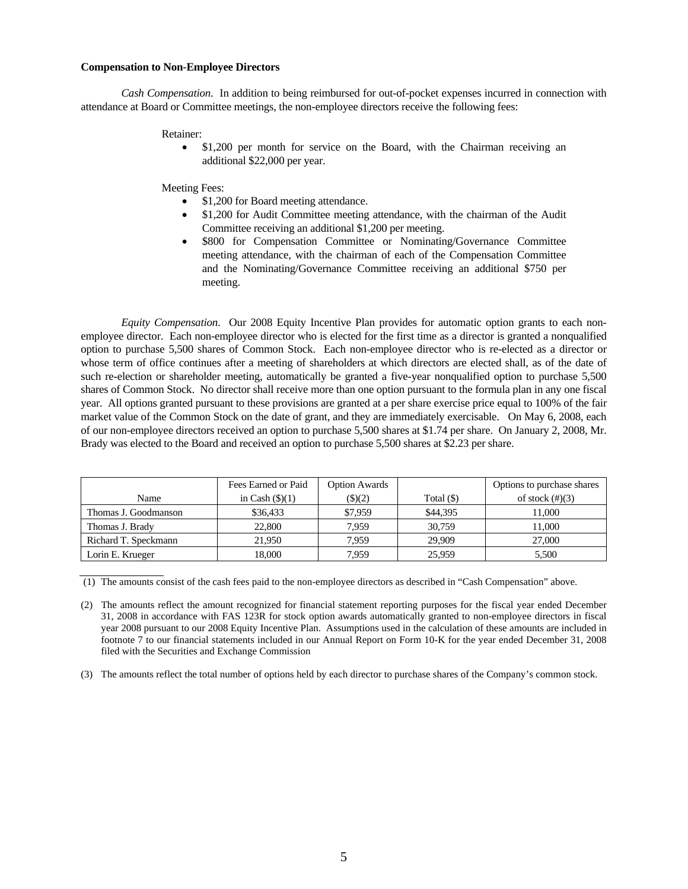#### **Compensation to Non-Employee Directors**

*Cash Compensation*. In addition to being reimbursed for out-of-pocket expenses incurred in connection with attendance at Board or Committee meetings, the non-employee directors receive the following fees:

#### Retainer:

\$1,200 per month for service on the Board, with the Chairman receiving an additional \$22,000 per year.

Meeting Fees:

- \$1,200 for Board meeting attendance.
- \$1,200 for Audit Committee meeting attendance, with the chairman of the Audit Committee receiving an additional \$1,200 per meeting.
- \$800 for Compensation Committee or Nominating/Governance Committee meeting attendance, with the chairman of each of the Compensation Committee and the Nominating/Governance Committee receiving an additional \$750 per meeting.

*Equity Compensation*. Our 2008 Equity Incentive Plan provides for automatic option grants to each nonemployee director. Each non-employee director who is elected for the first time as a director is granted a nonqualified option to purchase 5,500 shares of Common Stock. Each non-employee director who is re-elected as a director or whose term of office continues after a meeting of shareholders at which directors are elected shall, as of the date of such re-election or shareholder meeting, automatically be granted a five-year nonqualified option to purchase 5,500 shares of Common Stock. No director shall receive more than one option pursuant to the formula plan in any one fiscal year. All options granted pursuant to these provisions are granted at a per share exercise price equal to 100% of the fair market value of the Common Stock on the date of grant, and they are immediately exercisable. On May 6, 2008, each of our non-employee directors received an option to purchase 5,500 shares at \$1.74 per share. On January 2, 2008, Mr. Brady was elected to the Board and received an option to purchase 5,500 shares at \$2.23 per share.

|                      | Fees Earned or Paid      | <b>Option Awards</b> |              | Options to purchase shares |
|----------------------|--------------------------|----------------------|--------------|----------------------------|
| Name                 | in Cash $(\text{\$})(1)$ | \$)(2)               | Total $(\$)$ | of stock $(\#)(3)$         |
| Thomas J. Goodmanson | \$36,433                 | \$7,959              | \$44,395     | 11.000                     |
| Thomas J. Brady      | 22,800                   | 7.959                | 30.759       | 11.000                     |
| Richard T. Speckmann | 21,950                   | 7.959                | 29.909       | 27,000                     |
| Lorin E. Krueger     | 18.000                   | 7.959                | 25,959       | 5,500                      |

(1) The amounts consist of the cash fees paid to the non-employee directors as described in "Cash Compensation" above.

(2) The amounts reflect the amount recognized for financial statement reporting purposes for the fiscal year ended December 31, 2008 in accordance with FAS 123R for stock option awards automatically granted to non-employee directors in fiscal year 2008 pursuant to our 2008 Equity Incentive Plan. Assumptions used in the calculation of these amounts are included in footnote 7 to our financial statements included in our Annual Report on Form 10-K for the year ended December 31, 2008 filed with the Securities and Exchange Commission

(3) The amounts reflect the total number of options held by each director to purchase shares of the Company's common stock.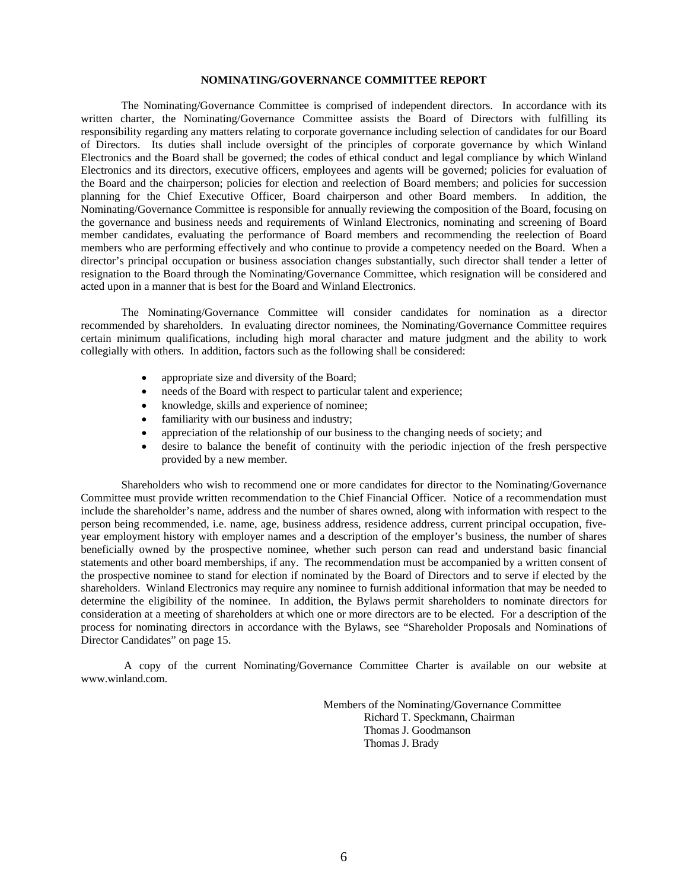#### **NOMINATING/GOVERNANCE COMMITTEE REPORT**

 The Nominating/Governance Committee is comprised of independent directors. In accordance with its written charter, the Nominating/Governance Committee assists the Board of Directors with fulfilling its responsibility regarding any matters relating to corporate governance including selection of candidates for our Board of Directors. Its duties shall include oversight of the principles of corporate governance by which Winland Electronics and the Board shall be governed; the codes of ethical conduct and legal compliance by which Winland Electronics and its directors, executive officers, employees and agents will be governed; policies for evaluation of the Board and the chairperson; policies for election and reelection of Board members; and policies for succession planning for the Chief Executive Officer, Board chairperson and other Board members. In addition, the Nominating/Governance Committee is responsible for annually reviewing the composition of the Board, focusing on the governance and business needs and requirements of Winland Electronics, nominating and screening of Board member candidates, evaluating the performance of Board members and recommending the reelection of Board members who are performing effectively and who continue to provide a competency needed on the Board. When a director's principal occupation or business association changes substantially, such director shall tender a letter of resignation to the Board through the Nominating/Governance Committee, which resignation will be considered and acted upon in a manner that is best for the Board and Winland Electronics.

 The Nominating/Governance Committee will consider candidates for nomination as a director recommended by shareholders. In evaluating director nominees, the Nominating/Governance Committee requires certain minimum qualifications, including high moral character and mature judgment and the ability to work collegially with others. In addition, factors such as the following shall be considered:

- appropriate size and diversity of the Board;
- needs of the Board with respect to particular talent and experience;
- knowledge, skills and experience of nominee;
- familiarity with our business and industry;
- appreciation of the relationship of our business to the changing needs of society; and
- desire to balance the benefit of continuity with the periodic injection of the fresh perspective provided by a new member.

 Shareholders who wish to recommend one or more candidates for director to the Nominating/Governance Committee must provide written recommendation to the Chief Financial Officer. Notice of a recommendation must include the shareholder's name, address and the number of shares owned, along with information with respect to the person being recommended, i.e. name, age, business address, residence address, current principal occupation, fiveyear employment history with employer names and a description of the employer's business, the number of shares beneficially owned by the prospective nominee, whether such person can read and understand basic financial statements and other board memberships, if any. The recommendation must be accompanied by a written consent of the prospective nominee to stand for election if nominated by the Board of Directors and to serve if elected by the shareholders. Winland Electronics may require any nominee to furnish additional information that may be needed to determine the eligibility of the nominee. In addition, the Bylaws permit shareholders to nominate directors for consideration at a meeting of shareholders at which one or more directors are to be elected. For a description of the process for nominating directors in accordance with the Bylaws, see "Shareholder Proposals and Nominations of Director Candidates" on page 15.

 A copy of the current Nominating/Governance Committee Charter is available on our website at www.winland.com.

> Members of the Nominating/Governance Committee Richard T. Speckmann, Chairman Thomas J. Goodmanson Thomas J. Brady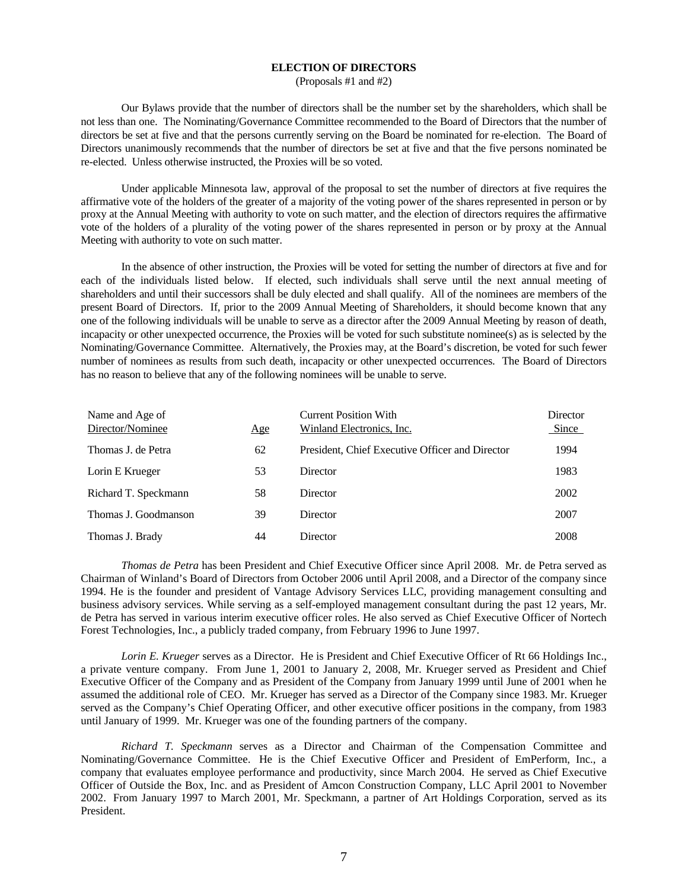#### **ELECTION OF DIRECTORS**

(Proposals #1 and #2)

 Our Bylaws provide that the number of directors shall be the number set by the shareholders, which shall be not less than one. The Nominating/Governance Committee recommended to the Board of Directors that the number of directors be set at five and that the persons currently serving on the Board be nominated for re-election. The Board of Directors unanimously recommends that the number of directors be set at five and that the five persons nominated be re-elected. Unless otherwise instructed, the Proxies will be so voted.

 Under applicable Minnesota law, approval of the proposal to set the number of directors at five requires the affirmative vote of the holders of the greater of a majority of the voting power of the shares represented in person or by proxy at the Annual Meeting with authority to vote on such matter, and the election of directors requires the affirmative vote of the holders of a plurality of the voting power of the shares represented in person or by proxy at the Annual Meeting with authority to vote on such matter.

 In the absence of other instruction, the Proxies will be voted for setting the number of directors at five and for each of the individuals listed below. If elected, such individuals shall serve until the next annual meeting of shareholders and until their successors shall be duly elected and shall qualify. All of the nominees are members of the present Board of Directors. If, prior to the 2009 Annual Meeting of Shareholders, it should become known that any one of the following individuals will be unable to serve as a director after the 2009 Annual Meeting by reason of death, incapacity or other unexpected occurrence, the Proxies will be voted for such substitute nominee(s) as is selected by the Nominating/Governance Committee. Alternatively, the Proxies may, at the Board's discretion, be voted for such fewer number of nominees as results from such death, incapacity or other unexpected occurrences. The Board of Directors has no reason to believe that any of the following nominees will be unable to serve.

| Name and Age of<br>Director/Nominee | Age | <b>Current Position With</b><br>Winland Electronics, Inc. | Director<br>Since |
|-------------------------------------|-----|-----------------------------------------------------------|-------------------|
| Thomas J. de Petra                  | 62  | President, Chief Executive Officer and Director           | 1994              |
| Lorin E Krueger                     | 53  | Director                                                  | 1983              |
| Richard T. Speckmann                | 58  | Director                                                  | 2002              |
| Thomas J. Goodmanson                | 39  | Director                                                  | 2007              |
| Thomas J. Brady                     | 44  | Director                                                  | 2008              |

*Thomas de Petra* has been President and Chief Executive Officer since April 2008. Mr. de Petra served as Chairman of Winland's Board of Directors from October 2006 until April 2008, and a Director of the company since 1994. He is the founder and president of Vantage Advisory Services LLC, providing management consulting and business advisory services. While serving as a self-employed management consultant during the past 12 years, Mr. de Petra has served in various interim executive officer roles. He also served as Chief Executive Officer of Nortech Forest Technologies, Inc., a publicly traded company, from February 1996 to June 1997.

 *Lorin E. Krueger* serves as a Director. He is President and Chief Executive Officer of Rt 66 Holdings Inc., a private venture company. From June 1, 2001 to January 2, 2008, Mr. Krueger served as President and Chief Executive Officer of the Company and as President of the Company from January 1999 until June of 2001 when he assumed the additional role of CEO. Mr. Krueger has served as a Director of the Company since 1983. Mr. Krueger served as the Company's Chief Operating Officer, and other executive officer positions in the company, from 1983 until January of 1999. Mr. Krueger was one of the founding partners of the company.

*Richard T. Speckmann* serves as a Director and Chairman of the Compensation Committee and Nominating/Governance Committee. He is the Chief Executive Officer and President of EmPerform, Inc., a company that evaluates employee performance and productivity, since March 2004. He served as Chief Executive Officer of Outside the Box, Inc. and as President of Amcon Construction Company, LLC April 2001 to November 2002. From January 1997 to March 2001, Mr. Speckmann, a partner of Art Holdings Corporation, served as its President.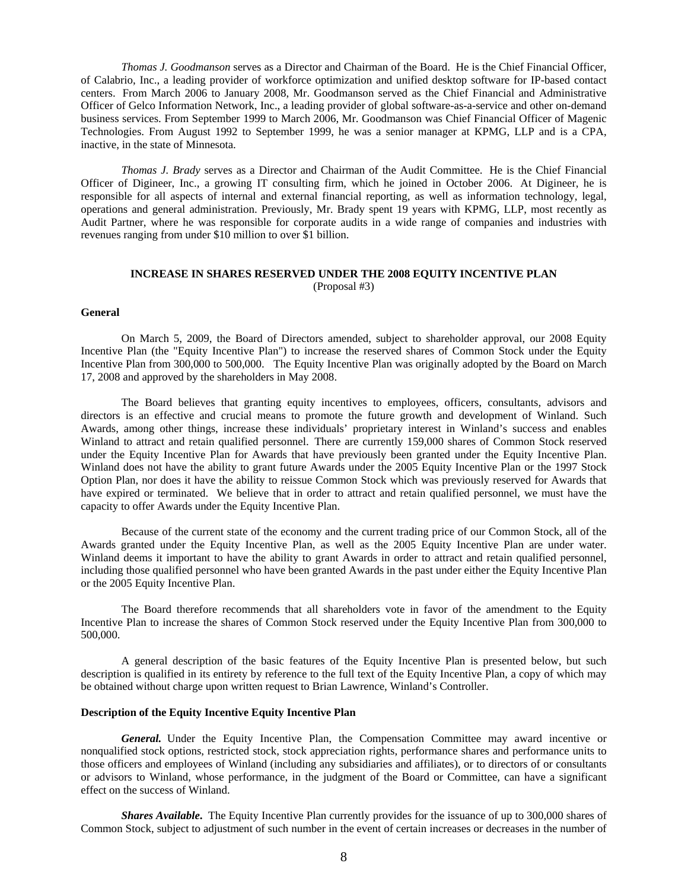*Thomas J. Goodmanson* serves as a Director and Chairman of the Board. He is the Chief Financial Officer, of Calabrio, Inc., a leading provider of workforce optimization and unified desktop software for IP-based contact centers. From March 2006 to January 2008, Mr. Goodmanson served as the Chief Financial and Administrative Officer of Gelco Information Network, Inc., a leading provider of global software-as-a-service and other on-demand business services. From September 1999 to March 2006, Mr. Goodmanson was Chief Financial Officer of Magenic Technologies. From August 1992 to September 1999, he was a senior manager at KPMG, LLP and is a CPA, inactive, in the state of Minnesota.

*Thomas J. Brady* serves as a Director and Chairman of the Audit Committee. He is the Chief Financial Officer of Digineer, Inc., a growing IT consulting firm, which he joined in October 2006. At Digineer, he is responsible for all aspects of internal and external financial reporting, as well as information technology, legal, operations and general administration. Previously, Mr. Brady spent 19 years with KPMG, LLP, most recently as Audit Partner, where he was responsible for corporate audits in a wide range of companies and industries with revenues ranging from under \$10 million to over \$1 billion.

#### **INCREASE IN SHARES RESERVED UNDER THE 2008 EQUITY INCENTIVE PLAN** (Proposal #3)

#### **General**

 On March 5, 2009, the Board of Directors amended, subject to shareholder approval, our 2008 Equity Incentive Plan (the "Equity Incentive Plan") to increase the reserved shares of Common Stock under the Equity Incentive Plan from 300,000 to 500,000. The Equity Incentive Plan was originally adopted by the Board on March 17, 2008 and approved by the shareholders in May 2008.

 The Board believes that granting equity incentives to employees, officers, consultants, advisors and directors is an effective and crucial means to promote the future growth and development of Winland. Such Awards, among other things, increase these individuals' proprietary interest in Winland's success and enables Winland to attract and retain qualified personnel. There are currently 159,000 shares of Common Stock reserved under the Equity Incentive Plan for Awards that have previously been granted under the Equity Incentive Plan. Winland does not have the ability to grant future Awards under the 2005 Equity Incentive Plan or the 1997 Stock Option Plan, nor does it have the ability to reissue Common Stock which was previously reserved for Awards that have expired or terminated. We believe that in order to attract and retain qualified personnel, we must have the capacity to offer Awards under the Equity Incentive Plan.

 Because of the current state of the economy and the current trading price of our Common Stock, all of the Awards granted under the Equity Incentive Plan, as well as the 2005 Equity Incentive Plan are under water. Winland deems it important to have the ability to grant Awards in order to attract and retain qualified personnel, including those qualified personnel who have been granted Awards in the past under either the Equity Incentive Plan or the 2005 Equity Incentive Plan.

 The Board therefore recommends that all shareholders vote in favor of the amendment to the Equity Incentive Plan to increase the shares of Common Stock reserved under the Equity Incentive Plan from 300,000 to 500,000.

 A general description of the basic features of the Equity Incentive Plan is presented below, but such description is qualified in its entirety by reference to the full text of the Equity Incentive Plan, a copy of which may be obtained without charge upon written request to Brian Lawrence, Winland's Controller.

#### **Description of the Equity Incentive Equity Incentive Plan**

 *General.* Under the Equity Incentive Plan, the Compensation Committee may award incentive or nonqualified stock options, restricted stock, stock appreciation rights, performance shares and performance units to those officers and employees of Winland (including any subsidiaries and affiliates), or to directors of or consultants or advisors to Winland, whose performance, in the judgment of the Board or Committee, can have a significant effect on the success of Winland.

 *Shares Available***.** The Equity Incentive Plan currently provides for the issuance of up to 300,000 shares of Common Stock, subject to adjustment of such number in the event of certain increases or decreases in the number of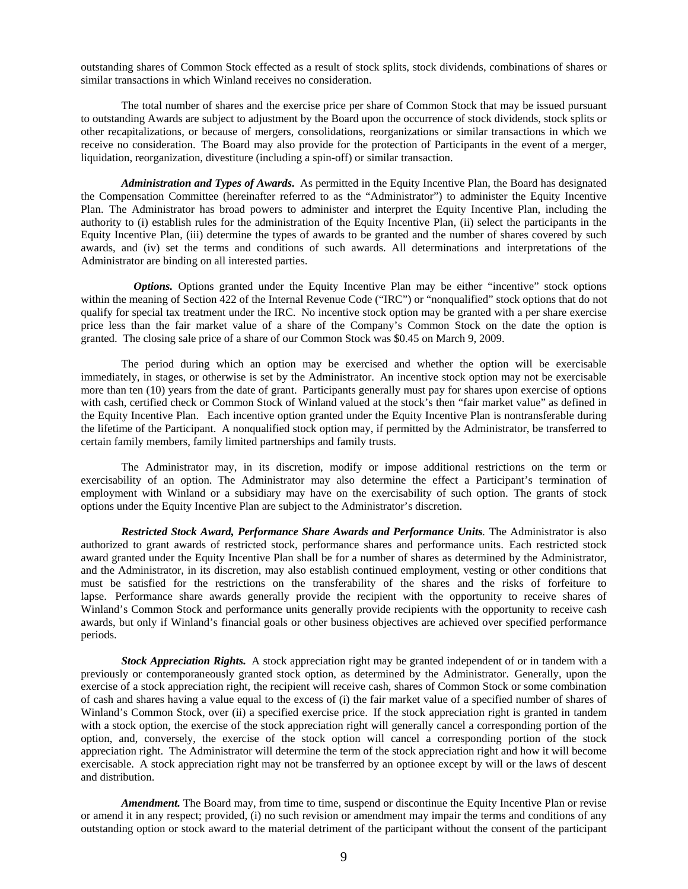outstanding shares of Common Stock effected as a result of stock splits, stock dividends, combinations of shares or similar transactions in which Winland receives no consideration.

 The total number of shares and the exercise price per share of Common Stock that may be issued pursuant to outstanding Awards are subject to adjustment by the Board upon the occurrence of stock dividends, stock splits or other recapitalizations, or because of mergers, consolidations, reorganizations or similar transactions in which we receive no consideration. The Board may also provide for the protection of Participants in the event of a merger, liquidation, reorganization, divestiture (including a spin-off) or similar transaction.

 *Administration and Types of Awards***.** As permitted in the Equity Incentive Plan, the Board has designated the Compensation Committee (hereinafter referred to as the "Administrator") to administer the Equity Incentive Plan. The Administrator has broad powers to administer and interpret the Equity Incentive Plan, including the authority to (i) establish rules for the administration of the Equity Incentive Plan, (ii) select the participants in the Equity Incentive Plan, (iii) determine the types of awards to be granted and the number of shares covered by such awards, and (iv) set the terms and conditions of such awards. All determinations and interpretations of the Administrator are binding on all interested parties.

*Options.* Options granted under the Equity Incentive Plan may be either "incentive" stock options within the meaning of Section 422 of the Internal Revenue Code ("IRC") or "nonqualified" stock options that do not qualify for special tax treatment under the IRC. No incentive stock option may be granted with a per share exercise price less than the fair market value of a share of the Company's Common Stock on the date the option is granted. The closing sale price of a share of our Common Stock was \$0.45 on March 9, 2009.

 The period during which an option may be exercised and whether the option will be exercisable immediately, in stages, or otherwise is set by the Administrator. An incentive stock option may not be exercisable more than ten (10) years from the date of grant. Participants generally must pay for shares upon exercise of options with cash, certified check or Common Stock of Winland valued at the stock's then "fair market value" as defined in the Equity Incentive Plan. Each incentive option granted under the Equity Incentive Plan is nontransferable during the lifetime of the Participant. A nonqualified stock option may, if permitted by the Administrator, be transferred to certain family members, family limited partnerships and family trusts.

 The Administrator may, in its discretion, modify or impose additional restrictions on the term or exercisability of an option. The Administrator may also determine the effect a Participant's termination of employment with Winland or a subsidiary may have on the exercisability of such option. The grants of stock options under the Equity Incentive Plan are subject to the Administrator's discretion.

*Restricted Stock Award, Performance Share Awards and Performance Units.* The Administrator is also authorized to grant awards of restricted stock, performance shares and performance units. Each restricted stock award granted under the Equity Incentive Plan shall be for a number of shares as determined by the Administrator, and the Administrator, in its discretion, may also establish continued employment, vesting or other conditions that must be satisfied for the restrictions on the transferability of the shares and the risks of forfeiture to lapse. Performance share awards generally provide the recipient with the opportunity to receive shares of Winland's Common Stock and performance units generally provide recipients with the opportunity to receive cash awards, but only if Winland's financial goals or other business objectives are achieved over specified performance periods.

 *Stock Appreciation Rights.* A stock appreciation right may be granted independent of or in tandem with a previously or contemporaneously granted stock option, as determined by the Administrator. Generally, upon the exercise of a stock appreciation right, the recipient will receive cash, shares of Common Stock or some combination of cash and shares having a value equal to the excess of (i) the fair market value of a specified number of shares of Winland's Common Stock, over (ii) a specified exercise price. If the stock appreciation right is granted in tandem with a stock option, the exercise of the stock appreciation right will generally cancel a corresponding portion of the option, and, conversely, the exercise of the stock option will cancel a corresponding portion of the stock appreciation right. The Administrator will determine the term of the stock appreciation right and how it will become exercisable. A stock appreciation right may not be transferred by an optionee except by will or the laws of descent and distribution.

 *Amendment.* The Board may, from time to time, suspend or discontinue the Equity Incentive Plan or revise or amend it in any respect; provided, (i) no such revision or amendment may impair the terms and conditions of any outstanding option or stock award to the material detriment of the participant without the consent of the participant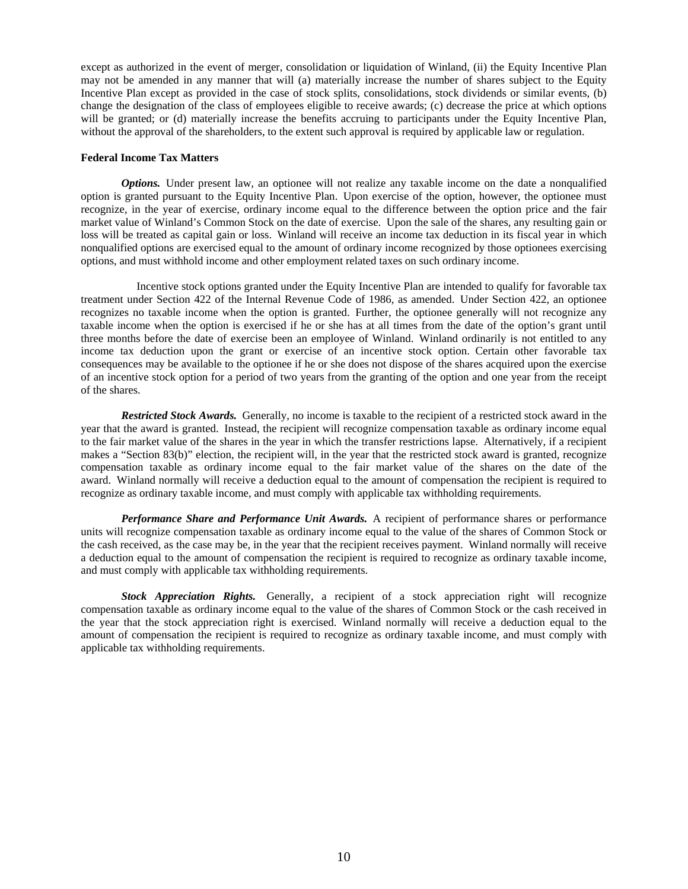except as authorized in the event of merger, consolidation or liquidation of Winland, (ii) the Equity Incentive Plan may not be amended in any manner that will (a) materially increase the number of shares subject to the Equity Incentive Plan except as provided in the case of stock splits, consolidations, stock dividends or similar events, (b) change the designation of the class of employees eligible to receive awards; (c) decrease the price at which options will be granted; or (d) materially increase the benefits accruing to participants under the Equity Incentive Plan, without the approval of the shareholders, to the extent such approval is required by applicable law or regulation.

#### **Federal Income Tax Matters**

*Options.* Under present law, an optionee will not realize any taxable income on the date a nonqualified option is granted pursuant to the Equity Incentive Plan. Upon exercise of the option, however, the optionee must recognize, in the year of exercise, ordinary income equal to the difference between the option price and the fair market value of Winland's Common Stock on the date of exercise. Upon the sale of the shares, any resulting gain or loss will be treated as capital gain or loss. Winland will receive an income tax deduction in its fiscal year in which nonqualified options are exercised equal to the amount of ordinary income recognized by those optionees exercising options, and must withhold income and other employment related taxes on such ordinary income.

 Incentive stock options granted under the Equity Incentive Plan are intended to qualify for favorable tax treatment under Section 422 of the Internal Revenue Code of 1986, as amended. Under Section 422, an optionee recognizes no taxable income when the option is granted. Further, the optionee generally will not recognize any taxable income when the option is exercised if he or she has at all times from the date of the option's grant until three months before the date of exercise been an employee of Winland. Winland ordinarily is not entitled to any income tax deduction upon the grant or exercise of an incentive stock option. Certain other favorable tax consequences may be available to the optionee if he or she does not dispose of the shares acquired upon the exercise of an incentive stock option for a period of two years from the granting of the option and one year from the receipt of the shares.

 *Restricted Stock Awards.* Generally, no income is taxable to the recipient of a restricted stock award in the year that the award is granted. Instead, the recipient will recognize compensation taxable as ordinary income equal to the fair market value of the shares in the year in which the transfer restrictions lapse. Alternatively, if a recipient makes a "Section 83(b)" election, the recipient will, in the year that the restricted stock award is granted, recognize compensation taxable as ordinary income equal to the fair market value of the shares on the date of the award. Winland normally will receive a deduction equal to the amount of compensation the recipient is required to recognize as ordinary taxable income, and must comply with applicable tax withholding requirements.

 *Performance Share and Performance Unit Awards.* A recipient of performance shares or performance units will recognize compensation taxable as ordinary income equal to the value of the shares of Common Stock or the cash received, as the case may be, in the year that the recipient receives payment. Winland normally will receive a deduction equal to the amount of compensation the recipient is required to recognize as ordinary taxable income, and must comply with applicable tax withholding requirements.

 *Stock Appreciation Rights.* Generally, a recipient of a stock appreciation right will recognize compensation taxable as ordinary income equal to the value of the shares of Common Stock or the cash received in the year that the stock appreciation right is exercised. Winland normally will receive a deduction equal to the amount of compensation the recipient is required to recognize as ordinary taxable income, and must comply with applicable tax withholding requirements.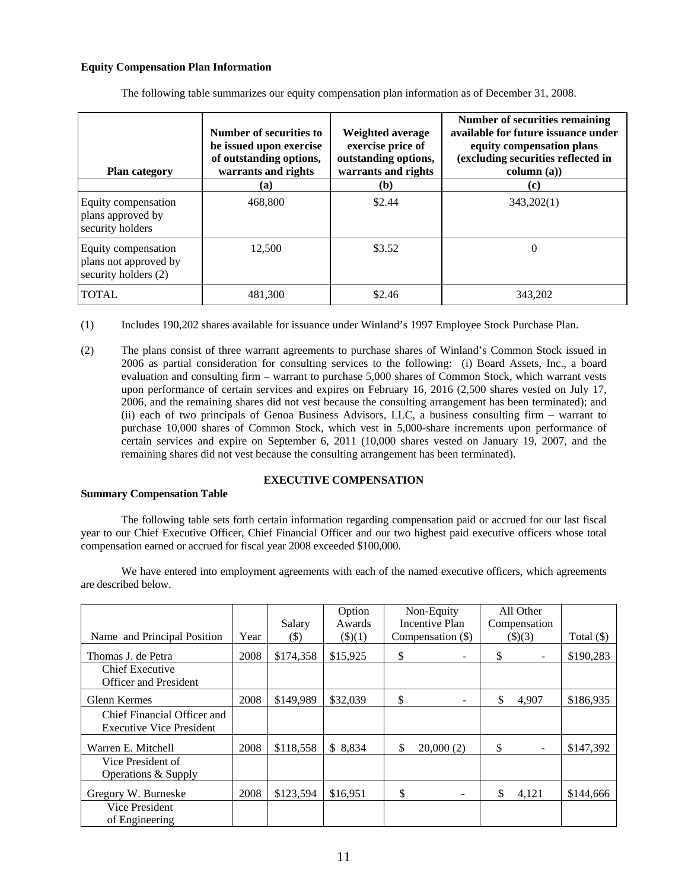### **Equity Compensation Plan Information**

| <b>Plan category</b>                                                 | Number of securities to<br>be issued upon exercise<br>of outstanding options,<br>warrants and rights | Weighted average<br>exercise price of<br>outstanding options,<br>warrants and rights | Number of securities remaining<br>available for future issuance under<br>equity compensation plans<br>(excluding securities reflected in<br>column (a)) |
|----------------------------------------------------------------------|------------------------------------------------------------------------------------------------------|--------------------------------------------------------------------------------------|---------------------------------------------------------------------------------------------------------------------------------------------------------|
|                                                                      | (a)                                                                                                  | (b)                                                                                  | (c)                                                                                                                                                     |
| Equity compensation<br>plans approved by<br>security holders         | 468,800                                                                                              | \$2.44                                                                               | 343,202(1)                                                                                                                                              |
| Equity compensation<br>plans not approved by<br>security holders (2) | 12,500                                                                                               | \$3.52                                                                               | $\theta$                                                                                                                                                |
| <b>TOTAL</b>                                                         | 481.300                                                                                              | \$2.46                                                                               | 343,202                                                                                                                                                 |

The following table summarizes our equity compensation plan information as of December 31, 2008.

- (1) Includes 190,202 shares available for issuance under Winland's 1997 Employee Stock Purchase Plan.
- (2) The plans consist of three warrant agreements to purchase shares of Winland's Common Stock issued in 2006 as partial consideration for consulting services to the following: (i) Board Assets, Inc., a board evaluation and consulting firm – warrant to purchase 5,000 shares of Common Stock, which warrant vests upon performance of certain services and expires on February 16, 2016 (2,500 shares vested on July 17, 2006, and the remaining shares did not vest because the consulting arrangement has been terminated); and (ii) each of two principals of Genoa Business Advisors, LLC, a business consulting firm – warrant to purchase 10,000 shares of Common Stock, which vest in 5,000-share increments upon performance of certain services and expire on September 6, 2011 (10,000 shares vested on January 19, 2007, and the remaining shares did not vest because the consulting arrangement has been terminated).

## **EXECUTIVE COMPENSATION**

## **Summary Compensation Table**

 The following table sets forth certain information regarding compensation paid or accrued for our last fiscal year to our Chief Executive Officer, Chief Financial Officer and our two highest paid executive officers whose total compensation earned or accrued for fiscal year 2008 exceeded \$100,000.

 We have entered into employment agreements with each of the named executive officers, which agreements are described below.

|                                                                |      | Salary    | Option<br>Awards | Non-Equity<br>Incentive Plan   | All Other<br>Compensation      |              |
|----------------------------------------------------------------|------|-----------|------------------|--------------------------------|--------------------------------|--------------|
| Name and Principal Position                                    | Year | $(\$)$    | $(\$)(1)$        | Compensation (\$)              | $(\$)(3)$                      | Total $(\$)$ |
| Thomas J. de Petra                                             | 2008 | \$174,358 | \$15,925         | \$<br>$\overline{\phantom{a}}$ | \$<br>$\overline{\phantom{0}}$ | \$190,283    |
| <b>Chief Executive</b><br><b>Officer and President</b>         |      |           |                  |                                |                                |              |
| <b>Glenn Kermes</b>                                            | 2008 | \$149,989 | \$32,039         | \$<br>-                        | \$<br>4,907                    | \$186,935    |
| Chief Financial Officer and<br><b>Executive Vice President</b> |      |           |                  |                                |                                |              |
| Warren E. Mitchell                                             | 2008 | \$118,558 | \$8,834          | \$<br>20,000(2)                | \$                             | \$147,392    |
| Vice President of<br>Operations & Supply                       |      |           |                  |                                |                                |              |
| Gregory W. Burneske                                            | 2008 | \$123,594 | \$16,951         | \$                             | \$<br>4,121                    | \$144,666    |
| Vice President<br>of Engineering                               |      |           |                  |                                |                                |              |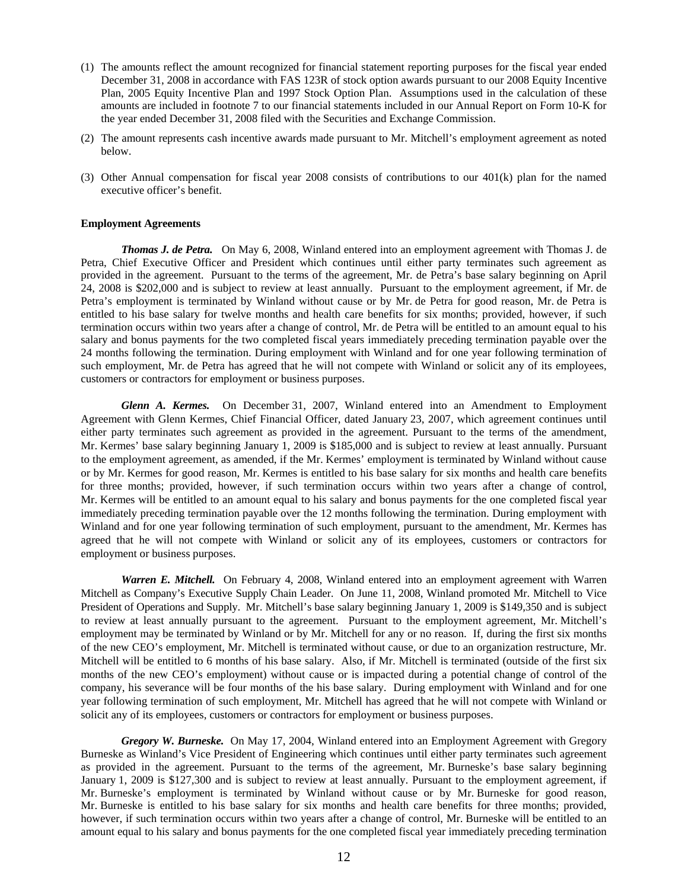- (1) The amounts reflect the amount recognized for financial statement reporting purposes for the fiscal year ended December 31, 2008 in accordance with FAS 123R of stock option awards pursuant to our 2008 Equity Incentive Plan, 2005 Equity Incentive Plan and 1997 Stock Option Plan. Assumptions used in the calculation of these amounts are included in footnote 7 to our financial statements included in our Annual Report on Form 10-K for the year ended December 31, 2008 filed with the Securities and Exchange Commission.
- (2) The amount represents cash incentive awards made pursuant to Mr. Mitchell's employment agreement as noted below.
- (3) Other Annual compensation for fiscal year 2008 consists of contributions to our 401(k) plan for the named executive officer's benefit.

#### **Employment Agreements**

*Thomas J. de Petra.* On May 6, 2008, Winland entered into an employment agreement with Thomas J. de Petra, Chief Executive Officer and President which continues until either party terminates such agreement as provided in the agreement. Pursuant to the terms of the agreement, Mr. de Petra's base salary beginning on April 24, 2008 is \$202,000 and is subject to review at least annually. Pursuant to the employment agreement, if Mr. de Petra's employment is terminated by Winland without cause or by Mr. de Petra for good reason, Mr. de Petra is entitled to his base salary for twelve months and health care benefits for six months; provided, however, if such termination occurs within two years after a change of control, Mr. de Petra will be entitled to an amount equal to his salary and bonus payments for the two completed fiscal years immediately preceding termination payable over the 24 months following the termination. During employment with Winland and for one year following termination of such employment, Mr. de Petra has agreed that he will not compete with Winland or solicit any of its employees, customers or contractors for employment or business purposes.

*Glenn A. Kermes.* On December 31, 2007, Winland entered into an Amendment to Employment Agreement with Glenn Kermes, Chief Financial Officer, dated January 23, 2007, which agreement continues until either party terminates such agreement as provided in the agreement. Pursuant to the terms of the amendment, Mr. Kermes' base salary beginning January 1, 2009 is \$185,000 and is subject to review at least annually. Pursuant to the employment agreement, as amended, if the Mr. Kermes' employment is terminated by Winland without cause or by Mr. Kermes for good reason, Mr. Kermes is entitled to his base salary for six months and health care benefits for three months; provided, however, if such termination occurs within two years after a change of control, Mr. Kermes will be entitled to an amount equal to his salary and bonus payments for the one completed fiscal year immediately preceding termination payable over the 12 months following the termination. During employment with Winland and for one year following termination of such employment, pursuant to the amendment, Mr. Kermes has agreed that he will not compete with Winland or solicit any of its employees, customers or contractors for employment or business purposes.

*Warren E. Mitchell.* On February 4, 2008, Winland entered into an employment agreement with Warren Mitchell as Company's Executive Supply Chain Leader. On June 11, 2008, Winland promoted Mr. Mitchell to Vice President of Operations and Supply. Mr. Mitchell's base salary beginning January 1, 2009 is \$149,350 and is subject to review at least annually pursuant to the agreement. Pursuant to the employment agreement, Mr. Mitchell's employment may be terminated by Winland or by Mr. Mitchell for any or no reason. If, during the first six months of the new CEO's employment, Mr. Mitchell is terminated without cause, or due to an organization restructure, Mr. Mitchell will be entitled to 6 months of his base salary. Also, if Mr. Mitchell is terminated (outside of the first six months of the new CEO's employment) without cause or is impacted during a potential change of control of the company, his severance will be four months of the his base salary. During employment with Winland and for one year following termination of such employment, Mr. Mitchell has agreed that he will not compete with Winland or solicit any of its employees, customers or contractors for employment or business purposes.

*Gregory W. Burneske.* On May 17, 2004, Winland entered into an Employment Agreement with Gregory Burneske as Winland's Vice President of Engineering which continues until either party terminates such agreement as provided in the agreement. Pursuant to the terms of the agreement, Mr. Burneske's base salary beginning January 1, 2009 is \$127,300 and is subject to review at least annually. Pursuant to the employment agreement, if Mr. Burneske's employment is terminated by Winland without cause or by Mr. Burneske for good reason, Mr. Burneske is entitled to his base salary for six months and health care benefits for three months; provided, however, if such termination occurs within two years after a change of control, Mr. Burneske will be entitled to an amount equal to his salary and bonus payments for the one completed fiscal year immediately preceding termination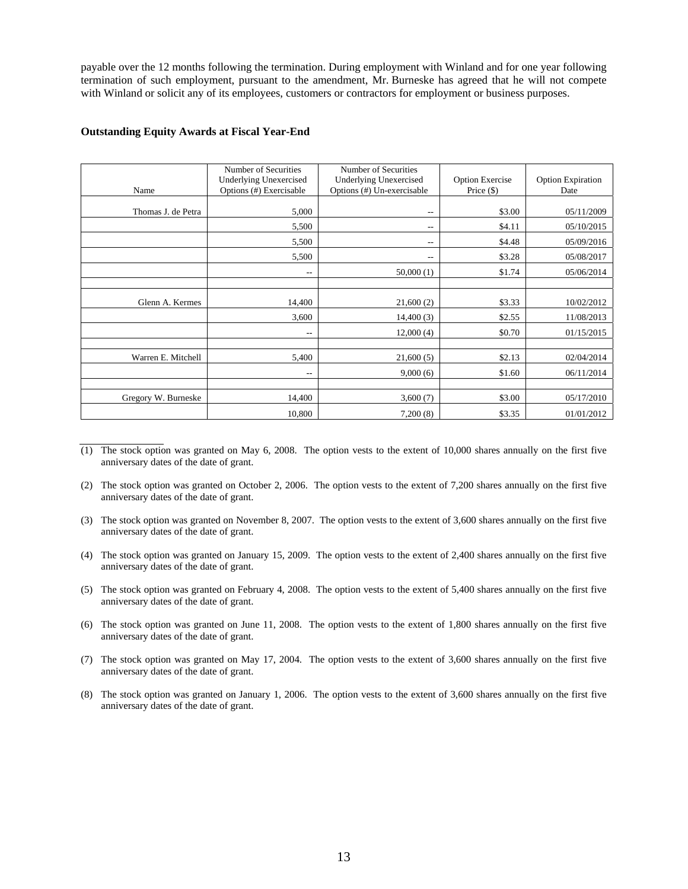payable over the 12 months following the termination. During employment with Winland and for one year following termination of such employment, pursuant to the amendment, Mr. Burneske has agreed that he will not compete with Winland or solicit any of its employees, customers or contractors for employment or business purposes.

|                     | Number of Securities          | Number of Securities          |                        |                          |
|---------------------|-------------------------------|-------------------------------|------------------------|--------------------------|
|                     | <b>Underlying Unexercised</b> | <b>Underlying Unexercised</b> | <b>Option Exercise</b> | <b>Option Expiration</b> |
| Name                | Options (#) Exercisable       | Options (#) Un-exercisable    | Price $(\$)$           | Date                     |
|                     |                               |                               |                        |                          |
| Thomas J. de Petra  | 5,000                         | $-\,-$                        | \$3.00                 | 05/11/2009               |
|                     | 5,500                         | --                            | \$4.11                 | 05/10/2015               |
|                     | 5,500                         | $-\,-$                        | \$4.48                 | 05/09/2016               |
|                     | 5,500                         | $-$                           | \$3.28                 | 05/08/2017               |
|                     | $-\,-$                        | 50,000(1)                     | \$1.74                 | 05/06/2014               |
|                     |                               |                               |                        |                          |
| Glenn A. Kermes     | 14,400                        | 21,600(2)                     | \$3.33                 | 10/02/2012               |
|                     | 3,600                         | 14,400(3)                     | \$2.55                 | 11/08/2013               |
|                     | $-$                           | 12,000(4)                     | \$0.70                 | 01/15/2015               |
|                     |                               |                               |                        |                          |
| Warren E. Mitchell  | 5,400                         | 21,600(5)                     | \$2.13                 | 02/04/2014               |
|                     | $-$                           | 9,000(6)                      | \$1.60                 | 06/11/2014               |
|                     |                               |                               |                        |                          |
| Gregory W. Burneske | 14,400                        | 3,600(7)                      | \$3.00                 | 05/17/2010               |
|                     | 10,800                        | 7,200(8)                      | \$3.35                 | 01/01/2012               |

#### **Outstanding Equity Awards at Fiscal Year-End**

- $(1)$  The stock option was granted on May 6, 2008. The option vests to the extent of 10,000 shares annually on the first five anniversary dates of the date of grant.
- (2) The stock option was granted on October 2, 2006. The option vests to the extent of 7,200 shares annually on the first five anniversary dates of the date of grant.
- (3) The stock option was granted on November 8, 2007. The option vests to the extent of 3,600 shares annually on the first five anniversary dates of the date of grant.
- (4) The stock option was granted on January 15, 2009. The option vests to the extent of 2,400 shares annually on the first five anniversary dates of the date of grant.
- (5) The stock option was granted on February 4, 2008. The option vests to the extent of 5,400 shares annually on the first five anniversary dates of the date of grant.
- (6) The stock option was granted on June 11, 2008. The option vests to the extent of 1,800 shares annually on the first five anniversary dates of the date of grant.
- (7) The stock option was granted on May 17, 2004. The option vests to the extent of 3,600 shares annually on the first five anniversary dates of the date of grant.
- (8) The stock option was granted on January 1, 2006. The option vests to the extent of 3,600 shares annually on the first five anniversary dates of the date of grant.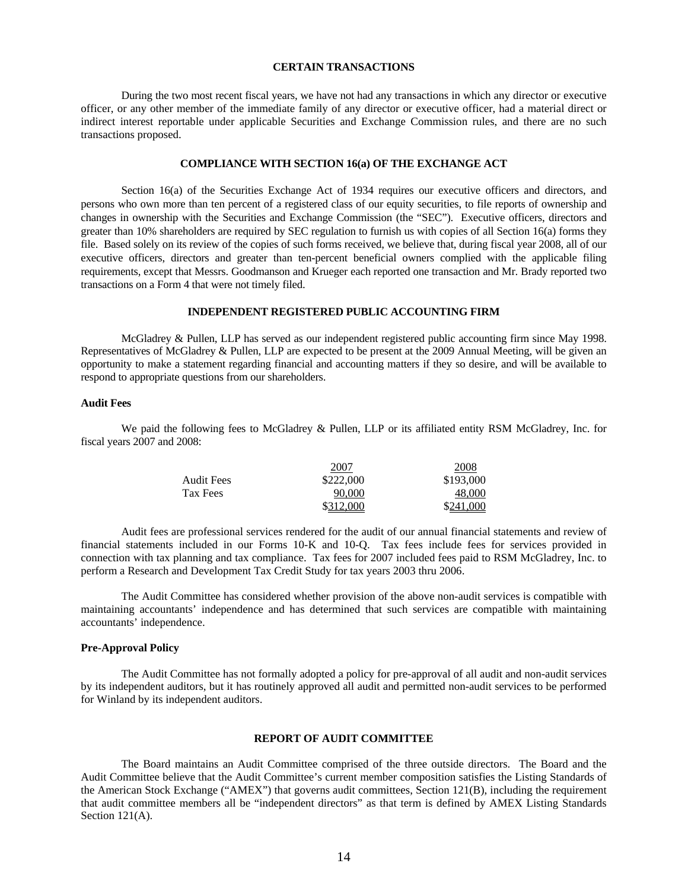#### **CERTAIN TRANSACTIONS**

 During the two most recent fiscal years, we have not had any transactions in which any director or executive officer, or any other member of the immediate family of any director or executive officer, had a material direct or indirect interest reportable under applicable Securities and Exchange Commission rules, and there are no such transactions proposed.

#### **COMPLIANCE WITH SECTION 16(a) OF THE EXCHANGE ACT**

Section 16(a) of the Securities Exchange Act of 1934 requires our executive officers and directors, and persons who own more than ten percent of a registered class of our equity securities, to file reports of ownership and changes in ownership with the Securities and Exchange Commission (the "SEC"). Executive officers, directors and greater than 10% shareholders are required by SEC regulation to furnish us with copies of all Section 16(a) forms they file. Based solely on its review of the copies of such forms received, we believe that, during fiscal year 2008, all of our executive officers, directors and greater than ten-percent beneficial owners complied with the applicable filing requirements, except that Messrs. Goodmanson and Krueger each reported one transaction and Mr. Brady reported two transactions on a Form 4 that were not timely filed.

## **INDEPENDENT REGISTERED PUBLIC ACCOUNTING FIRM**

 McGladrey & Pullen, LLP has served as our independent registered public accounting firm since May 1998. Representatives of McGladrey & Pullen, LLP are expected to be present at the 2009 Annual Meeting, will be given an opportunity to make a statement regarding financial and accounting matters if they so desire, and will be available to respond to appropriate questions from our shareholders.

#### **Audit Fees**

 We paid the following fees to McGladrey & Pullen, LLP or its affiliated entity RSM McGladrey, Inc. for fiscal years 2007 and 2008:

|                   | 2007      | 2008      |
|-------------------|-----------|-----------|
| <b>Audit Fees</b> | \$222,000 | \$193,000 |
| Tax Fees          | 90,000    | 48.000    |
|                   | \$312,000 | \$241,000 |

 Audit fees are professional services rendered for the audit of our annual financial statements and review of financial statements included in our Forms 10-K and 10-Q. Tax fees include fees for services provided in connection with tax planning and tax compliance. Tax fees for 2007 included fees paid to RSM McGladrey, Inc. to perform a Research and Development Tax Credit Study for tax years 2003 thru 2006.

 The Audit Committee has considered whether provision of the above non-audit services is compatible with maintaining accountants' independence and has determined that such services are compatible with maintaining accountants' independence.

#### **Pre-Approval Policy**

 The Audit Committee has not formally adopted a policy for pre-approval of all audit and non-audit services by its independent auditors, but it has routinely approved all audit and permitted non-audit services to be performed for Winland by its independent auditors.

#### **REPORT OF AUDIT COMMITTEE**

 The Board maintains an Audit Committee comprised of the three outside directors. The Board and the Audit Committee believe that the Audit Committee's current member composition satisfies the Listing Standards of the American Stock Exchange ("AMEX") that governs audit committees, Section 121(B), including the requirement that audit committee members all be "independent directors" as that term is defined by AMEX Listing Standards Section 121(A).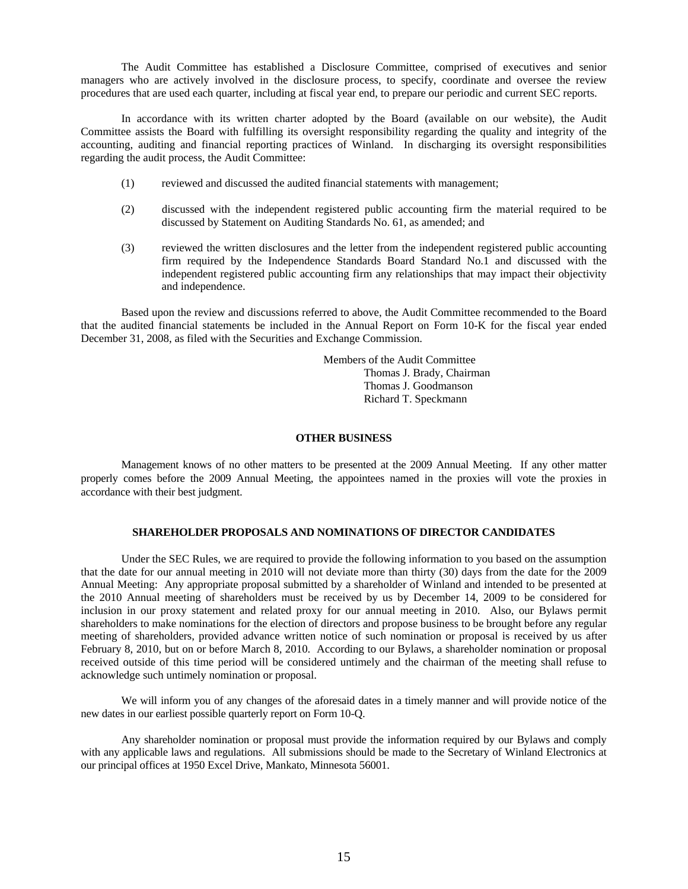The Audit Committee has established a Disclosure Committee, comprised of executives and senior managers who are actively involved in the disclosure process, to specify, coordinate and oversee the review procedures that are used each quarter, including at fiscal year end, to prepare our periodic and current SEC reports.

In accordance with its written charter adopted by the Board (available on our website), the Audit Committee assists the Board with fulfilling its oversight responsibility regarding the quality and integrity of the accounting, auditing and financial reporting practices of Winland. In discharging its oversight responsibilities regarding the audit process, the Audit Committee:

- (1) reviewed and discussed the audited financial statements with management;
- (2) discussed with the independent registered public accounting firm the material required to be discussed by Statement on Auditing Standards No. 61, as amended; and
- (3) reviewed the written disclosures and the letter from the independent registered public accounting firm required by the Independence Standards Board Standard No.1 and discussed with the independent registered public accounting firm any relationships that may impact their objectivity and independence.

Based upon the review and discussions referred to above, the Audit Committee recommended to the Board that the audited financial statements be included in the Annual Report on Form 10-K for the fiscal year ended December 31, 2008, as filed with the Securities and Exchange Commission.

> Members of the Audit Committee Thomas J. Brady, Chairman Thomas J. Goodmanson Richard T. Speckmann

#### **OTHER BUSINESS**

 Management knows of no other matters to be presented at the 2009 Annual Meeting. If any other matter properly comes before the 2009 Annual Meeting, the appointees named in the proxies will vote the proxies in accordance with their best judgment.

#### **SHAREHOLDER PROPOSALS AND NOMINATIONS OF DIRECTOR CANDIDATES**

 Under the SEC Rules, we are required to provide the following information to you based on the assumption that the date for our annual meeting in 2010 will not deviate more than thirty (30) days from the date for the 2009 Annual Meeting: Any appropriate proposal submitted by a shareholder of Winland and intended to be presented at the 2010 Annual meeting of shareholders must be received by us by December 14, 2009 to be considered for inclusion in our proxy statement and related proxy for our annual meeting in 2010. Also, our Bylaws permit shareholders to make nominations for the election of directors and propose business to be brought before any regular meeting of shareholders, provided advance written notice of such nomination or proposal is received by us after February 8, 2010, but on or before March 8, 2010. According to our Bylaws, a shareholder nomination or proposal received outside of this time period will be considered untimely and the chairman of the meeting shall refuse to acknowledge such untimely nomination or proposal.

 We will inform you of any changes of the aforesaid dates in a timely manner and will provide notice of the new dates in our earliest possible quarterly report on Form 10-Q.

 Any shareholder nomination or proposal must provide the information required by our Bylaws and comply with any applicable laws and regulations. All submissions should be made to the Secretary of Winland Electronics at our principal offices at 1950 Excel Drive, Mankato, Minnesota 56001.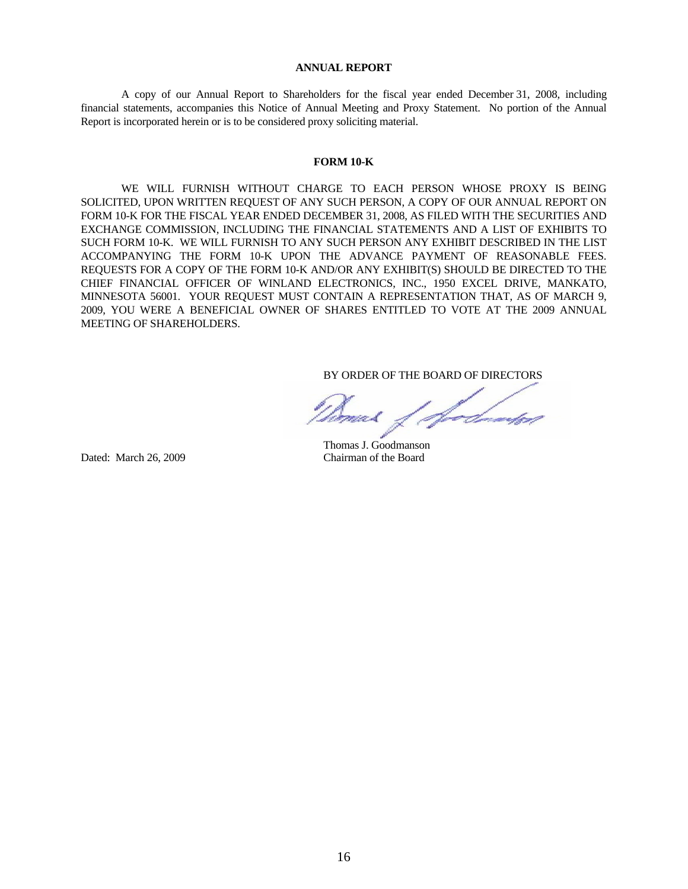#### **ANNUAL REPORT**

 A copy of our Annual Report to Shareholders for the fiscal year ended December 31, 2008, including financial statements, accompanies this Notice of Annual Meeting and Proxy Statement. No portion of the Annual Report is incorporated herein or is to be considered proxy soliciting material.

#### **FORM 10-K**

 WE WILL FURNISH WITHOUT CHARGE TO EACH PERSON WHOSE PROXY IS BEING SOLICITED, UPON WRITTEN REQUEST OF ANY SUCH PERSON, A COPY OF OUR ANNUAL REPORT ON FORM 10-K FOR THE FISCAL YEAR ENDED DECEMBER 31, 2008, AS FILED WITH THE SECURITIES AND EXCHANGE COMMISSION, INCLUDING THE FINANCIAL STATEMENTS AND A LIST OF EXHIBITS TO SUCH FORM 10-K. WE WILL FURNISH TO ANY SUCH PERSON ANY EXHIBIT DESCRIBED IN THE LIST ACCOMPANYING THE FORM 10-K UPON THE ADVANCE PAYMENT OF REASONABLE FEES. REQUESTS FOR A COPY OF THE FORM 10-K AND/OR ANY EXHIBIT(S) SHOULD BE DIRECTED TO THE CHIEF FINANCIAL OFFICER OF WINLAND ELECTRONICS, INC., 1950 EXCEL DRIVE, MANKATO, MINNESOTA 56001. YOUR REQUEST MUST CONTAIN A REPRESENTATION THAT, AS OF MARCH 9, 2009, YOU WERE A BENEFICIAL OWNER OF SHARES ENTITLED TO VOTE AT THE 2009 ANNUAL MEETING OF SHAREHOLDERS.

BY ORDER OF THE BOARD OF DIRECTORS

 Thomas J. Goodmanson Dated: March 26, 2009 Chairman of the Board